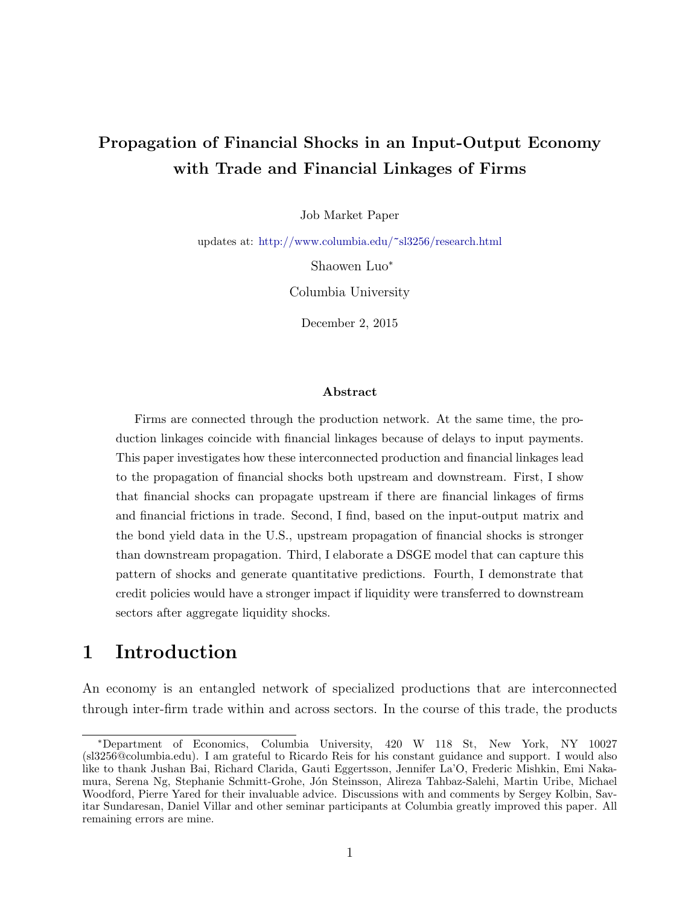# <span id="page-0-0"></span>Propagation of Financial Shocks in an Input-Output Economy with Trade and Financial Linkages of Firms

Job Market Paper

updates at: [http://www.columbia.edu/](http://www.columbia.edu/~sl3256/research.html)~sl3256/research.html

Shaowen Luo<sup>∗</sup>

Columbia University

December 2, 2015

#### Abstract

Firms are connected through the production network. At the same time, the production linkages coincide with financial linkages because of delays to input payments. This paper investigates how these interconnected production and financial linkages lead to the propagation of financial shocks both upstream and downstream. First, I show that financial shocks can propagate upstream if there are financial linkages of firms and financial frictions in trade. Second, I find, based on the input-output matrix and the bond yield data in the U.S., upstream propagation of financial shocks is stronger than downstream propagation. Third, I elaborate a DSGE model that can capture this pattern of shocks and generate quantitative predictions. Fourth, I demonstrate that credit policies would have a stronger impact if liquidity were transferred to downstream sectors after aggregate liquidity shocks.

# 1 Introduction

An economy is an entangled network of specialized productions that are interconnected through inter-firm trade within and across sectors. In the course of this trade, the products

<sup>∗</sup>Department of Economics, Columbia University, 420 W 118 St, New York, NY 10027 (sl3256@columbia.edu). I am grateful to Ricardo Reis for his constant guidance and support. I would also like to thank Jushan Bai, Richard Clarida, Gauti Eggertsson, Jennifer La'O, Frederic Mishkin, Emi Nakamura, Serena Ng, Stephanie Schmitt-Grohe, Jón Steinsson, Alireza Tahbaz-Salehi, Martin Uribe, Michael Woodford, Pierre Yared for their invaluable advice. Discussions with and comments by Sergey Kolbin, Savitar Sundaresan, Daniel Villar and other seminar participants at Columbia greatly improved this paper. All remaining errors are mine.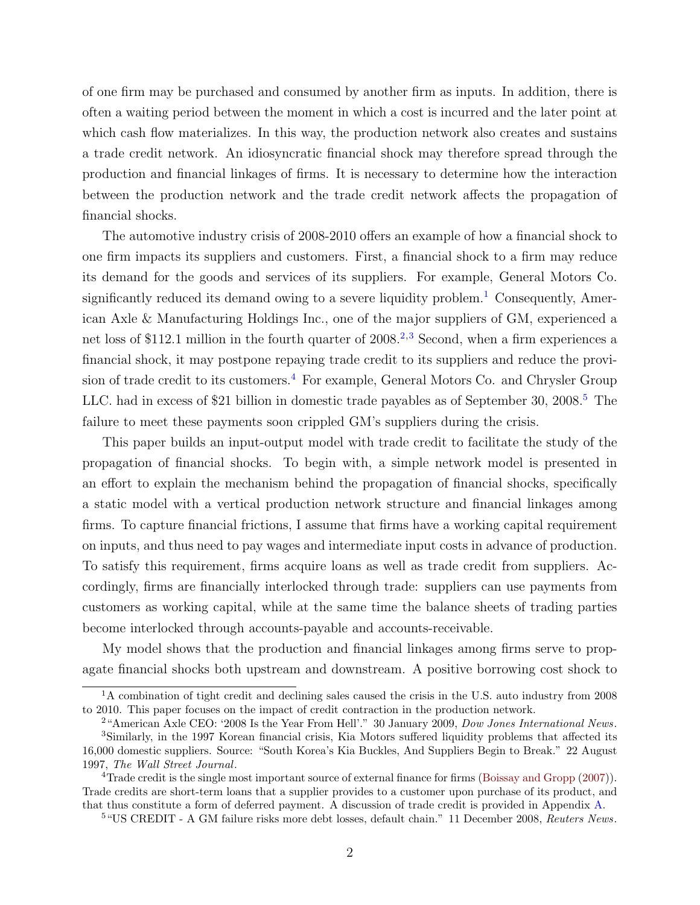of one firm may be purchased and consumed by another firm as inputs. In addition, there is often a waiting period between the moment in which a cost is incurred and the later point at which cash flow materializes. In this way, the production network also creates and sustains a trade credit network. An idiosyncratic financial shock may therefore spread through the production and financial linkages of firms. It is necessary to determine how the interaction between the production network and the trade credit network affects the propagation of financial shocks.

The automotive industry crisis of 2008-2010 offers an example of how a financial shock to one firm impacts its suppliers and customers. First, a financial shock to a firm may reduce its demand for the goods and services of its suppliers. For example, General Motors Co. significantly reduced its demand owing to a severe liquidity problem.<sup>[1](#page-0-0)</sup> Consequently, American Axle & Manufacturing Holdings Inc., one of the major suppliers of GM, experienced a net loss of \$11[2](#page-0-0).1 million in the fourth quarter of  $2008<sup>2,3</sup>$  $2008<sup>2,3</sup>$  $2008<sup>2,3</sup>$  Second, when a firm experiences a financial shock, it may postpone repaying trade credit to its suppliers and reduce the provi-sion of trade credit to its customers.<sup>[4](#page-0-0)</sup> For example, General Motors Co. and Chrysler Group LLC. had in excess of \$21 billion in domestic trade payables as of September 30, 2008.<sup>[5](#page-0-0)</sup> The failure to meet these payments soon crippled GM's suppliers during the crisis.

This paper builds an input-output model with trade credit to facilitate the study of the propagation of financial shocks. To begin with, a simple network model is presented in an effort to explain the mechanism behind the propagation of financial shocks, specifically a static model with a vertical production network structure and financial linkages among firms. To capture financial frictions, I assume that firms have a working capital requirement on inputs, and thus need to pay wages and intermediate input costs in advance of production. To satisfy this requirement, firms acquire loans as well as trade credit from suppliers. Accordingly, firms are financially interlocked through trade: suppliers can use payments from customers as working capital, while at the same time the balance sheets of trading parties become interlocked through accounts-payable and accounts-receivable.

My model shows that the production and financial linkages among firms serve to propagate financial shocks both upstream and downstream. A positive borrowing cost shock to

<sup>&</sup>lt;sup>1</sup>A combination of tight credit and declining sales caused the crisis in the U.S. auto industry from 2008 to 2010. This paper focuses on the impact of credit contraction in the production network.

<sup>2</sup>"American Axle CEO: '2008 Is the Year From Hell'." 30 January 2009, Dow Jones International News.

<sup>3</sup>Similarly, in the 1997 Korean financial crisis, Kia Motors suffered liquidity problems that affected its 16,000 domestic suppliers. Source: "South Korea's Kia Buckles, And Suppliers Begin to Break." 22 August 1997, The Wall Street Journal.

<sup>4</sup>Trade credit is the single most important source of external finance for firms [\(Boissay and Gropp](#page-37-0) [\(2007\)](#page-37-0)). Trade credits are short-term loans that a supplier provides to a customer upon purchase of its product, and that thus constitute a form of deferred payment. A discussion of trade credit is provided in Appendix [A.](#page-40-0)

<sup>&</sup>lt;sup>5</sup> "US CREDIT - A GM failure risks more debt losses, default chain." 11 December 2008, Reuters News.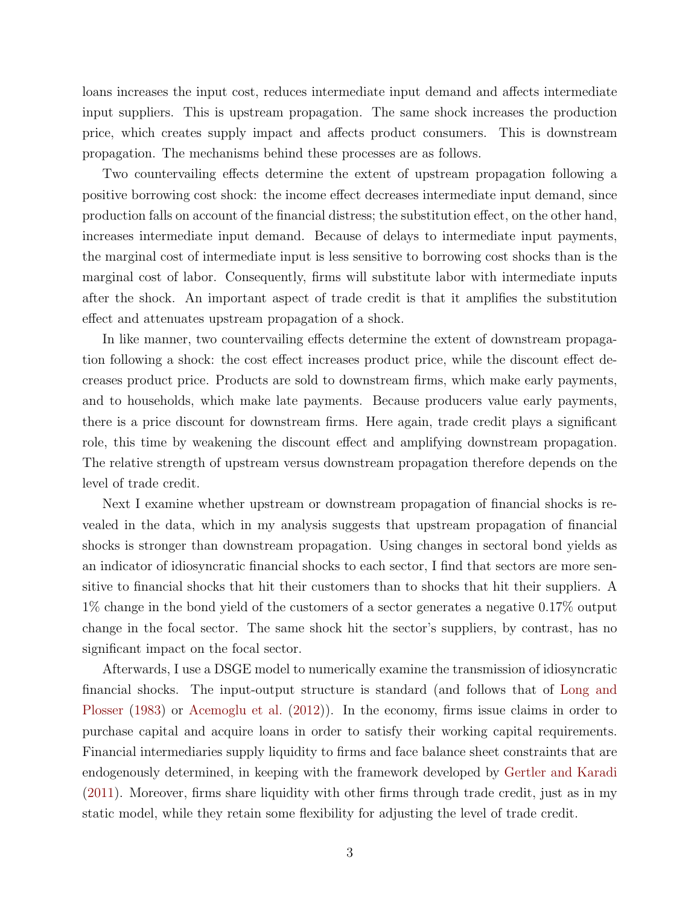loans increases the input cost, reduces intermediate input demand and affects intermediate input suppliers. This is upstream propagation. The same shock increases the production price, which creates supply impact and affects product consumers. This is downstream propagation. The mechanisms behind these processes are as follows.

Two countervailing effects determine the extent of upstream propagation following a positive borrowing cost shock: the income effect decreases intermediate input demand, since production falls on account of the financial distress; the substitution effect, on the other hand, increases intermediate input demand. Because of delays to intermediate input payments, the marginal cost of intermediate input is less sensitive to borrowing cost shocks than is the marginal cost of labor. Consequently, firms will substitute labor with intermediate inputs after the shock. An important aspect of trade credit is that it amplifies the substitution effect and attenuates upstream propagation of a shock.

In like manner, two countervailing effects determine the extent of downstream propagation following a shock: the cost effect increases product price, while the discount effect decreases product price. Products are sold to downstream firms, which make early payments, and to households, which make late payments. Because producers value early payments, there is a price discount for downstream firms. Here again, trade credit plays a significant role, this time by weakening the discount effect and amplifying downstream propagation. The relative strength of upstream versus downstream propagation therefore depends on the level of trade credit.

Next I examine whether upstream or downstream propagation of financial shocks is revealed in the data, which in my analysis suggests that upstream propagation of financial shocks is stronger than downstream propagation. Using changes in sectoral bond yields as an indicator of idiosyncratic financial shocks to each sector, I find that sectors are more sensitive to financial shocks that hit their customers than to shocks that hit their suppliers. A 1% change in the bond yield of the customers of a sector generates a negative 0.17% output change in the focal sector. The same shock hit the sector's suppliers, by contrast, has no significant impact on the focal sector.

Afterwards, I use a DSGE model to numerically examine the transmission of idiosyncratic financial shocks. The input-output structure is standard (and follows that of [Long and](#page-39-0) [Plosser](#page-39-0) [\(1983\)](#page-39-0) or [Acemoglu et al.](#page-37-1) [\(2012\)](#page-37-1)). In the economy, firms issue claims in order to purchase capital and acquire loans in order to satisfy their working capital requirements. Financial intermediaries supply liquidity to firms and face balance sheet constraints that are endogenously determined, in keeping with the framework developed by [Gertler and Karadi](#page-38-0) [\(2011\)](#page-38-0). Moreover, firms share liquidity with other firms through trade credit, just as in my static model, while they retain some flexibility for adjusting the level of trade credit.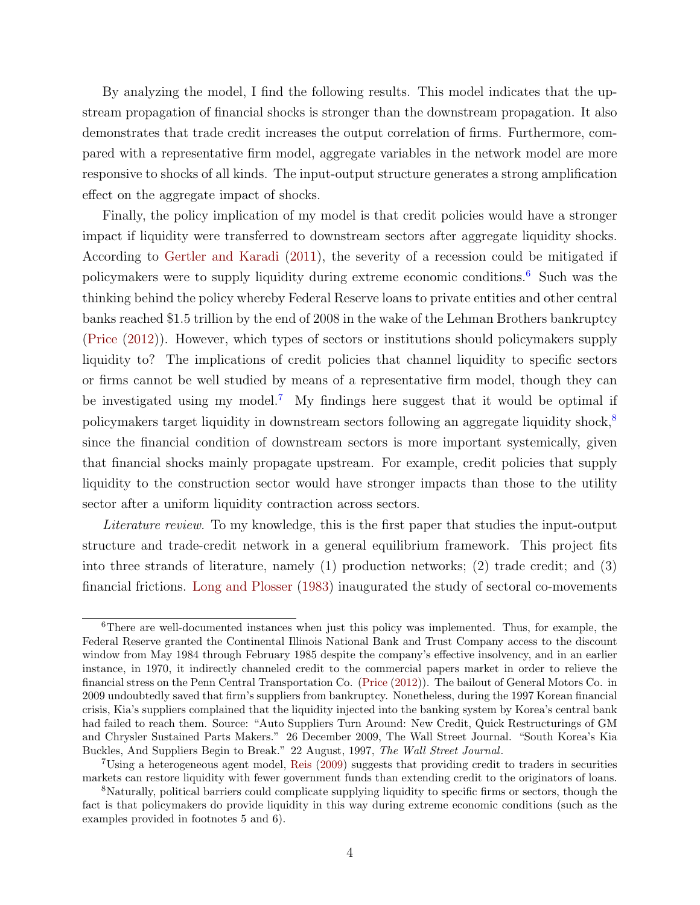By analyzing the model, I find the following results. This model indicates that the upstream propagation of financial shocks is stronger than the downstream propagation. It also demonstrates that trade credit increases the output correlation of firms. Furthermore, compared with a representative firm model, aggregate variables in the network model are more responsive to shocks of all kinds. The input-output structure generates a strong amplification effect on the aggregate impact of shocks.

Finally, the policy implication of my model is that credit policies would have a stronger impact if liquidity were transferred to downstream sectors after aggregate liquidity shocks. According to [Gertler and Karadi](#page-38-0) [\(2011\)](#page-38-0), the severity of a recession could be mitigated if policymakers were to supply liquidity during extreme economic conditions.[6](#page-0-0) Such was the thinking behind the policy whereby Federal Reserve loans to private entities and other central banks reached \$1.5 trillion by the end of 2008 in the wake of the Lehman Brothers bankruptcy [\(Price](#page-39-1) [\(2012\)](#page-39-1)). However, which types of sectors or institutions should policymakers supply liquidity to? The implications of credit policies that channel liquidity to specific sectors or firms cannot be well studied by means of a representative firm model, though they can be investigated using my model.[7](#page-0-0) My findings here suggest that it would be optimal if policymakers target liquidity in downstream sectors following an aggregate liquidity shock,[8](#page-0-0) since the financial condition of downstream sectors is more important systemically, given that financial shocks mainly propagate upstream. For example, credit policies that supply liquidity to the construction sector would have stronger impacts than those to the utility sector after a uniform liquidity contraction across sectors.

Literature review. To my knowledge, this is the first paper that studies the input-output structure and trade-credit network in a general equilibrium framework. This project fits into three strands of literature, namely (1) production networks; (2) trade credit; and (3) financial frictions. [Long and Plosser](#page-39-0) [\(1983\)](#page-39-0) inaugurated the study of sectoral co-movements

<sup>&</sup>lt;sup>6</sup>There are well-documented instances when just this policy was implemented. Thus, for example, the Federal Reserve granted the Continental Illinois National Bank and Trust Company access to the discount window from May 1984 through February 1985 despite the company's effective insolvency, and in an earlier instance, in 1970, it indirectly channeled credit to the commercial papers market in order to relieve the financial stress on the Penn Central Transportation Co. [\(Price](#page-39-1) [\(2012\)](#page-39-1)). The bailout of General Motors Co. in 2009 undoubtedly saved that firm's suppliers from bankruptcy. Nonetheless, during the 1997 Korean financial crisis, Kia's suppliers complained that the liquidity injected into the banking system by Korea's central bank had failed to reach them. Source: "Auto Suppliers Turn Around: New Credit, Quick Restructurings of GM and Chrysler Sustained Parts Makers." 26 December 2009, The Wall Street Journal. "South Korea's Kia Buckles, And Suppliers Begin to Break." 22 August, 1997, The Wall Street Journal.

<sup>7</sup>Using a heterogeneous agent model, [Reis](#page-39-2) [\(2009\)](#page-39-2) suggests that providing credit to traders in securities markets can restore liquidity with fewer government funds than extending credit to the originators of loans.

<sup>8</sup>Naturally, political barriers could complicate supplying liquidity to specific firms or sectors, though the fact is that policymakers do provide liquidity in this way during extreme economic conditions (such as the examples provided in footnotes 5 and 6).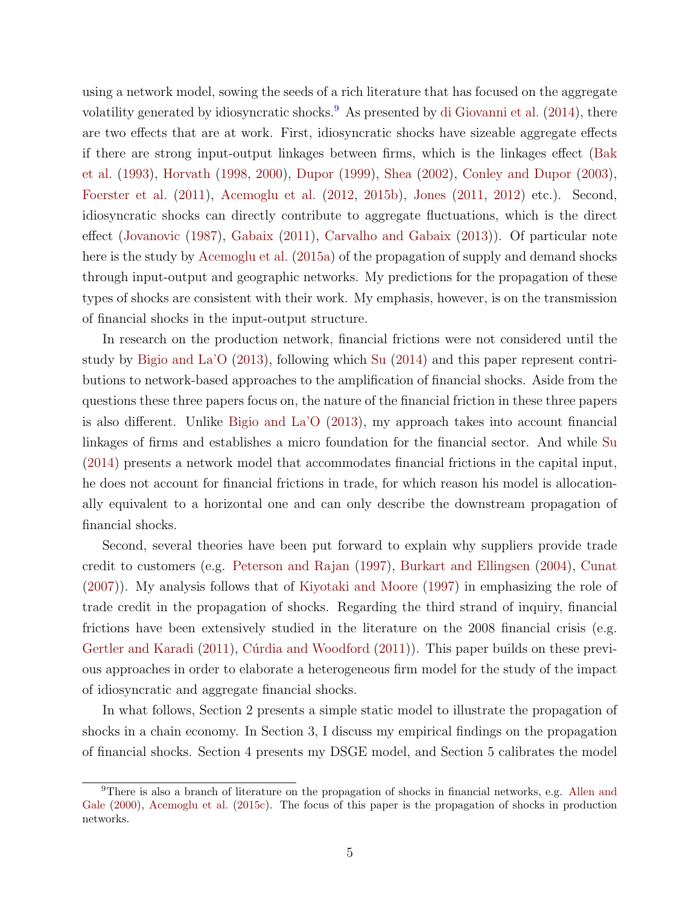using a network model, sowing the seeds of a rich literature that has focused on the aggregate volatility generated by idiosyncratic shocks.<sup>[9](#page-0-0)</sup> As presented by [di Giovanni et al.](#page-38-1)  $(2014)$ , there are two effects that are at work. First, idiosyncratic shocks have sizeable aggregate effects if there are strong input-output linkages between firms, which is the linkages effect [\(Bak](#page-37-2) [et al.](#page-37-2) [\(1993\)](#page-37-2), [Horvath](#page-38-2) [\(1998,](#page-38-2) [2000\)](#page-38-3), [Dupor](#page-38-4) [\(1999\)](#page-38-4), [Shea](#page-39-3) [\(2002\)](#page-39-3), [Conley and Dupor](#page-37-3) [\(2003\)](#page-37-3), [Foerster et al.](#page-38-5) [\(2011\)](#page-38-5), [Acemoglu et al.](#page-37-1) [\(2012,](#page-37-1) [2015b\)](#page-37-4), [Jones](#page-38-6) [\(2011,](#page-38-6) [2012\)](#page-38-7) etc.). Second, idiosyncratic shocks can directly contribute to aggregate fluctuations, which is the direct effect [\(Jovanovic](#page-39-4) [\(1987\)](#page-39-4), [Gabaix](#page-38-8) [\(2011\)](#page-38-8), [Carvalho and Gabaix](#page-37-5) [\(2013\)](#page-37-5)). Of particular note here is the study by [Acemoglu et al.](#page-37-6) [\(2015a\)](#page-37-6) of the propagation of supply and demand shocks through input-output and geographic networks. My predictions for the propagation of these types of shocks are consistent with their work. My emphasis, however, is on the transmission of financial shocks in the input-output structure.

In research on the production network, financial frictions were not considered until the study by [Bigio and La'O](#page-37-7) [\(2013\)](#page-37-7), following which [Su](#page-39-5) [\(2014\)](#page-39-5) and this paper represent contributions to network-based approaches to the amplification of financial shocks. Aside from the questions these three papers focus on, the nature of the financial friction in these three papers is also different. Unlike [Bigio and La'O](#page-37-7) [\(2013\)](#page-37-7), my approach takes into account financial linkages of firms and establishes a micro foundation for the financial sector. And while [Su](#page-39-5) [\(2014\)](#page-39-5) presents a network model that accommodates financial frictions in the capital input, he does not account for financial frictions in trade, for which reason his model is allocationally equivalent to a horizontal one and can only describe the downstream propagation of financial shocks.

Second, several theories have been put forward to explain why suppliers provide trade credit to customers (e.g. [Peterson and Rajan](#page-39-6) [\(1997\)](#page-39-6), [Burkart and Ellingsen](#page-37-8) [\(2004\)](#page-37-8), [Cunat](#page-38-9) [\(2007\)](#page-38-9)). My analysis follows that of [Kiyotaki and Moore](#page-39-7) [\(1997\)](#page-39-7) in emphasizing the role of trade credit in the propagation of shocks. Regarding the third strand of inquiry, financial frictions have been extensively studied in the literature on the 2008 financial crisis (e.g. [Gertler and Karadi](#page-38-0) [\(2011\)](#page-38-10), Cúrdia and Woodford (2011)). This paper builds on these previous approaches in order to elaborate a heterogeneous firm model for the study of the impact of idiosyncratic and aggregate financial shocks.

In what follows, Section 2 presents a simple static model to illustrate the propagation of shocks in a chain economy. In Section 3, I discuss my empirical findings on the propagation of financial shocks. Section 4 presents my DSGE model, and Section 5 calibrates the model

<sup>9</sup>There is also a branch of literature on the propagation of shocks in financial networks, e.g. [Allen and](#page-37-9) [Gale](#page-37-9) [\(2000\)](#page-37-9), [Acemoglu et al.](#page-37-10) [\(2015c\)](#page-37-10). The focus of this paper is the propagation of shocks in production networks.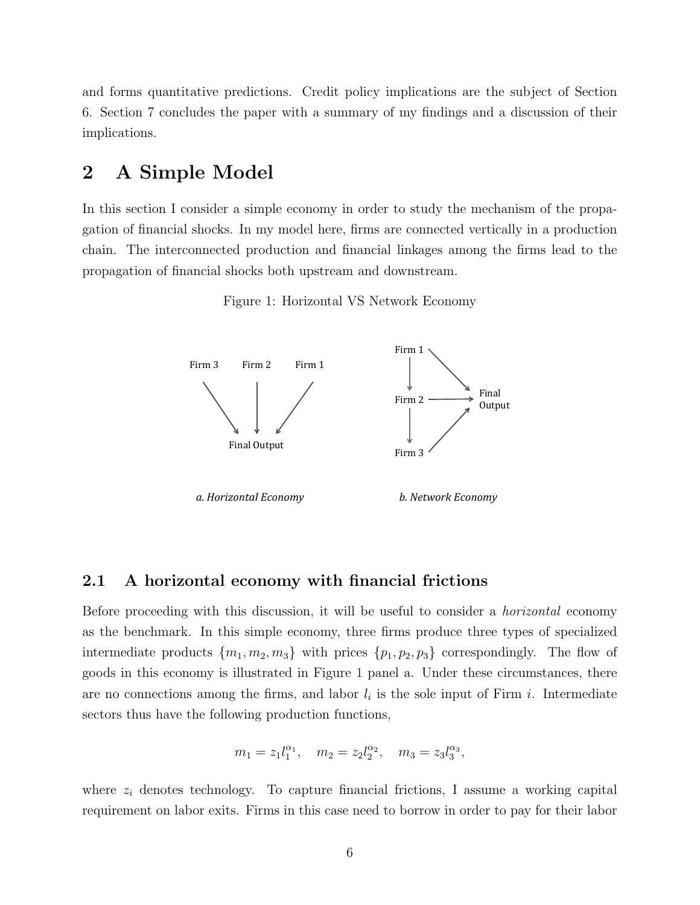and forms quantitative predictions. Credit policy implications are the subject of Section 6. Section 7 concludes the paper with a summary of my findings and a discussion of their implications.

# <span id="page-5-1"></span>2 A Simple Model

<span id="page-5-0"></span>In this section I consider a simple economy in order to study the mechanism of the propagation of financial shocks. In my model here, firms are connected vertically in a production chain. The interconnected production and financial linkages among the firms lead to the propagation of financial shocks both upstream and downstream.

Figure 1: Horizontal VS Network Economy



# 2.1 A horizontal economy with financial frictions

Before proceeding with this discussion, it will be useful to consider a horizontal economy as the benchmark. In this simple economy, three firms produce three types of specialized intermediate products  ${m_1, m_2, m_3}$  with prices  ${p_1, p_2, p_3}$  correspondingly. The flow of goods in this economy is illustrated in Figure [1](#page-5-0) panel a. Under these circumstances, there are no connections among the firms, and labor  $l_i$  is the sole input of Firm i. Intermediate sectors thus have the following production functions,

$$
m_1 = z_1 l_1^{\alpha_1}, \quad m_2 = z_2 l_2^{\alpha_2}, \quad m_3 = z_3 l_3^{\alpha_3},
$$

where  $z_i$  denotes technology. To capture financial frictions, I assume a working capital requirement on labor exits. Firms in this case need to borrow in order to pay for their labor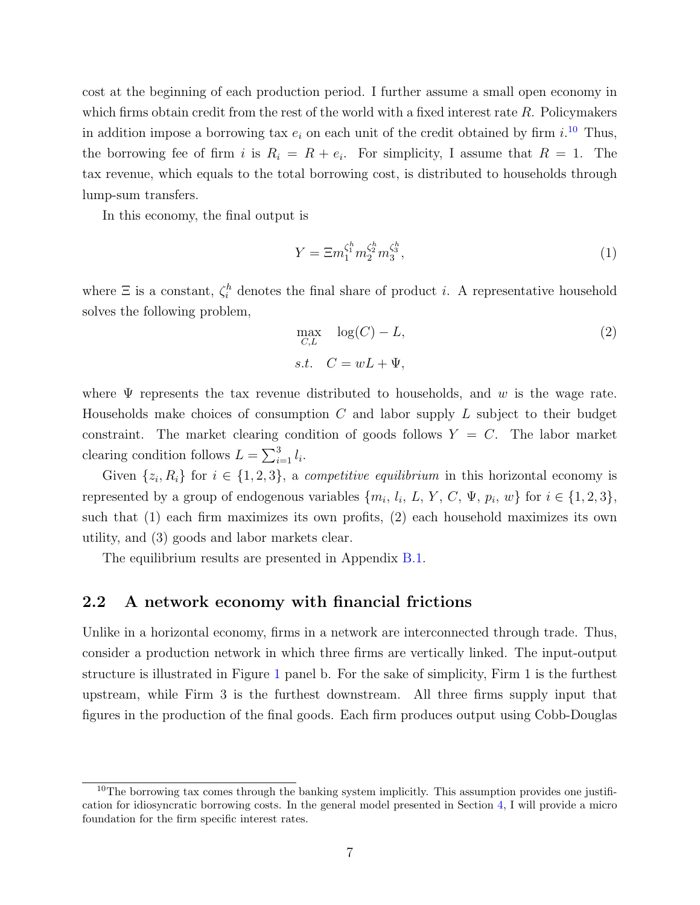cost at the beginning of each production period. I further assume a small open economy in which firms obtain credit from the rest of the world with a fixed interest rate  $R$ . Policymakers in addition impose a borrowing tax  $e_i$  on each unit of the credit obtained by firm i.<sup>[10](#page-0-0)</sup> Thus, the borrowing fee of firm i is  $R_i = R + e_i$ . For simplicity, I assume that  $R = 1$ . The tax revenue, which equals to the total borrowing cost, is distributed to households through lump-sum transfers.

In this economy, the final output is

$$
Y = \Xi m_1^{\zeta_1^h} m_2^{\zeta_2^h} m_3^{\zeta_3^h},\tag{1}
$$

where  $\Xi$  is a constant,  $\zeta_i^h$  denotes the final share of product *i*. A representative household solves the following problem,

<span id="page-6-1"></span><span id="page-6-0"></span>
$$
\max_{C,L} \log(C) - L,\tag{2}
$$
  
s.t.  $C = wL + \Psi$ ,

where  $\Psi$  represents the tax revenue distributed to households, and w is the wage rate. Households make choices of consumption  $C$  and labor supply  $L$  subject to their budget constraint. The market clearing condition of goods follows  $Y = C$ . The labor market clearing condition follows  $L = \sum_{i=1}^{3} l_i$ .

Given  $\{z_i, R_i\}$  for  $i \in \{1, 2, 3\}$ , a *competitive equilibrium* in this horizontal economy is represented by a group of endogenous variables  $\{m_i, l_i, L, Y, C, \Psi, p_i, w\}$  for  $i \in \{1, 2, 3\},$ such that (1) each firm maximizes its own profits, (2) each household maximizes its own utility, and (3) goods and labor markets clear.

The equilibrium results are presented in Appendix [B.1.](#page-42-0)

### 2.2 A network economy with financial frictions

Unlike in a horizontal economy, firms in a network are interconnected through trade. Thus, consider a production network in which three firms are vertically linked. The input-output structure is illustrated in Figure [1](#page-5-0) panel b. For the sake of simplicity, Firm 1 is the furthest upstream, while Firm 3 is the furthest downstream. All three firms supply input that figures in the production of the final goods. Each firm produces output using Cobb-Douglas

 $10$ The borrowing tax comes through the banking system implicitly. This assumption provides one justification for idiosyncratic borrowing costs. In the general model presented in Section [4,](#page-17-0) I will provide a micro foundation for the firm specific interest rates.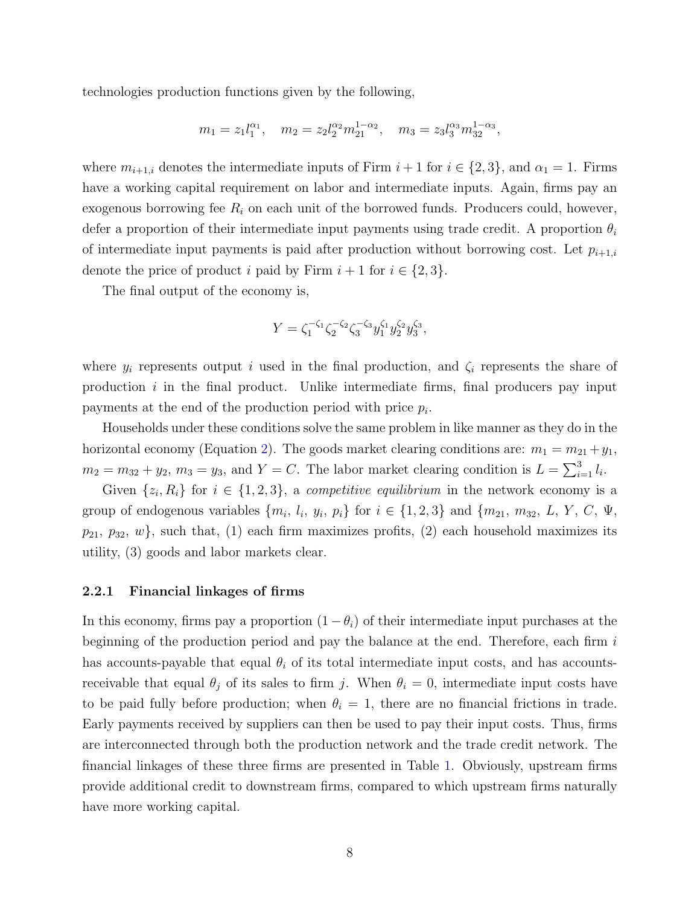technologies production functions given by the following,

$$
m_1 = z_1 l_1^{\alpha_1}, \quad m_2 = z_2 l_2^{\alpha_2} m_{21}^{1-\alpha_2}, \quad m_3 = z_3 l_3^{\alpha_3} m_{32}^{1-\alpha_3},
$$

where  $m_{i+1,i}$  denotes the intermediate inputs of Firm  $i+1$  for  $i \in \{2,3\}$ , and  $\alpha_1 = 1$ . Firms have a working capital requirement on labor and intermediate inputs. Again, firms pay an exogenous borrowing fee  $R_i$  on each unit of the borrowed funds. Producers could, however, defer a proportion of their intermediate input payments using trade credit. A proportion  $\theta_i$ of intermediate input payments is paid after production without borrowing cost. Let  $p_{i+1,i}$ denote the price of product i paid by Firm  $i + 1$  for  $i \in \{2, 3\}.$ 

The final output of the economy is,

$$
Y = \zeta_1^{-\zeta_1} \zeta_2^{-\zeta_2} \zeta_3^{-\zeta_3} y_1^{\zeta_1} y_2^{\zeta_2} y_3^{\zeta_3},
$$

where  $y_i$  represents output i used in the final production, and  $\zeta_i$  represents the share of production  $i$  in the final product. Unlike intermediate firms, final producers pay input payments at the end of the production period with price  $p_i$ .

Households under these conditions solve the same problem in like manner as they do in the horizontal economy (Equation [2\)](#page-6-0). The goods market clearing conditions are:  $m_1 = m_{21} + y_1$ ,  $m_2 = m_{32} + y_2, m_3 = y_3$ , and  $Y = C$ . The labor market clearing condition is  $L = \sum_{i=1}^{3} l_i$ .

Given  $\{z_i, R_i\}$  for  $i \in \{1, 2, 3\}$ , a *competitive equilibrium* in the network economy is a group of endogenous variables  $\{m_i, l_i, y_i, p_i\}$  for  $i \in \{1, 2, 3\}$  and  $\{m_{21}, m_{32}, L, Y, C, \Psi, \Psi\}$  $p_{21}, p_{32}, w$ , such that, (1) each firm maximizes profits, (2) each household maximizes its utility, (3) goods and labor markets clear.

#### 2.2.1 Financial linkages of firms

In this economy, firms pay a proportion  $(1 - \theta_i)$  of their intermediate input purchases at the beginning of the production period and pay the balance at the end. Therefore, each firm  $i$ has accounts-payable that equal  $\theta_i$  of its total intermediate input costs, and has accountsreceivable that equal  $\theta_j$  of its sales to firm j. When  $\theta_i = 0$ , intermediate input costs have to be paid fully before production; when  $\theta_i = 1$ , there are no financial frictions in trade. Early payments received by suppliers can then be used to pay their input costs. Thus, firms are interconnected through both the production network and the trade credit network. The financial linkages of these three firms are presented in Table [1.](#page-8-0) Obviously, upstream firms provide additional credit to downstream firms, compared to which upstream firms naturally have more working capital.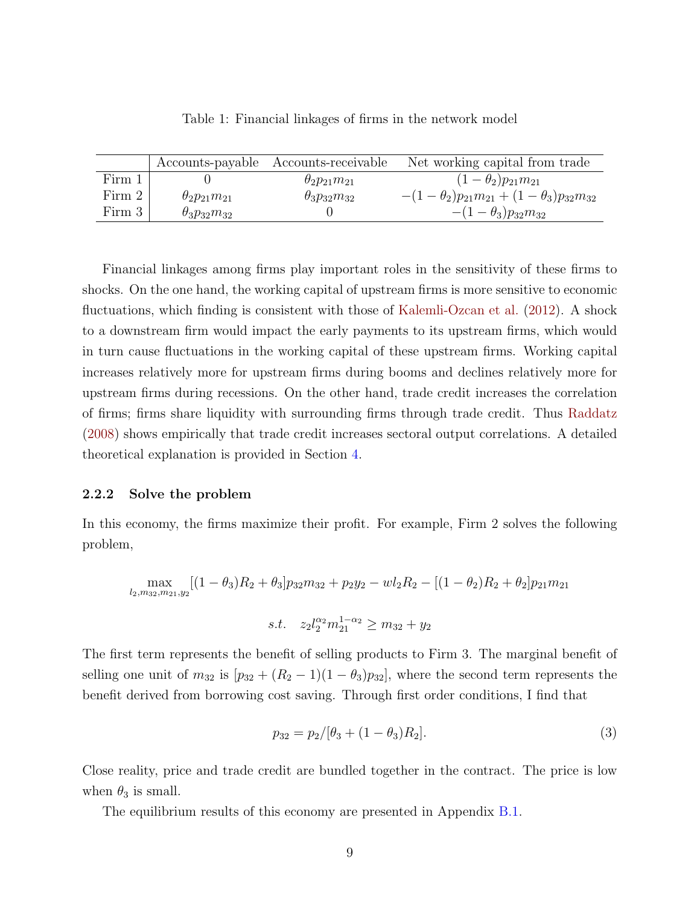<span id="page-8-0"></span>

|        |                          | Accounts-payable Accounts-receivable | Net working capital from trade                       |
|--------|--------------------------|--------------------------------------|------------------------------------------------------|
| Firm 1 |                          | $\theta_2 p_{21} m_{21}$             | $(1 - \theta_2) p_{21} m_{21}$                       |
| Firm 2 | $\theta_2 p_{21} m_{21}$ | $\theta_3 p_{32} m_{32}$             | $-(1-\theta_2)p_{21}m_{21}+(1-\theta_3)p_{32}m_{32}$ |
| Firm 3 | $\theta_3 p_{32} m_{32}$ |                                      | $-(1-\theta_3)p_{32}m_{32}$                          |

Table 1: Financial linkages of firms in the network model

Financial linkages among firms play important roles in the sensitivity of these firms to shocks. On the one hand, the working capital of upstream firms is more sensitive to economic fluctuations, which finding is consistent with those of [Kalemli-Ozcan et al.](#page-39-8) [\(2012\)](#page-39-8). A shock to a downstream firm would impact the early payments to its upstream firms, which would in turn cause fluctuations in the working capital of these upstream firms. Working capital increases relatively more for upstream firms during booms and declines relatively more for upstream firms during recessions. On the other hand, trade credit increases the correlation of firms; firms share liquidity with surrounding firms through trade credit. Thus [Raddatz](#page-39-9) [\(2008\)](#page-39-9) shows empirically that trade credit increases sectoral output correlations. A detailed theoretical explanation is provided in Section [4.](#page-17-0)

#### 2.2.2 Solve the problem

In this economy, the firms maximize their profit. For example, Firm 2 solves the following problem,

$$
\max_{l_2, m_{32}, m_{21}, y_2} [(1 - \theta_3)R_2 + \theta_3] p_{32} m_{32} + p_2 y_2 - w l_2 R_2 - [(1 - \theta_2)R_2 + \theta_2] p_{21} m_{21}
$$
  
s.t.  $z_2 l_2^{\alpha_2} m_{21}^{1 - \alpha_2} \ge m_{32} + y_2$ 

The first term represents the benefit of selling products to Firm 3. The marginal benefit of selling one unit of  $m_{32}$  is  $[p_{32} + (R_2 - 1)(1 - \theta_3)p_{32}]$ , where the second term represents the benefit derived from borrowing cost saving. Through first order conditions, I find that

$$
p_{32} = p_2/[\theta_3 + (1 - \theta_3)R_2].
$$
\n(3)

Close reality, price and trade credit are bundled together in the contract. The price is low when  $\theta_3$  is small.

The equilibrium results of this economy are presented in Appendix [B.1.](#page-42-0)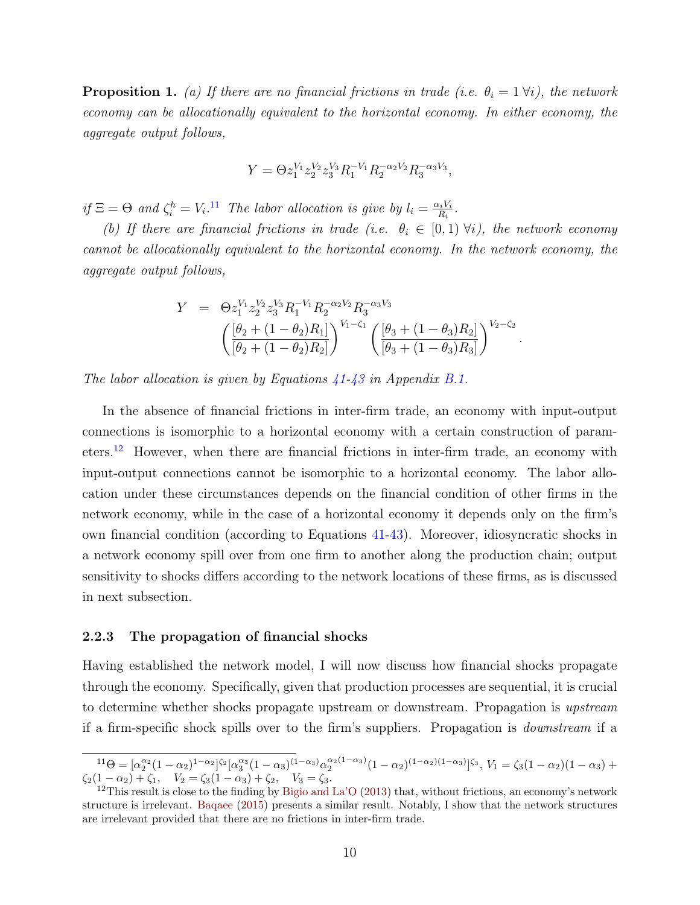**Proposition 1.** (a) If there are no financial frictions in trade (i.e.  $\theta_i = 1 \forall i$ ), the network economy can be allocationally equivalent to the horizontal economy. In either economy, the aggregate output follows,

$$
Y=\Theta z_1^{V_1}z_2^{V_2}z_3^{V_3}R_1^{-V_1}R_2^{-\alpha_2V_2}R_3^{-\alpha_3V_3},
$$

if  $\Xi = \Theta$  and  $\zeta_i^h = V_i$ .<sup>[11](#page-0-0)</sup> The labor allocation is give by  $l_i = \frac{\alpha_i V_i}{R_i}$  $\frac{\alpha_i V_i}{R_i}$  .

(b) If there are financial frictions in trade (i.e.  $\theta_i \in [0,1)$   $\forall i$ ), the network economy cannot be allocationally equivalent to the horizontal economy. In the network economy, the aggregate output follows,

$$
Y = \Theta z_1^{V_1} z_2^{V_2} z_3^{V_3} R_1^{-V_1} R_2^{-\alpha_2 V_2} R_3^{-\alpha_3 V_3}
$$

$$
\left( \frac{[\theta_2 + (1 - \theta_2)R_1]}{[\theta_2 + (1 - \theta_2)R_2]} \right)^{V_1 - \zeta_1} \left( \frac{[\theta_3 + (1 - \theta_3)R_2]}{[\theta_3 + (1 - \theta_3)R_3]} \right)^{V_2 - \zeta_2}.
$$

The labor allocation is given by Equations  $41-43$  in Appendix [B.1.](#page-42-0)

In the absence of financial frictions in inter-firm trade, an economy with input-output connections is isomorphic to a horizontal economy with a certain construction of param-eters.<sup>[12](#page-0-0)</sup> However, when there are financial frictions in inter-firm trade, an economy with input-output connections cannot be isomorphic to a horizontal economy. The labor allocation under these circumstances depends on the financial condition of other firms in the network economy, while in the case of a horizontal economy it depends only on the firm's own financial condition (according to Equations [41-43\)](#page-42-1). Moreover, idiosyncratic shocks in a network economy spill over from one firm to another along the production chain; output sensitivity to shocks differs according to the network locations of these firms, as is discussed in next subsection.

#### 2.2.3 The propagation of financial shocks

Having established the network model, I will now discuss how financial shocks propagate through the economy. Specifically, given that production processes are sequential, it is crucial to determine whether shocks propagate upstream or downstream. Propagation is upstream if a firm-specific shock spills over to the firm's suppliers. Propagation is downstream if a

 $11\Theta = [\alpha_2^{\alpha_2}(1-\alpha_2)^{1-\alpha_2}]^{\zeta_2} [\alpha_3^{\alpha_3}(1-\alpha_3)^{(1-\alpha_3)}\alpha_2^{\alpha_2(1-\alpha_3)}(1-\alpha_2)^{(1-\alpha_2)(1-\alpha_3)}]^{\zeta_3}, V_1 = \zeta_3(1-\alpha_2)(1-\alpha_3) +$  $\zeta_2(1-\alpha_2)+\zeta_1, \quad V_2=\zeta_3(1-\alpha_3)+\zeta_2, \quad V_3=\zeta_3.$ 

 $12$ This result is close to the finding by [Bigio and La'O](#page-37-7) [\(2013\)](#page-37-7) that, without frictions, an economy's network structure is irrelevant. [Baqaee](#page-37-11) [\(2015\)](#page-37-11) presents a similar result. Notably, I show that the network structures are irrelevant provided that there are no frictions in inter-firm trade.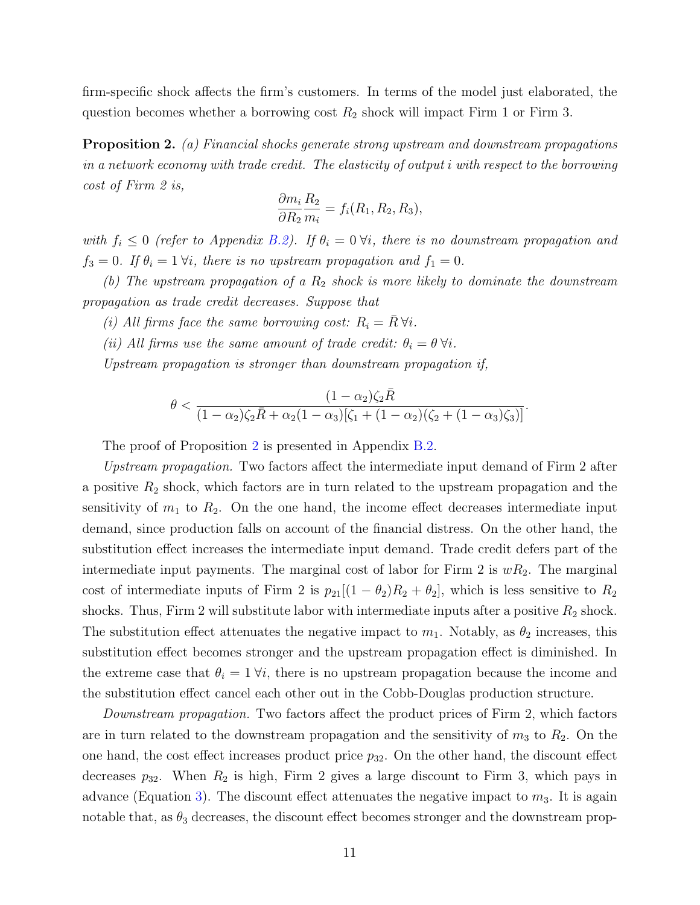firm-specific shock affects the firm's customers. In terms of the model just elaborated, the question becomes whether a borrowing cost  $R_2$  shock will impact Firm 1 or Firm 3.

<span id="page-10-0"></span>Proposition 2. (a) Financial shocks generate strong upstream and downstream propagations in a network economy with trade credit. The elasticity of output i with respect to the borrowing cost of Firm 2 is,

$$
\frac{\partial m_i}{\partial R_2} \frac{R_2}{m_i} = f_i(R_1, R_2, R_3),
$$

with  $f_i \leq 0$  (refer to Appendix [B.2\)](#page-43-0). If  $\theta_i = 0$   $\forall i$ , there is no downstream propagation and  $f_3 = 0$ . If  $\theta_i = 1 \forall i$ , there is no upstream propagation and  $f_1 = 0$ .

(b) The upstream propagation of a  $R_2$  shock is more likely to dominate the downstream propagation as trade credit decreases. Suppose that

- (i) All firms face the same borrowing cost:  $R_i = R \,\forall i$ .
- (ii) All firms use the same amount of trade credit:  $\theta_i = \theta \,\forall i$ .

Upstream propagation is stronger than downstream propagation if,

$$
\theta < \frac{(1-\alpha_2)\zeta_2 \bar{R}}{(1-\alpha_2)\zeta_2 \bar{R} + \alpha_2(1-\alpha_3)[\zeta_1 + (1-\alpha_2)(\zeta_2 + (1-\alpha_3)\zeta_3)]}.
$$

The proof of Proposition [2](#page-10-0) is presented in Appendix [B.2.](#page-43-0)

Upstream propagation. Two factors affect the intermediate input demand of Firm 2 after a positive  $R_2$  shock, which factors are in turn related to the upstream propagation and the sensitivity of  $m_1$  to  $R_2$ . On the one hand, the income effect decreases intermediate input demand, since production falls on account of the financial distress. On the other hand, the substitution effect increases the intermediate input demand. Trade credit defers part of the intermediate input payments. The marginal cost of labor for Firm 2 is  $wR_2$ . The marginal cost of intermediate inputs of Firm 2 is  $p_{21}[(1 - \theta_2)R_2 + \theta_2]$ , which is less sensitive to  $R_2$ shocks. Thus, Firm 2 will substitute labor with intermediate inputs after a positive  $R_2$  shock. The substitution effect attenuates the negative impact to  $m_1$ . Notably, as  $\theta_2$  increases, this substitution effect becomes stronger and the upstream propagation effect is diminished. In the extreme case that  $\theta_i = 1 \forall i$ , there is no upstream propagation because the income and the substitution effect cancel each other out in the Cobb-Douglas production structure.

Downstream propagation. Two factors affect the product prices of Firm 2, which factors are in turn related to the downstream propagation and the sensitivity of  $m_3$  to  $R_2$ . On the one hand, the cost effect increases product price  $p_{32}$ . On the other hand, the discount effect decreases  $p_{32}$ . When  $R_2$  is high, Firm 2 gives a large discount to Firm 3, which pays in advance (Equation [3\)](#page-6-1). The discount effect attenuates the negative impact to  $m_3$ . It is again notable that, as  $\theta_3$  decreases, the discount effect becomes stronger and the downstream prop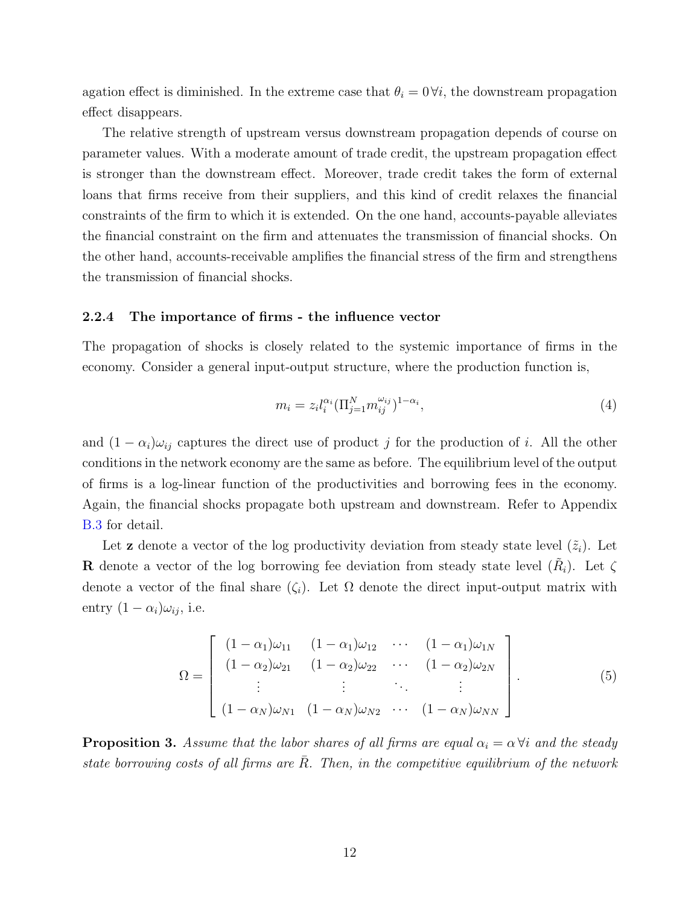agation effect is diminished. In the extreme case that  $\theta_i = 0 \forall i$ , the downstream propagation effect disappears.

The relative strength of upstream versus downstream propagation depends of course on parameter values. With a moderate amount of trade credit, the upstream propagation effect is stronger than the downstream effect. Moreover, trade credit takes the form of external loans that firms receive from their suppliers, and this kind of credit relaxes the financial constraints of the firm to which it is extended. On the one hand, accounts-payable alleviates the financial constraint on the firm and attenuates the transmission of financial shocks. On the other hand, accounts-receivable amplifies the financial stress of the firm and strengthens the transmission of financial shocks.

#### <span id="page-11-0"></span>2.2.4 The importance of firms - the influence vector

The propagation of shocks is closely related to the systemic importance of firms in the economy. Consider a general input-output structure, where the production function is,

$$
m_i = z_i l_i^{\alpha_i} (\Pi_{j=1}^N m_{ij}^{\omega_{ij}})^{1-\alpha_i}, \tag{4}
$$

and  $(1 - \alpha_i)\omega_{ij}$  captures the direct use of product j for the production of i. All the other conditions in the network economy are the same as before. The equilibrium level of the output of firms is a log-linear function of the productivities and borrowing fees in the economy. Again, the financial shocks propagate both upstream and downstream. Refer to Appendix [B.3](#page-45-0) for detail.

Let **z** denote a vector of the log productivity deviation from steady state level  $(\tilde{z}_i)$ . Let **R** denote a vector of the log borrowing fee deviation from steady state level  $(\tilde{R}_i)$ . Let  $\zeta$ denote a vector of the final share  $(\zeta_i)$ . Let  $\Omega$  denote the direct input-output matrix with entry  $(1 - \alpha_i)\omega_{ij}$ , i.e.

<span id="page-11-1"></span>
$$
\Omega = \begin{bmatrix}\n(1 - \alpha_1)\omega_{11} & (1 - \alpha_1)\omega_{12} & \cdots & (1 - \alpha_1)\omega_{1N} \\
(1 - \alpha_2)\omega_{21} & (1 - \alpha_2)\omega_{22} & \cdots & (1 - \alpha_2)\omega_{2N} \\
\vdots & \vdots & \ddots & \vdots \\
(1 - \alpha_N)\omega_{N1} & (1 - \alpha_N)\omega_{N2} & \cdots & (1 - \alpha_N)\omega_{NN}\n\end{bmatrix}.
$$
\n(5)

<span id="page-11-2"></span>**Proposition 3.** Assume that the labor shares of all firms are equal  $\alpha_i = \alpha \forall i$  and the steady state borrowing costs of all firms are  $\overline{R}$ . Then, in the competitive equilibrium of the network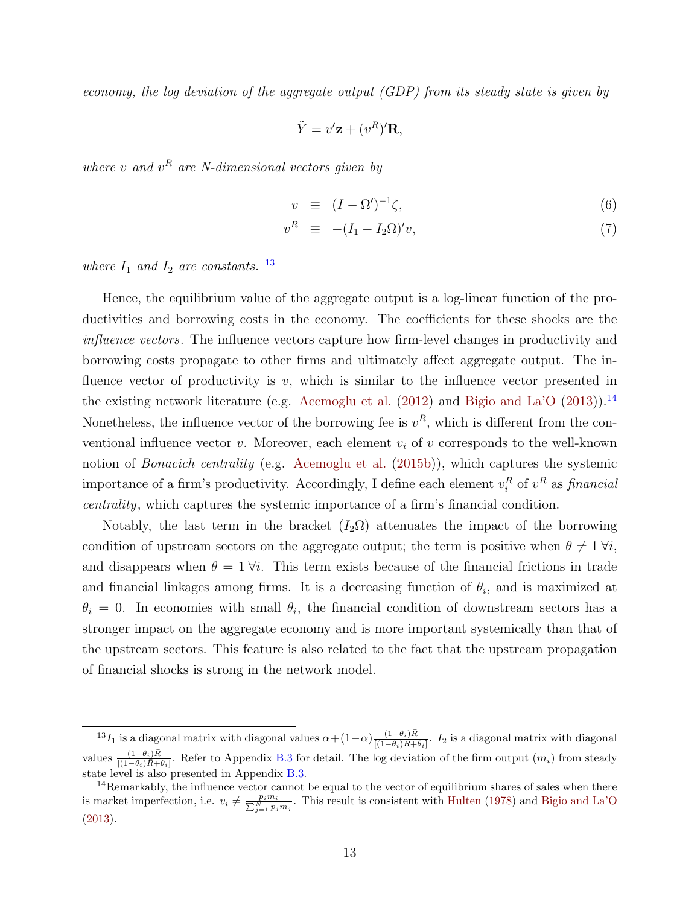economy, the log deviation of the aggregate output (GDP) from its steady state is given by

$$
\tilde{Y} = v'\mathbf{z} + (v^R)'\mathbf{R},
$$

where v and  $v^R$  are N-dimensional vectors given by

$$
v \equiv (I - \Omega')^{-1} \zeta,\tag{6}
$$

$$
v^R \equiv -(I_1 - I_2 \Omega)' v, \tag{7}
$$

where  $I_1$  and  $I_2$  are constants. <sup>[13](#page-0-0)</sup>

Hence, the equilibrium value of the aggregate output is a log-linear function of the productivities and borrowing costs in the economy. The coefficients for these shocks are the influence vectors. The influence vectors capture how firm-level changes in productivity and borrowing costs propagate to other firms and ultimately affect aggregate output. The influence vector of productivity is  $v$ , which is similar to the influence vector presented in the existing network literature (e.g. [Acemoglu et al.](#page-37-1)  $(2012)$  and [Bigio and La'O](#page-37-7)  $(2013)$ ).<sup>[14](#page-0-0)</sup> Nonetheless, the influence vector of the borrowing fee is  $v^R$ , which is different from the conventional influence vector v. Moreover, each element  $v_i$  of v corresponds to the well-known notion of Bonacich centrality (e.g. [Acemoglu et al.](#page-37-4) [\(2015b\)](#page-37-4)), which captures the systemic importance of a firm's productivity. Accordingly, I define each element  $v_i^R$  of  $v^R$  as *financial* centrality, which captures the systemic importance of a firm's financial condition.

Notably, the last term in the bracket  $(I_2\Omega)$  attenuates the impact of the borrowing condition of upstream sectors on the aggregate output; the term is positive when  $\theta \neq 1 \forall i$ , and disappears when  $\theta = 1$   $\forall i$ . This term exists because of the financial frictions in trade and financial linkages among firms. It is a decreasing function of  $\theta_i$ , and is maximized at  $\theta_i = 0$ . In economies with small  $\theta_i$ , the financial condition of downstream sectors has a stronger impact on the aggregate economy and is more important systemically than that of the upstream sectors. This feature is also related to the fact that the upstream propagation of financial shocks is strong in the network model.

<sup>&</sup>lt;sup>13</sup>I<sub>1</sub> is a diagonal matrix with diagonal values  $\alpha + (1-\alpha) \frac{(1-\theta_i)\bar{R}}{[(1-\theta_i)\bar{R}+1]}$  $\frac{(1-\theta_i)R}{[(1-\theta_i)R+\theta_i]}$ . I<sub>2</sub> is a diagonal matrix with diagonal values  $\frac{(1-\theta_i)\bar{R}}{[(1-\theta_i)\bar{R}+\theta_i]}$ . Refer to Appendix [B.3](#page-45-0) for detail. The log deviation of the firm output  $(m_i)$  from steady state level is also presented in Appendix [B.3.](#page-45-0)

 $14$ Remarkably, the influence vector cannot be equal to the vector of equilibrium shares of sales when there is market imperfection, i.e.  $v_i \neq \frac{p_i m_i}{\sum_{j=1}^N p_j m_j}$ . This result is consistent with [Hulten](#page-38-11) [\(1978\)](#page-38-11) and [Bigio and La'O](#page-37-7) [\(2013\)](#page-37-7).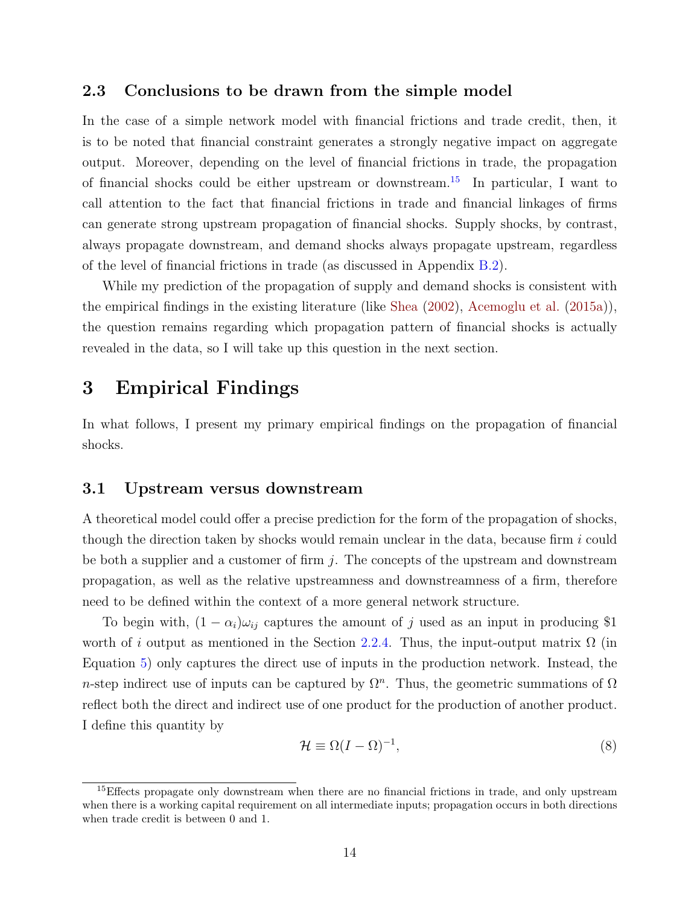### 2.3 Conclusions to be drawn from the simple model

In the case of a simple network model with financial frictions and trade credit, then, it is to be noted that financial constraint generates a strongly negative impact on aggregate output. Moreover, depending on the level of financial frictions in trade, the propagation of financial shocks could be either upstream or downstream.[15](#page-0-0) In particular, I want to call attention to the fact that financial frictions in trade and financial linkages of firms can generate strong upstream propagation of financial shocks. Supply shocks, by contrast, always propagate downstream, and demand shocks always propagate upstream, regardless of the level of financial frictions in trade (as discussed in Appendix [B.2\)](#page-43-0).

While my prediction of the propagation of supply and demand shocks is consistent with the empirical findings in the existing literature (like [Shea](#page-39-3) [\(2002\)](#page-39-3), [Acemoglu et al.](#page-37-6) [\(2015a\)](#page-37-6)), the question remains regarding which propagation pattern of financial shocks is actually revealed in the data, so I will take up this question in the next section.

# <span id="page-13-0"></span>3 Empirical Findings

In what follows, I present my primary empirical findings on the propagation of financial shocks.

## 3.1 Upstream versus downstream

A theoretical model could offer a precise prediction for the form of the propagation of shocks, though the direction taken by shocks would remain unclear in the data, because firm  $i$  could be both a supplier and a customer of firm  $j$ . The concepts of the upstream and downstream propagation, as well as the relative upstreamness and downstreamness of a firm, therefore need to be defined within the context of a more general network structure.

To begin with,  $(1 - \alpha_i)\omega_{ij}$  captures the amount of j used as an input in producing \$1 worth of i output as mentioned in the Section [2.2.4.](#page-11-0) Thus, the input-output matrix  $\Omega$  (in Equation [5\)](#page-11-1) only captures the direct use of inputs in the production network. Instead, the n-step indirect use of inputs can be captured by  $\Omega^n$ . Thus, the geometric summations of  $\Omega$ reflect both the direct and indirect use of one product for the production of another product. I define this quantity by

$$
\mathcal{H} \equiv \Omega (I - \Omega)^{-1},\tag{8}
$$

<sup>&</sup>lt;sup>15</sup>Effects propagate only downstream when there are no financial frictions in trade, and only upstream when there is a working capital requirement on all intermediate inputs; propagation occurs in both directions when trade credit is between 0 and 1.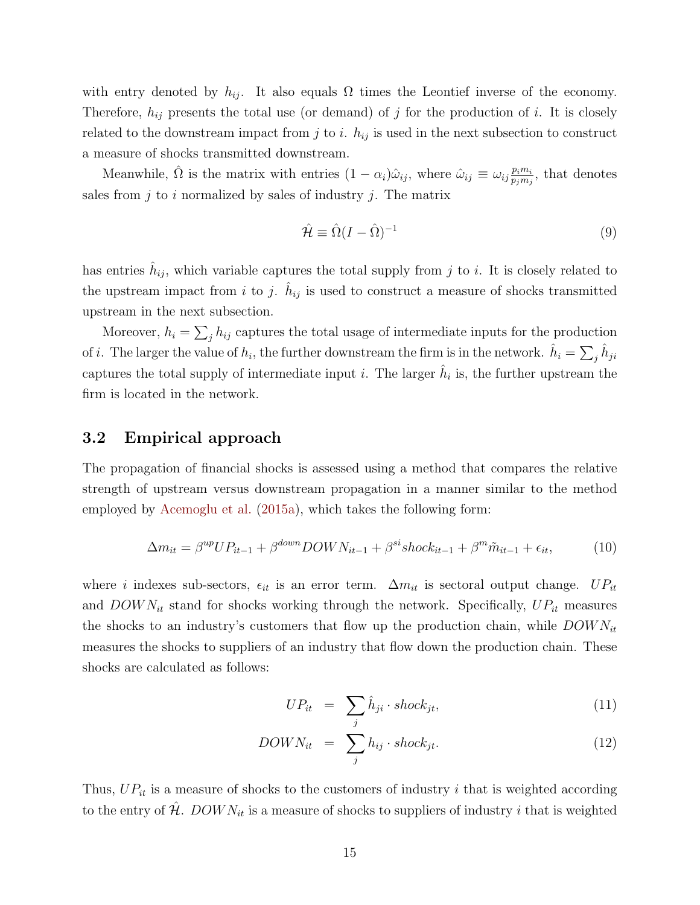with entry denoted by  $h_{ij}$ . It also equals  $\Omega$  times the Leontief inverse of the economy. Therefore,  $h_{ij}$  presents the total use (or demand) of j for the production of i. It is closely related to the downstream impact from j to i.  $h_{ij}$  is used in the next subsection to construct a measure of shocks transmitted downstream.

Meanwhile,  $\hat{\Omega}$  is the matrix with entries  $(1 - \alpha_i)\hat{\omega}_{ij}$ , where  $\hat{\omega}_{ij} \equiv \omega_{ij} \frac{p_i m_i}{p_i m_j}$  $\frac{p_i m_i}{p_j m_j}$ , that denotes sales from  $j$  to  $i$  normalized by sales of industry  $j$ . The matrix

$$
\hat{\mathcal{H}} \equiv \hat{\Omega}(I - \hat{\Omega})^{-1} \tag{9}
$$

has entries  $\hat{h}_{ij}$ , which variable captures the total supply from j to i. It is closely related to the upstream impact from i to j.  $\hat{h}_{ij}$  is used to construct a measure of shocks transmitted upstream in the next subsection.

Moreover,  $h_i = \sum_j h_{ij}$  captures the total usage of intermediate inputs for the production of *i*. The larger the value of  $h_i$ , the further downstream the firm is in the network.  $\hat{h}_i = \sum_j \hat{h}_{ji}$ captures the total supply of intermediate input *i*. The larger  $\hat{h}_i$  is, the further upstream the firm is located in the network.

### 3.2 Empirical approach

The propagation of financial shocks is assessed using a method that compares the relative strength of upstream versus downstream propagation in a manner similar to the method employed by [Acemoglu et al.](#page-37-6) [\(2015a\)](#page-37-6), which takes the following form:

<span id="page-14-0"></span>
$$
\Delta m_{it} = \beta^{up} UP_{it-1} + \beta^{down} DOMN_{it-1} + \beta^{si} shock_{it-1} + \beta^m \tilde{m}_{it-1} + \epsilon_{it},\tag{10}
$$

where i indexes sub-sectors,  $\epsilon_{it}$  is an error term.  $\Delta m_{it}$  is sectoral output change.  $UP_{it}$ and  $DOWN_{it}$  stand for shocks working through the network. Specifically,  $UP_{it}$  measures the shocks to an industry's customers that flow up the production chain, while  $DOWN_{it}$ measures the shocks to suppliers of an industry that flow down the production chain. These shocks are calculated as follows:

<span id="page-14-1"></span>
$$
UP_{it} = \sum_{j} \hat{h}_{ji} \cdot shock_{jt}, \qquad (11)
$$

$$
DOWN_{it} = \sum_{j} h_{ij} \cdot shock_{jt}.
$$
 (12)

Thus,  $UP_{it}$  is a measure of shocks to the customers of industry i that is weighted according to the entry of  $\hat{\mathcal{H}}$ . DOW  $N_{it}$  is a measure of shocks to suppliers of industry i that is weighted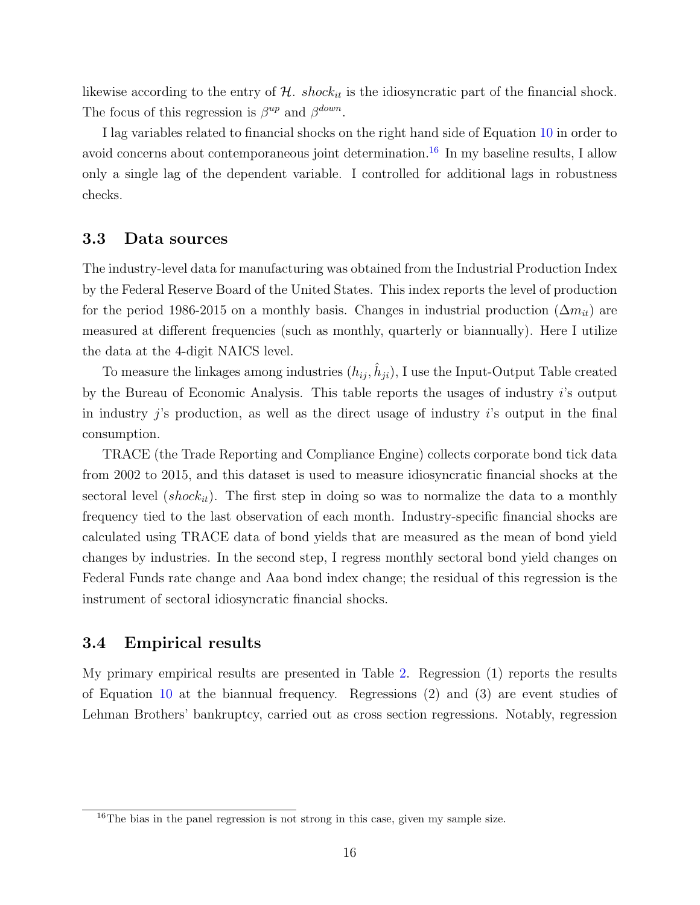likewise according to the entry of  $H$ . shock<sub>it</sub> is the idiosyncratic part of the financial shock. The focus of this regression is  $\beta^{up}$  and  $\beta^{down}$ .

I lag variables related to financial shocks on the right hand side of Equation [10](#page-14-0) in order to avoid concerns about contemporaneous joint determination.<sup>[16](#page-0-0)</sup> In my baseline results, I allow only a single lag of the dependent variable. I controlled for additional lags in robustness checks.

### 3.3 Data sources

The industry-level data for manufacturing was obtained from the Industrial Production Index by the Federal Reserve Board of the United States. This index reports the level of production for the period 1986-2015 on a monthly basis. Changes in industrial production  $(\Delta m_{it})$  are measured at different frequencies (such as monthly, quarterly or biannually). Here I utilize the data at the 4-digit NAICS level.

To measure the linkages among industries  $(h_{ij}, \hat{h}_{ji})$ , I use the Input-Output Table created by the Bureau of Economic Analysis. This table reports the usages of industry i's output in industry  $i$ 's production, as well as the direct usage of industry  $i$ 's output in the final consumption.

TRACE (the Trade Reporting and Compliance Engine) collects corporate bond tick data from 2002 to 2015, and this dataset is used to measure idiosyncratic financial shocks at the sectoral level (shock<sub>it</sub>). The first step in doing so was to normalize the data to a monthly frequency tied to the last observation of each month. Industry-specific financial shocks are calculated using TRACE data of bond yields that are measured as the mean of bond yield changes by industries. In the second step, I regress monthly sectoral bond yield changes on Federal Funds rate change and Aaa bond index change; the residual of this regression is the instrument of sectoral idiosyncratic financial shocks.

### 3.4 Empirical results

My primary empirical results are presented in Table [2.](#page-16-0) Regression (1) reports the results of Equation [10](#page-14-0) at the biannual frequency. Regressions (2) and (3) are event studies of Lehman Brothers' bankruptcy, carried out as cross section regressions. Notably, regression

 $16$ The bias in the panel regression is not strong in this case, given my sample size.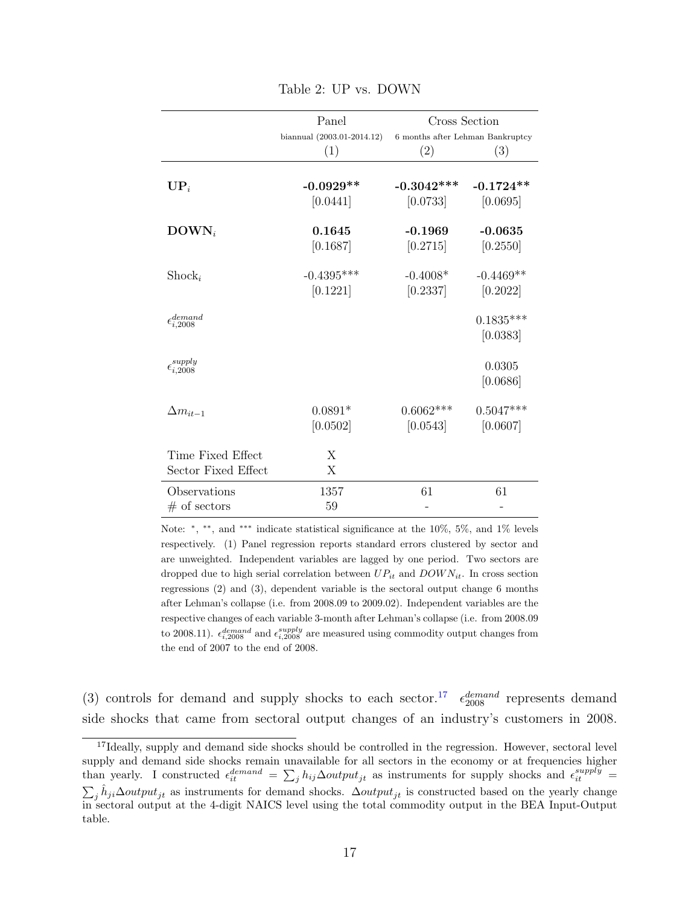<span id="page-16-0"></span>

|                              | Panel                      | Cross Section                    |             |
|------------------------------|----------------------------|----------------------------------|-------------|
|                              | biannual (2003.01-2014.12) | 6 months after Lehman Bankruptcy |             |
|                              | (1)                        | (2)                              | (3)         |
|                              |                            |                                  |             |
| $\mathbf{UP}_i$              | $-0.0929**$                | $-0.3042***$                     | $-0.1724**$ |
|                              | [0.0441]                   | $[0.0733]$                       | [0.0695]    |
| $\text{DOWN}_i$              | 0.1645                     | $-0.1969$                        | $-0.0635$   |
|                              | [0.1687]                   | [0.2715]                         | [0.2550]    |
|                              |                            |                                  |             |
| $\text{Shock}_i$             | $-0.4395***$               | $-0.4008*$                       | $-0.4469**$ |
|                              | [0.1221]                   | [0.2337]                         | [0.2022]    |
| $\epsilon_{i,2008}^{demand}$ |                            |                                  | $0.1835***$ |
|                              |                            |                                  | [0.0383]    |
|                              |                            |                                  |             |
| $\epsilon_{i,2008}^{supply}$ |                            |                                  | 0.0305      |
|                              |                            |                                  | [0.0686]    |
|                              |                            |                                  |             |
| $\Delta m_{it-1}$            | $0.0891*$                  | $0.6062***$                      | $0.5047***$ |
|                              | [0.0502]                   | [0.0543]                         | [0.0607]    |
| Time Fixed Effect            | X                          |                                  |             |
| Sector Fixed Effect          | X                          |                                  |             |
| Observations                 | 1357                       | 61                               | 61          |
|                              | 59                         |                                  |             |
| $#$ of sectors               |                            |                                  |             |

Table 2: UP vs. DOWN

Note: \*, \*\*, and \*\*\* indicate statistical significance at the 10%, 5%, and 1% levels respectively. (1) Panel regression reports standard errors clustered by sector and are unweighted. Independent variables are lagged by one period. Two sectors are dropped due to high serial correlation between  $UP_{it}$  and  $DOWN_{it}$ . In cross section regressions (2) and (3), dependent variable is the sectoral output change 6 months after Lehman's collapse (i.e. from 2008.09 to 2009.02). Independent variables are the respective changes of each variable 3-month after Lehman's collapse (i.e. from 2008.09 to 2008.11).  $\epsilon_{i,2008}^{demand}$  and  $\epsilon_{i,2008}^{supply}$  are measured using commodity output changes from the end of 2007 to the end of 2008.

(3) controls for demand and supply shocks to each sector.<sup>[17](#page-0-0)</sup>  $\epsilon_{2008}^{demand}$  represents demand side shocks that came from sectoral output changes of an industry's customers in 2008.

<sup>&</sup>lt;sup>17</sup>Ideally, supply and demand side shocks should be controlled in the regression. However, sectoral level supply and demand side shocks remain unavailable for all sectors in the economy or at frequencies higher than yearly. I constructed  $\epsilon_{it}^{demand} = \sum_j h_{ij} \Delta output_{jt}$  as instruments for supply shocks and  $\epsilon_{it}^{supply}$  =  $\sum_j \hat{h}_{ji}\Delta output_{jt}$  as instruments for demand shocks.  $\Delta output_{jt}$  is constructed based on the yearly change in sectoral output at the 4-digit NAICS level using the total commodity output in the BEA Input-Output table.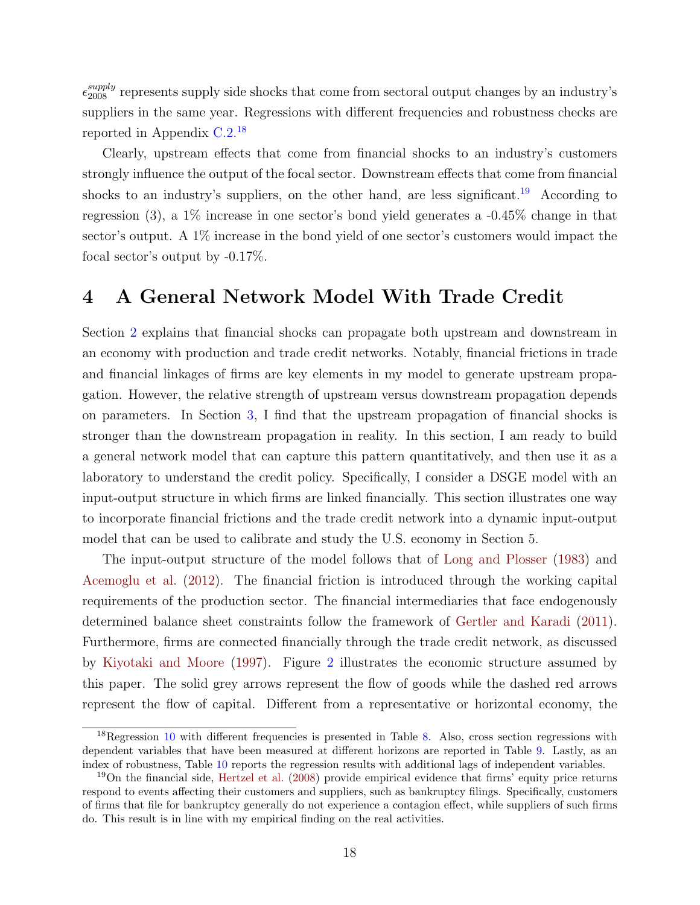$\epsilon_{2008}^{supply}$  represents supply side shocks that come from sectoral output changes by an industry's suppliers in the same year. Regressions with different frequencies and robustness checks are reported in Appendix [C.2.](#page-48-0) [18](#page-0-0)

Clearly, upstream effects that come from financial shocks to an industry's customers strongly influence the output of the focal sector. Downstream effects that come from financial shocks to an industry's suppliers, on the other hand, are less significant.<sup>[19](#page-0-0)</sup> According to regression (3), a  $1\%$  increase in one sector's bond yield generates a  $-0.45\%$  change in that sector's output. A 1% increase in the bond yield of one sector's customers would impact the focal sector's output by -0.17%.

# <span id="page-17-0"></span>4 A General Network Model With Trade Credit

Section [2](#page-5-1) explains that financial shocks can propagate both upstream and downstream in an economy with production and trade credit networks. Notably, financial frictions in trade and financial linkages of firms are key elements in my model to generate upstream propagation. However, the relative strength of upstream versus downstream propagation depends on parameters. In Section [3,](#page-13-0) I find that the upstream propagation of financial shocks is stronger than the downstream propagation in reality. In this section, I am ready to build a general network model that can capture this pattern quantitatively, and then use it as a laboratory to understand the credit policy. Specifically, I consider a DSGE model with an input-output structure in which firms are linked financially. This section illustrates one way to incorporate financial frictions and the trade credit network into a dynamic input-output model that can be used to calibrate and study the U.S. economy in Section 5.

The input-output structure of the model follows that of [Long and Plosser](#page-39-0) [\(1983\)](#page-39-0) and [Acemoglu et al.](#page-37-1) [\(2012\)](#page-37-1). The financial friction is introduced through the working capital requirements of the production sector. The financial intermediaries that face endogenously determined balance sheet constraints follow the framework of [Gertler and Karadi](#page-38-0) [\(2011\)](#page-38-0). Furthermore, firms are connected financially through the trade credit network, as discussed by [Kiyotaki and Moore](#page-39-7) [\(1997\)](#page-39-7). Figure [2](#page-18-0) illustrates the economic structure assumed by this paper. The solid grey arrows represent the flow of goods while the dashed red arrows represent the flow of capital. Different from a representative or horizontal economy, the

 $18$ Regression [10](#page-14-0) with different frequencies is presented in Table [8.](#page-49-0) Also, cross section regressions with dependent variables that have been measured at different horizons are reported in Table [9.](#page-50-0) Lastly, as an index of robustness, Table [10](#page-51-0) reports the regression results with additional lags of independent variables.

<sup>19</sup>On the financial side, [Hertzel et al.](#page-38-12) [\(2008\)](#page-38-12) provide empirical evidence that firms' equity price returns respond to events affecting their customers and suppliers, such as bankruptcy filings. Specifically, customers of firms that file for bankruptcy generally do not experience a contagion effect, while suppliers of such firms do. This result is in line with my empirical finding on the real activities.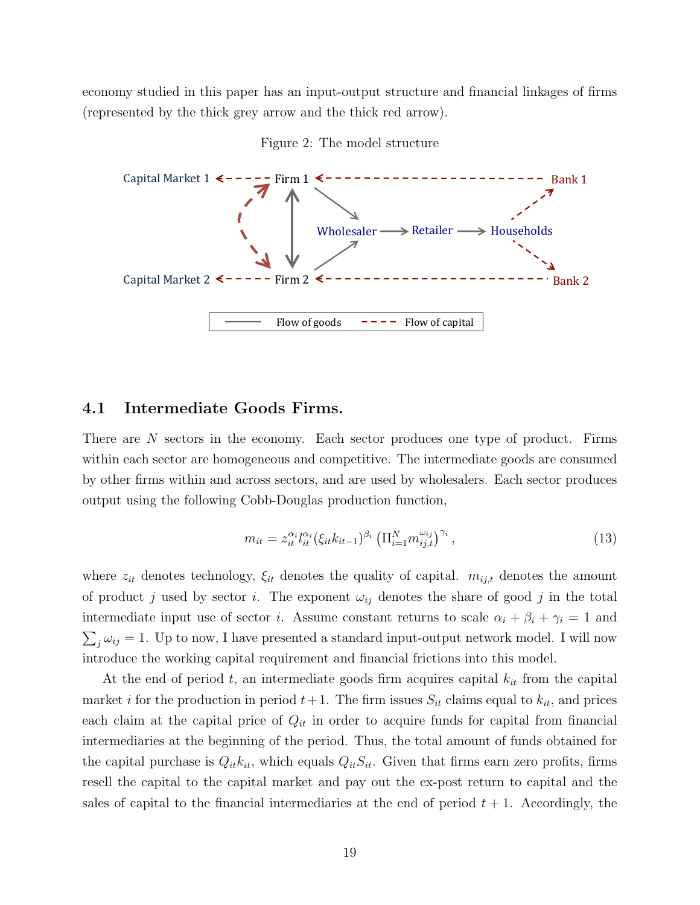economy studied in this paper has an input-output structure and financial linkages of firms (represented by the thick grey arrow and the thick red arrow).

<span id="page-18-0"></span>



## 4.1 Intermediate Goods Firms.

There are N sectors in the economy. Each sector produces one type of product. Firms within each sector are homogeneous and competitive. The intermediate goods are consumed by other firms within and across sectors, and are used by wholesalers. Each sector produces output using the following Cobb-Douglas production function,

$$
m_{it} = z_{it}^{\alpha_i} l_{it}^{\alpha_i} (\xi_{it} k_{it-1})^{\beta_i} \left( \Pi_{i=1}^N m_{ij,t}^{\omega_{ij}} \right)^{\gamma_i}, \tag{13}
$$

where  $z_{it}$  denotes technology,  $\xi_{it}$  denotes the quality of capital.  $m_{ij,t}$  denotes the amount of product j used by sector i. The exponent  $\omega_{ij}$  denotes the share of good j in the total intermediate input use of sector *i*. Assume constant returns to scale  $\alpha_i + \beta_i + \gamma_i = 1$  and  $\sum_j \omega_{ij} = 1$ . Up to now, I have presented a standard input-output network model. I will now introduce the working capital requirement and financial frictions into this model.

At the end of period t, an intermediate goods firm acquires capital  $k_{it}$  from the capital market i for the production in period  $t+1$ . The firm issues  $S_{it}$  claims equal to  $k_{it}$ , and prices each claim at the capital price of  $Q_{it}$  in order to acquire funds for capital from financial intermediaries at the beginning of the period. Thus, the total amount of funds obtained for the capital purchase is  $Q_{it}k_{it}$ , which equals  $Q_{it}S_{it}$ . Given that firms earn zero profits, firms resell the capital to the capital market and pay out the ex-post return to capital and the sales of capital to the financial intermediaries at the end of period  $t + 1$ . Accordingly, the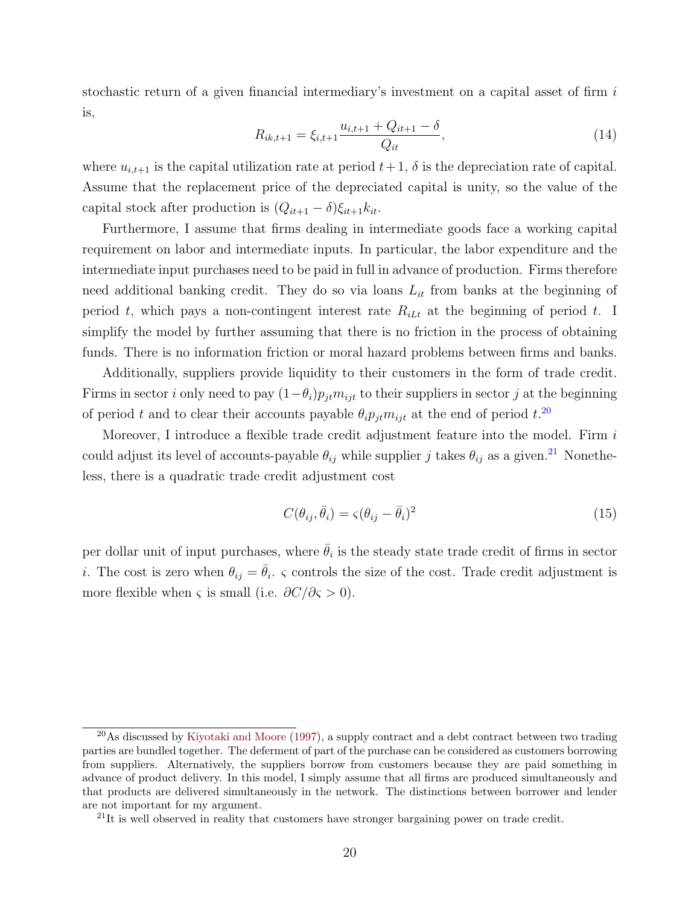stochastic return of a given financial intermediary's investment on a capital asset of firm i is,

$$
R_{ik,t+1} = \xi_{i,t+1} \frac{u_{i,t+1} + Q_{it+1} - \delta}{Q_{it}},
$$
\n(14)

where  $u_{i,t+1}$  is the capital utilization rate at period  $t+1$ ,  $\delta$  is the depreciation rate of capital. Assume that the replacement price of the depreciated capital is unity, so the value of the capital stock after production is  $(Q_{it+1} - \delta)\xi_{it+1}k_{it}$ .

Furthermore, I assume that firms dealing in intermediate goods face a working capital requirement on labor and intermediate inputs. In particular, the labor expenditure and the intermediate input purchases need to be paid in full in advance of production. Firms therefore need additional banking credit. They do so via loans  $L_{it}$  from banks at the beginning of period t, which pays a non-contingent interest rate  $R_{iL}$  at the beginning of period t. I simplify the model by further assuming that there is no friction in the process of obtaining funds. There is no information friction or moral hazard problems between firms and banks.

Additionally, suppliers provide liquidity to their customers in the form of trade credit. Firms in sector *i* only need to pay  $(1-\theta_i)p_{jt}m_{ijt}$  to their suppliers in sector *j* at the beginning of period t and to clear their accounts payable  $\theta_i p_{jt} m_{ijt}$  at the end of period  $t$ .<sup>[20](#page-0-0)</sup>

Moreover, I introduce a flexible trade credit adjustment feature into the model. Firm  $i$ could adjust its level of accounts-payable  $\theta_{ij}$  while supplier j takes  $\theta_{ij}$  as a given.<sup>[21](#page-0-0)</sup> Nonetheless, there is a quadratic trade credit adjustment cost

$$
C(\theta_{ij}, \bar{\theta}_i) = \zeta(\theta_{ij} - \bar{\theta}_i)^2
$$
\n(15)

per dollar unit of input purchases, where  $\bar{\theta}_i$  is the steady state trade credit of firms in sector *i*. The cost is zero when  $\theta_{ij} = \bar{\theta}_i$ .  $\varsigma$  controls the size of the cost. Trade credit adjustment is more flexible when  $\varsigma$  is small (i.e.  $\partial C/\partial \varsigma > 0$ ).

<sup>&</sup>lt;sup>20</sup>As discussed by [Kiyotaki and Moore](#page-39-7) [\(1997\)](#page-39-7), a supply contract and a debt contract between two trading parties are bundled together. The deferment of part of the purchase can be considered as customers borrowing from suppliers. Alternatively, the suppliers borrow from customers because they are paid something in advance of product delivery. In this model, I simply assume that all firms are produced simultaneously and that products are delivered simultaneously in the network. The distinctions between borrower and lender are not important for my argument.

 $21$ It is well observed in reality that customers have stronger bargaining power on trade credit.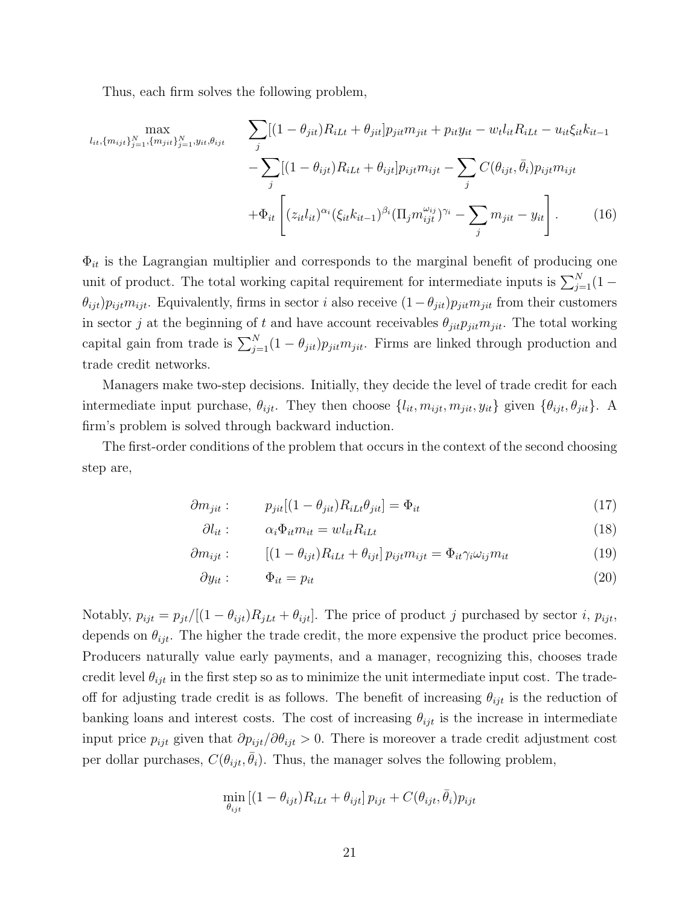Thus, each firm solves the following problem,

<span id="page-20-0"></span>
$$
\max_{l_{it}, \{m_{ijt}\}_{j=1}^N, \{m_{jit}\}_{j=1}^N, y_{it}, \theta_{ijt}} \qquad \sum_{j} [(1 - \theta_{jit})R_{iLt} + \theta_{jit}] p_{jit} m_{jit} + p_{it} y_{it} - w_t l_{it} R_{iLt} - u_{it} \xi_{it} k_{it-1} - \sum_{j} [(1 - \theta_{ijt})R_{iLt} + \theta_{ijt}] p_{ijt} m_{ijt} - \sum_{j} C(\theta_{ijt}, \bar{\theta}_i) p_{ijt} m_{ijt} + \Phi_{it} \left[ (z_{it} l_{it})^{\alpha_i} (\xi_{it} k_{it-1})^{\beta_i} (\Pi_j m_{ijt}^{\omega_{ij}})^{\gamma_i} - \sum_j m_{jit} - y_{it} \right].
$$
 (16)

 $\Phi_{it}$  is the Lagrangian multiplier and corresponds to the marginal benefit of producing one unit of product. The total working capital requirement for intermediate inputs is  $\sum_{j=1}^{N} (1 \theta_{ijt}$ ) $p_{ijt}m_{ijt}$ . Equivalently, firms in sector *i* also receive  $(1-\theta_{jit})p_{jit}m_{jit}$  from their customers in sector j at the beginning of t and have account receivables  $\theta_{jit}p_{jit}m_{jit}$ . The total working capital gain from trade is  $\sum_{j=1}^{N} (1 - \theta_{jit}) p_{jit} m_{jit}$ . Firms are linked through production and trade credit networks.

Managers make two-step decisions. Initially, they decide the level of trade credit for each intermediate input purchase,  $\theta_{ijt}$ . They then choose  $\{l_{it}, m_{ijt}, m_{jit}, y_{it}\}$  given  $\{\theta_{ijt}, \theta_{jit}\}$ . A firm's problem is solved through backward induction.

The first-order conditions of the problem that occurs in the context of the second choosing step are,

$$
\partial m_{jit}: \qquad p_{jit}[(1 - \theta_{jit})R_{iLt}\theta_{jit}] = \Phi_{it} \tag{17}
$$

$$
\partial l_{it}: \qquad \alpha_i \Phi_{it} m_{it} = w l_{it} R_{i} L_t \tag{18}
$$

$$
\partial m_{ijt} : \qquad \left[ (1 - \theta_{ijt}) R_{iLt} + \theta_{ijt} \right] p_{ijt} m_{ijt} = \Phi_{it} \gamma_i \omega_{ij} m_{it} \tag{19}
$$

$$
\partial y_{it} : \qquad \Phi_{it} = p_{it} \tag{20}
$$

Notably,  $p_{ijt} = p_{jt}/[(1 - \theta_{ijt})R_{jLt} + \theta_{ijt}]$ . The price of product j purchased by sector i,  $p_{ijt}$ , depends on  $\theta_{ijt}$ . The higher the trade credit, the more expensive the product price becomes. Producers naturally value early payments, and a manager, recognizing this, chooses trade credit level  $\theta_{ijt}$  in the first step so as to minimize the unit intermediate input cost. The tradeoff for adjusting trade credit is as follows. The benefit of increasing  $\theta_{ijt}$  is the reduction of banking loans and interest costs. The cost of increasing  $\theta_{ijt}$  is the increase in intermediate input price  $p_{ijt}$  given that  $\partial p_{ijt}/\partial \theta_{ijt} > 0$ . There is moreover a trade credit adjustment cost per dollar purchases,  $C(\theta_{ijt}, \bar{\theta}_i)$ . Thus, the manager solves the following problem,

$$
\min_{\theta_{ijt}} [(1 - \theta_{ijt})R_{iLt} + \theta_{ijt}] p_{ijt} + C(\theta_{ijt}, \bar{\theta}_i) p_{ijt}
$$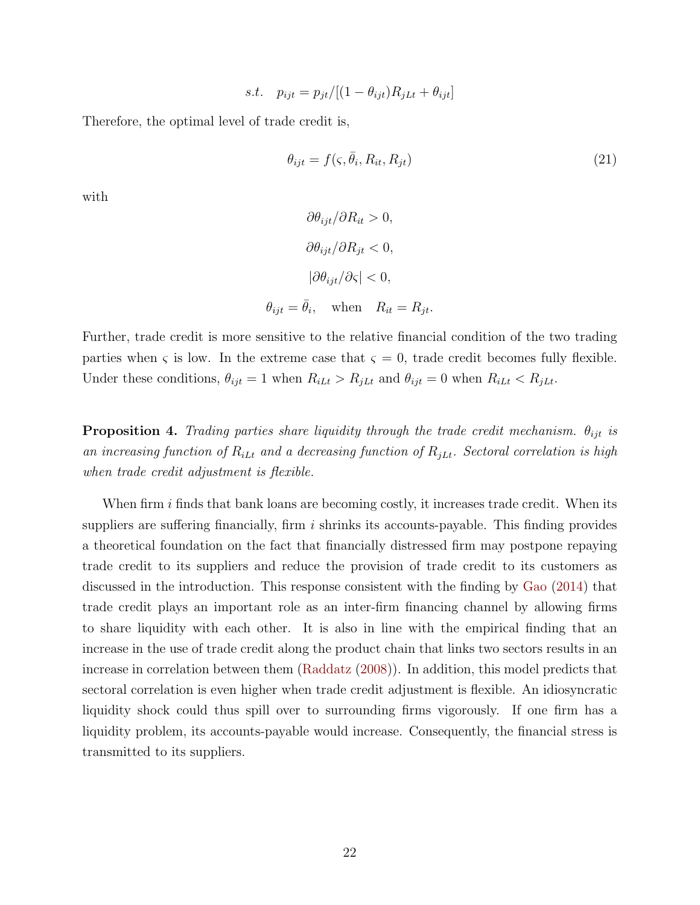$$
s.t. \quad p_{ijt} = p_{jt}/[(1 - \theta_{ijt})R_{jLt} + \theta_{ijt}]
$$

Therefore, the optimal level of trade credit is,

$$
\theta_{ijt} = f(\varsigma, \bar{\theta}_i, R_{it}, R_{jt}) \tag{21}
$$

with

$$
\partial \theta_{ijt} / \partial R_{it} > 0,
$$
  
\n
$$
\partial \theta_{ijt} / \partial R_{jt} < 0,
$$
  
\n
$$
|\partial \theta_{ijt} / \partial \zeta| < 0,
$$
  
\n
$$
\theta_{ijt} = \bar{\theta}_i, \quad \text{when} \quad R_{it} = R_{jt}.
$$

Further, trade credit is more sensitive to the relative financial condition of the two trading parties when  $\varsigma$  is low. In the extreme case that  $\varsigma = 0$ , trade credit becomes fully flexible. Under these conditions,  $\theta_{ijt} = 1$  when  $R_{iLt} > R_{jLt}$  and  $\theta_{ijt} = 0$  when  $R_{iLt} < R_{jLt}$ .

**Proposition 4.** Trading parties share liquidity through the trade credit mechanism.  $\theta_{ijt}$  is an increasing function of  $R_{iLt}$  and a decreasing function of  $R_{jLt}$ . Sectoral correlation is high when trade credit adjustment is flexible.

When firm  $i$  finds that bank loans are becoming costly, it increases trade credit. When its suppliers are suffering financially, firm  $i$  shrinks its accounts-payable. This finding provides a theoretical foundation on the fact that financially distressed firm may postpone repaying trade credit to its suppliers and reduce the provision of trade credit to its customers as discussed in the introduction. This response consistent with the finding by [Gao](#page-38-13) [\(2014\)](#page-38-13) that trade credit plays an important role as an inter-firm financing channel by allowing firms to share liquidity with each other. It is also in line with the empirical finding that an increase in the use of trade credit along the product chain that links two sectors results in an increase in correlation between them [\(Raddatz](#page-39-9) [\(2008\)](#page-39-9)). In addition, this model predicts that sectoral correlation is even higher when trade credit adjustment is flexible. An idiosyncratic liquidity shock could thus spill over to surrounding firms vigorously. If one firm has a liquidity problem, its accounts-payable would increase. Consequently, the financial stress is transmitted to its suppliers.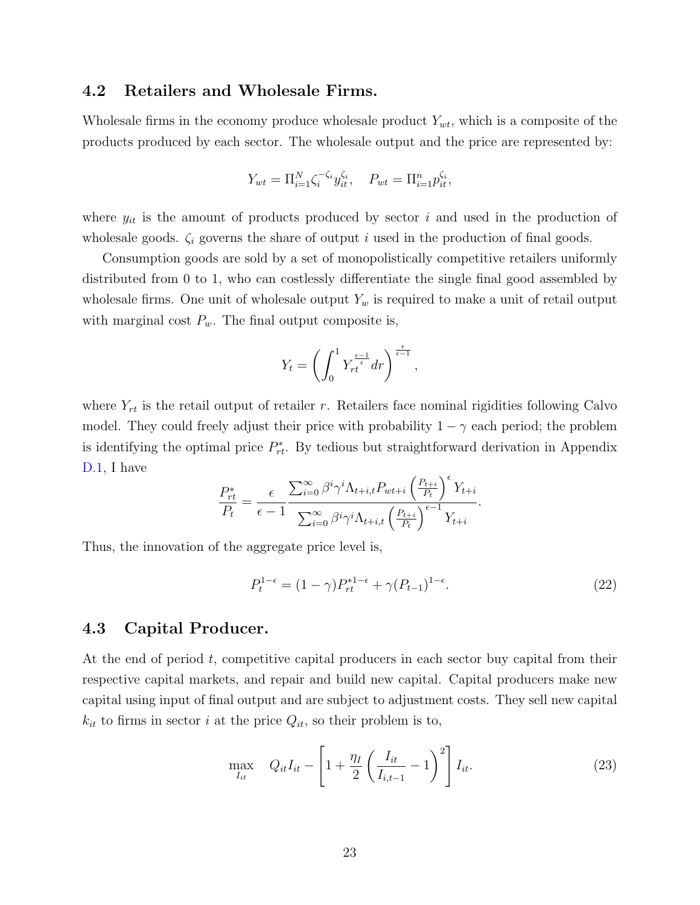### 4.2 Retailers and Wholesale Firms.

Wholesale firms in the economy produce wholesale product  $Y_{wt}$ , which is a composite of the products produced by each sector. The wholesale output and the price are represented by:

$$
Y_{wt} = \Pi_{i=1}^N \zeta_i^{-\zeta_i} y_{it}^{\zeta_i}, \quad P_{wt} = \Pi_{i=1}^n p_{it}^{\zeta_i},
$$

where  $y_{it}$  is the amount of products produced by sector i and used in the production of wholesale goods.  $\zeta_i$  governs the share of output i used in the production of final goods.

Consumption goods are sold by a set of monopolistically competitive retailers uniformly distributed from 0 to 1, who can costlessly differentiate the single final good assembled by wholesale firms. One unit of wholesale output  $Y_w$  is required to make a unit of retail output with marginal cost  $P_w$ . The final output composite is,

$$
Y_t = \left(\int_0^1 Y_{rt}^{\frac{\epsilon - 1}{\epsilon}} dr\right)^{\frac{\epsilon}{\epsilon - 1}},
$$

where  $Y_{rt}$  is the retail output of retailer r. Retailers face nominal rigidities following Calvo model. They could freely adjust their price with probability  $1 - \gamma$  each period; the problem is identifying the optimal price  $P_{rt}^*$ . By tedious but straightforward derivation in Appendix [D.1,](#page-52-0) I have  $\sqrt{2}$ 

$$
\frac{P_{rt}^*}{P_t} = \frac{\epsilon}{\epsilon - 1} \frac{\sum_{i=0}^{\infty} \beta^i \gamma^i \Lambda_{t+i,t} P_{wt+i} \left(\frac{P_{t+i}}{P_t}\right)^{\epsilon} Y_{t+i}}{\sum_{i=0}^{\infty} \beta^i \gamma^i \Lambda_{t+i,t} \left(\frac{P_{t+i}}{P_t}\right)^{\epsilon-1} Y_{t+i}}.
$$

Thus, the innovation of the aggregate price level is,

$$
P_t^{1-\epsilon} = (1-\gamma)P_{rt}^{*1-\epsilon} + \gamma (P_{t-1})^{1-\epsilon}.
$$
\n(22)

### 4.3 Capital Producer.

At the end of period t, competitive capital producers in each sector buy capital from their respective capital markets, and repair and build new capital. Capital producers make new capital using input of final output and are subject to adjustment costs. They sell new capital  $k_{it}$  to firms in sector i at the price  $Q_{it}$ , so their problem is to,

<span id="page-22-0"></span>
$$
\max_{I_{it}} \quad Q_{it} I_{it} - \left[1 + \frac{\eta_I}{2} \left(\frac{I_{it}}{I_{i,t-1}} - 1\right)^2\right] I_{it}.
$$
 (23)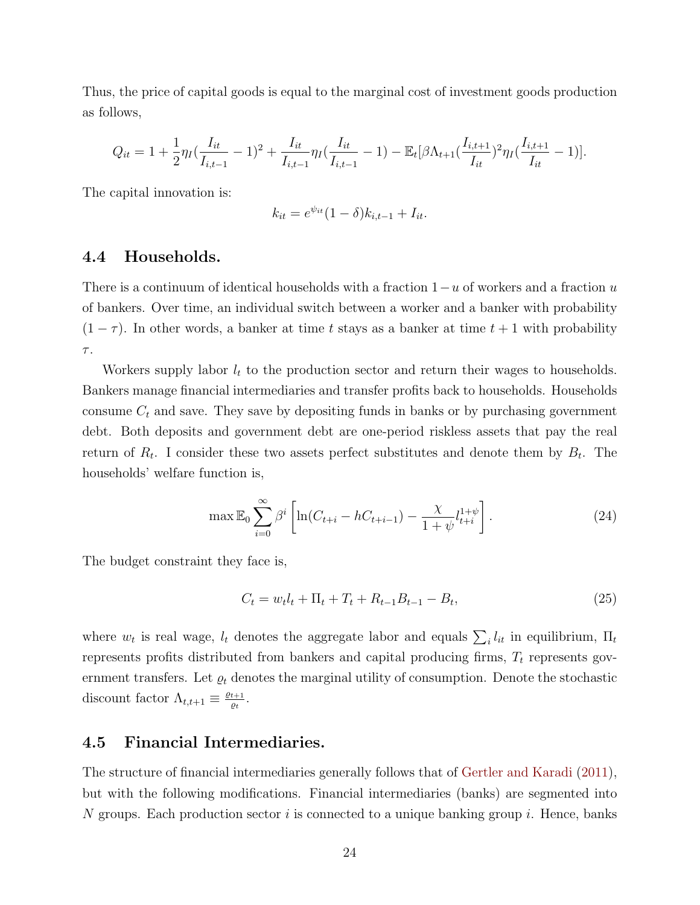Thus, the price of capital goods is equal to the marginal cost of investment goods production as follows,

$$
Q_{it} = 1 + \frac{1}{2} \eta_I \left( \frac{I_{it}}{I_{i,t-1}} - 1 \right)^2 + \frac{I_{it}}{I_{i,t-1}} \eta_I \left( \frac{I_{it}}{I_{i,t-1}} - 1 \right) - \mathbb{E}_t \left[ \beta \Lambda_{t+1} \left( \frac{I_{i,t+1}}{I_{it}} \right)^2 \eta_I \left( \frac{I_{i,t+1}}{I_{it}} - 1 \right) \right].
$$

The capital innovation is:

$$
k_{it} = e^{\psi_{it}} (1 - \delta) k_{i, t-1} + I_{it}.
$$

## 4.4 Households.

There is a continuum of identical households with a fraction  $1-u$  of workers and a fraction u of bankers. Over time, an individual switch between a worker and a banker with probability  $(1 - \tau)$ . In other words, a banker at time t stays as a banker at time  $t + 1$  with probability  $\tau.$ 

Workers supply labor  $l_t$  to the production sector and return their wages to households. Bankers manage financial intermediaries and transfer profits back to households. Households consume  $C_t$  and save. They save by depositing funds in banks or by purchasing government debt. Both deposits and government debt are one-period riskless assets that pay the real return of  $R_t$ . I consider these two assets perfect substitutes and denote them by  $B_t$ . The households' welfare function is,

<span id="page-23-0"></span>
$$
\max \mathbb{E}_0 \sum_{i=0}^{\infty} \beta^i \left[ \ln(C_{t+i} - hC_{t+i-1}) - \frac{\chi}{1+\psi} l_{t+i}^{1+\psi} \right].
$$
 (24)

The budget constraint they face is,

$$
C_t = w_t l_t + \Pi_t + T_t + R_{t-1} B_{t-1} - B_t, \tag{25}
$$

where  $w_t$  is real wage,  $l_t$  denotes the aggregate labor and equals  $\sum_i l_{it}$  in equilibrium,  $\Pi_t$ represents profits distributed from bankers and capital producing firms,  $T_t$  represents government transfers. Let  $\rho_t$  denotes the marginal utility of consumption. Denote the stochastic discount factor  $\Lambda_{t,t+1} \equiv \frac{\varrho_{t+1}}{\varrho_t}$  $\frac{t+1}{\varrho_t}$ .

### 4.5 Financial Intermediaries.

The structure of financial intermediaries generally follows that of [Gertler and Karadi](#page-38-0) [\(2011\)](#page-38-0), but with the following modifications. Financial intermediaries (banks) are segmented into N groups. Each production sector i is connected to a unique banking group i. Hence, banks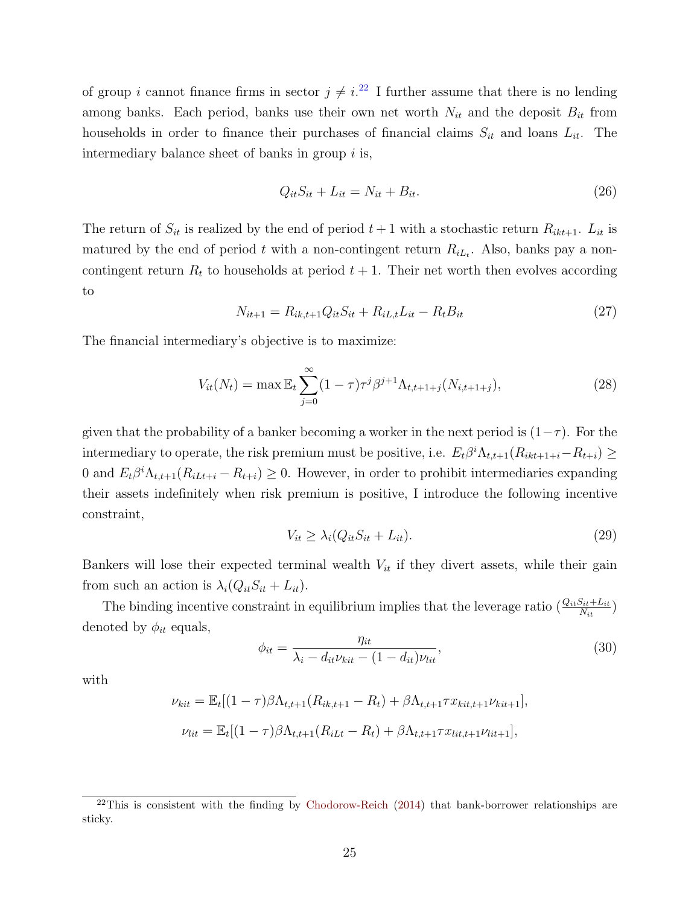of group *i* cannot finance firms in sector  $j \neq i$ <sup>[22](#page-0-0)</sup> I further assume that there is no lending among banks. Each period, banks use their own net worth  $N_{it}$  and the deposit  $B_{it}$  from households in order to finance their purchases of financial claims  $S_{it}$  and loans  $L_{it}$ . The intermediary balance sheet of banks in group  $i$  is,

$$
Q_{it}S_{it} + L_{it} = N_{it} + B_{it}.
$$
\n
$$
(26)
$$

The return of  $S_{it}$  is realized by the end of period  $t+1$  with a stochastic return  $R_{ikt+1}$ .  $L_{it}$  is matured by the end of period t with a non-contingent return  $R_{iL_t}$ . Also, banks pay a noncontingent return  $R_t$  to households at period  $t + 1$ . Their net worth then evolves according to

$$
N_{it+1} = R_{ik,t+1}Q_{it}S_{it} + R_{iL,t}L_{it} - R_tB_{it}
$$
\n(27)

The financial intermediary's objective is to maximize:

<span id="page-24-0"></span>
$$
V_{it}(N_t) = \max \mathbb{E}_t \sum_{j=0}^{\infty} (1-\tau) \tau^j \beta^{j+1} \Lambda_{t,t+1+j}(N_{i,t+1+j}), \qquad (28)
$$

given that the probability of a banker becoming a worker in the next period is  $(1-\tau)$ . For the intermediary to operate, the risk premium must be positive, i.e.  $E_t\beta^i\Lambda_{t,t+1}(R_{ikt+1+i}-R_{t+i}) \ge$ 0 and  $E_t\beta^i\Lambda_{t,t+1}(R_{iLt+i}-R_{t+i})\geq 0$ . However, in order to prohibit intermediaries expanding their assets indefinitely when risk premium is positive, I introduce the following incentive constraint,

$$
V_{it} \ge \lambda_i (Q_{it} S_{it} + L_{it}). \tag{29}
$$

Bankers will lose their expected terminal wealth  $V_{it}$  if they divert assets, while their gain from such an action is  $\lambda_i(Q_{it}S_{it} + L_{it}).$ 

The binding incentive constraint in equilibrium implies that the leverage ratio  $\left(\frac{Q_{it}S_{it}+L_{it}}{N_{it}}\right)$ denoted by  $\phi_{it}$  equals,

$$
\phi_{it} = \frac{\eta_{it}}{\lambda_i - d_{it}\nu_{kit} - (1 - d_{it})\nu_{lit}},\tag{30}
$$

with

$$
\nu_{kit} = \mathbb{E}_{t}[(1-\tau)\beta\Lambda_{t,t+1}(R_{ik,t+1} - R_{t}) + \beta\Lambda_{t,t+1}\tau x_{kit,t+1}\nu_{kit+1}],
$$
  

$$
\nu_{lit} = \mathbb{E}_{t}[(1-\tau)\beta\Lambda_{t,t+1}(R_{iLt} - R_{t}) + \beta\Lambda_{t,t+1}\tau x_{lit,t+1}\nu_{lit+1}],
$$

 $^{22}$ This is consistent with the finding by [Chodorow-Reich](#page-37-12) [\(2014\)](#page-37-12) that bank-borrower relationships are sticky.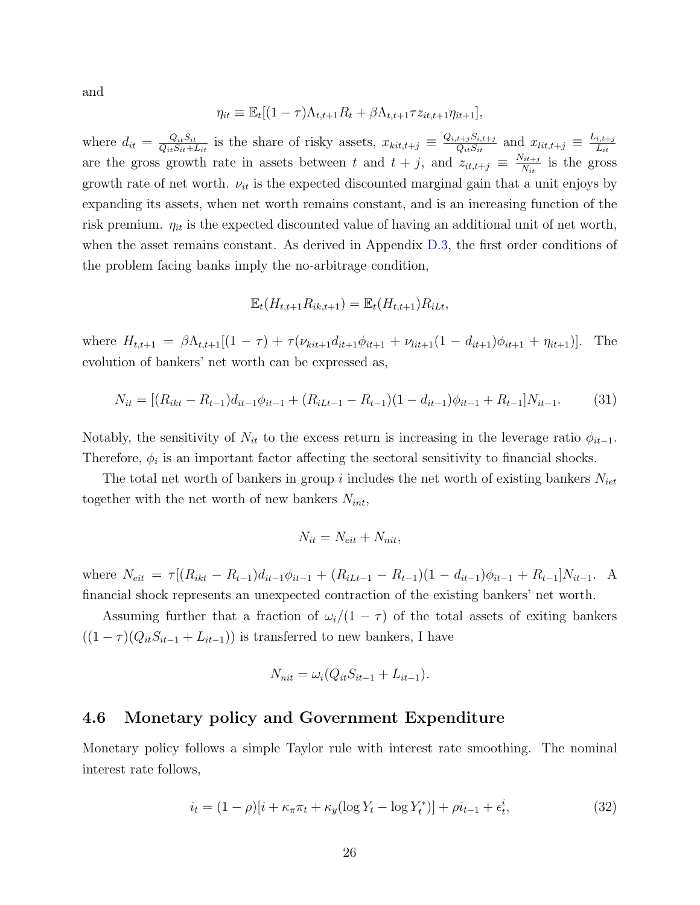and

$$
\eta_{it} \equiv \mathbb{E}_t[(1-\tau)\Lambda_{t,t+1}R_t + \beta\Lambda_{t,t+1}\tau z_{it,t+1}\eta_{it+1}],
$$

where  $d_{it} = \frac{Q_{it}S_{it}}{Q_{it}S_{it}+1}$  $\frac{Q_{it}S_{it}}{Q_{it}S_{it}+L_{it}}$  is the share of risky assets,  $x_{kit,t+j} \equiv \frac{Q_{i,t+j}S_{i,t+j}}{Q_{it}S_{it}}$  $\frac{t+jS_{i,t+j}}{Q_{it}S_{it}}$  and  $x_{lit,t+j} \equiv \frac{L_{i,t+j}}{L_{it}}$  $_{Lit}$ are the gross growth rate in assets between t and  $t + j$ , and  $z_{it,t+j} \equiv \frac{N_{it+j}}{N_{it}}$  $\frac{N_{it+j}}{N_{it}}$  is the gross growth rate of net worth.  $\nu_{it}$  is the expected discounted marginal gain that a unit enjoys by expanding its assets, when net worth remains constant, and is an increasing function of the risk premium.  $\eta_{it}$  is the expected discounted value of having an additional unit of net worth, when the asset remains constant. As derived in Appendix [D.3,](#page-53-0) the first order conditions of the problem facing banks imply the no-arbitrage condition,

$$
\mathbb{E}_t(H_{t,t+1}R_{ik,t+1}) = \mathbb{E}_t(H_{t,t+1})R_{iLt},
$$

where  $H_{t,t+1} = \beta \Lambda_{t,t+1}[(1 - \tau) + \tau(\nu_{kit+1}d_{it+1}\phi_{it+1} + \nu_{lit+1}(1 - d_{it+1})\phi_{it+1} + \eta_{it+1})].$  The evolution of bankers' net worth can be expressed as,

$$
N_{it} = [(R_{ikt} - R_{t-1})d_{it-1}\phi_{it-1} + (R_{iLt-1} - R_{t-1})(1 - d_{it-1})\phi_{it-1} + R_{t-1}]N_{it-1}.
$$
(31)

Notably, the sensitivity of  $N_{it}$  to the excess return is increasing in the leverage ratio  $\phi_{it-1}$ . Therefore,  $\phi_i$  is an important factor affecting the sectoral sensitivity to financial shocks.

The total net worth of bankers in group i includes the net worth of existing bankers  $N_{iet}$ together with the net worth of new bankers  $N_{int}$ ,

$$
N_{it} = N_{eit} + N_{nit},
$$

where  $N_{eit} = \tau [(R_{ikt} - R_{t-1})d_{it-1}\phi_{it-1} + (R_{iLt-1} - R_{t-1})(1 - d_{it-1})\phi_{it-1} + R_{t-1}]N_{it-1}.$  A financial shock represents an unexpected contraction of the existing bankers' net worth.

Assuming further that a fraction of  $\omega_i/(1-\tau)$  of the total assets of exiting bankers  $((1 - \tau)(Q_{it}S_{it-1} + L_{it-1}))$  is transferred to new bankers, I have

$$
N_{nit} = \omega_i (Q_{it} S_{it-1} + L_{it-1}).
$$

### 4.6 Monetary policy and Government Expenditure

Monetary policy follows a simple Taylor rule with interest rate smoothing. The nominal interest rate follows,

$$
i_t = (1 - \rho)[i + \kappa_\pi \pi_t + \kappa_y (\log Y_t - \log Y_t^*)] + \rho i_{t-1} + \epsilon_t^i, \tag{32}
$$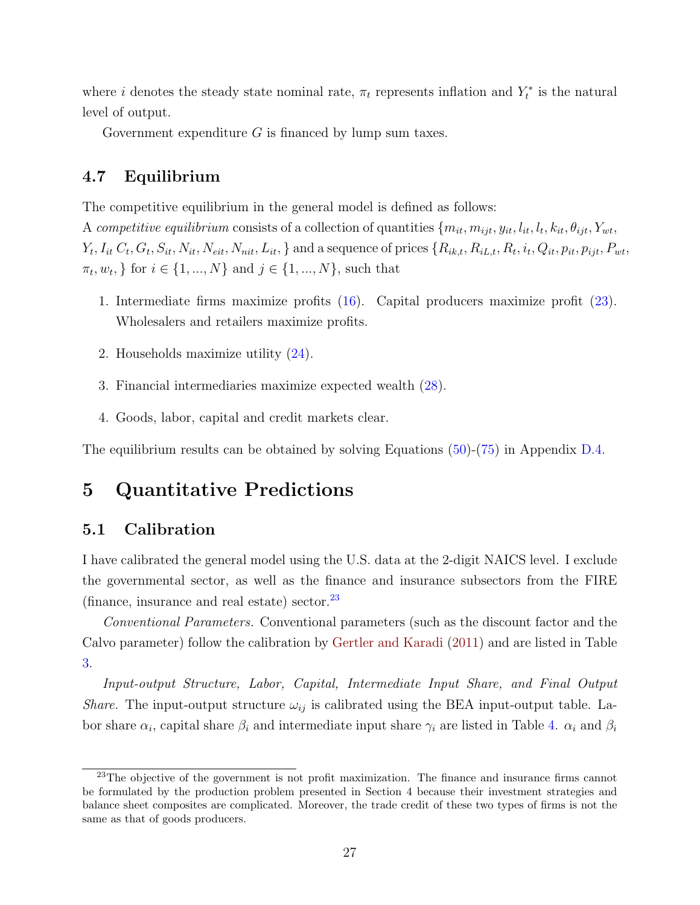where *i* denotes the steady state nominal rate,  $\pi_t$  represents inflation and  $Y_t^*$  is the natural level of output.

Government expenditure  $G$  is financed by lump sum taxes.

## 4.7 Equilibrium

The competitive equilibrium in the general model is defined as follows:

A competitive equilibrium consists of a collection of quantities  $\{m_{it}, m_{ijt}, y_{it}, l_{it}, l_t, k_{it}, \theta_{ijt}, Y_{wt}, \theta_{ijt}, \theta_{ijt}, \theta_{ijt}, \theta_{ijt}, \theta_{ijt}, \theta_{ijt}, \theta_{ijt}, \theta_{ijt}, \theta_{ijt}, \theta_{ijt}, \theta_{ijt}, \theta_{ijt}, \theta_{ijt}, \theta_{ijt}, \theta_{ijt}, \theta_{ijt}, \theta_{ijt}, \theta_{ijt}, \theta_{ijt}, \theta_{ijt$ Yt , Iit C<sup>t</sup> , G<sup>t</sup> , Sit, Nit, Neit, Nnit, Lit, } and a sequence of prices {Rik,t, RiL,t, R<sup>t</sup> , it , Qit, pit, pijt, Pwt,  $\{\pi_t, w_t, \}$  for  $i \in \{1, ..., N\}$  and  $j \in \{1, ..., N\}$ , such that

- 1. Intermediate firms maximize profits [\(16\)](#page-20-0). Capital producers maximize profit [\(23\)](#page-22-0). Wholesalers and retailers maximize profits.
- 2. Households maximize utility [\(24\)](#page-23-0).
- 3. Financial intermediaries maximize expected wealth [\(28\)](#page-24-0).
- 4. Goods, labor, capital and credit markets clear.

The equilibrium results can be obtained by solving Equations [\(50\)](#page-54-0)-[\(75\)](#page-58-0) in Appendix [D.4.](#page-55-0)

# 5 Quantitative Predictions

# 5.1 Calibration

I have calibrated the general model using the U.S. data at the 2-digit NAICS level. I exclude the governmental sector, as well as the finance and insurance subsectors from the FIRE (finance, insurance and real estate) sector. $^{23}$  $^{23}$  $^{23}$ 

Conventional Parameters. Conventional parameters (such as the discount factor and the Calvo parameter) follow the calibration by [Gertler and Karadi](#page-38-0) [\(2011\)](#page-38-0) and are listed in Table [3.](#page-28-0)

Input-output Structure, Labor, Capital, Intermediate Input Share, and Final Output *Share.* The input-output structure  $\omega_{ij}$  is calibrated using the BEA input-output table. Labor share  $\alpha_i$ , capital share  $\beta_i$  and intermediate input share  $\gamma_i$  are listed in Table [4.](#page-28-1)  $\alpha_i$  and  $\beta_i$ 

<sup>&</sup>lt;sup>23</sup>The objective of the government is not profit maximization. The finance and insurance firms cannot be formulated by the production problem presented in Section 4 because their investment strategies and balance sheet composites are complicated. Moreover, the trade credit of these two types of firms is not the same as that of goods producers.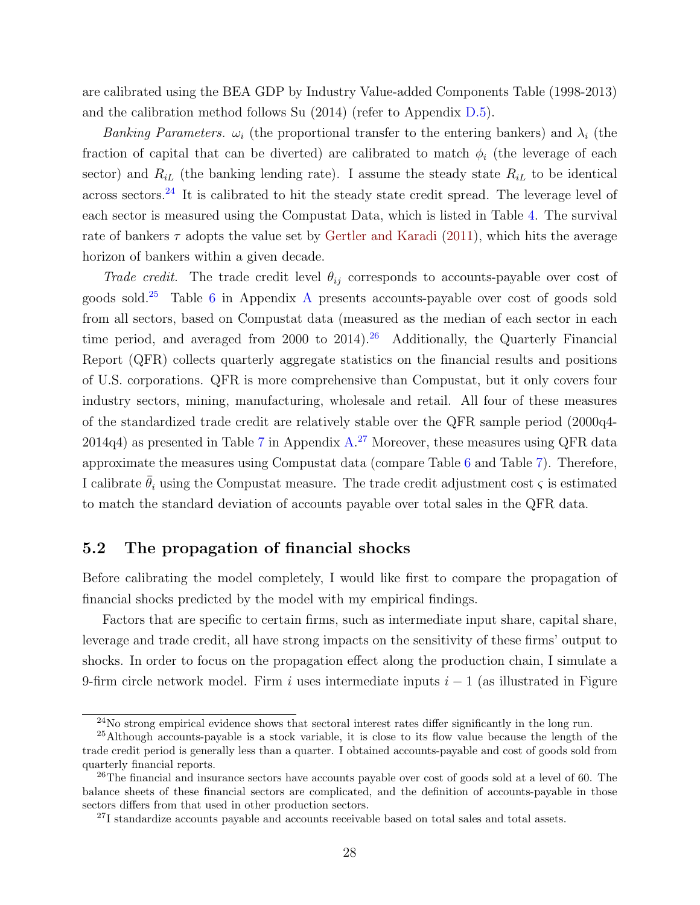are calibrated using the BEA GDP by Industry Value-added Components Table (1998-2013) and the calibration method follows Su (2014) (refer to Appendix [D.5\)](#page-58-1).

Banking Parameters.  $\omega_i$  (the proportional transfer to the entering bankers) and  $\lambda_i$  (the fraction of capital that can be diverted) are calibrated to match  $\phi_i$  (the leverage of each sector) and  $R_{iL}$  (the banking lending rate). I assume the steady state  $R_{iL}$  to be identical across sectors.<sup>[24](#page-0-0)</sup> It is calibrated to hit the steady state credit spread. The leverage level of each sector is measured using the Compustat Data, which is listed in Table [4.](#page-28-1) The survival rate of bankers  $\tau$  adopts the value set by [Gertler and Karadi](#page-38-0) [\(2011\)](#page-38-0), which hits the average horizon of bankers within a given decade.

Trade credit. The trade credit level  $\theta_{ij}$  corresponds to accounts-payable over cost of goods sold.[25](#page-0-0) Table [6](#page-41-0) in Appendix [A](#page-40-0) presents accounts-payable over cost of goods sold from all sectors, based on Compustat data (measured as the median of each sector in each time period, and averaged from 2000 to 2014).<sup>[26](#page-0-0)</sup> Additionally, the Quarterly Financial Report (QFR) collects quarterly aggregate statistics on the financial results and positions of U.S. corporations. QFR is more comprehensive than Compustat, but it only covers four industry sectors, mining, manufacturing, wholesale and retail. All four of these measures of the standardized trade credit are relatively stable over the QFR sample period (2000q4-  $2014q4$ ) as presented in Table [7](#page-41-1) in Appendix [A.](#page-40-0)<sup>[27](#page-0-0)</sup> Moreover, these measures using QFR data approximate the measures using Compustat data (compare Table [6](#page-41-0) and Table [7\)](#page-41-1). Therefore, I calibrate  $\bar{\theta}_i$  using the Compustat measure. The trade credit adjustment cost  $\varsigma$  is estimated to match the standard deviation of accounts payable over total sales in the QFR data.

## 5.2 The propagation of financial shocks

Before calibrating the model completely, I would like first to compare the propagation of financial shocks predicted by the model with my empirical findings.

Factors that are specific to certain firms, such as intermediate input share, capital share, leverage and trade credit, all have strong impacts on the sensitivity of these firms' output to shocks. In order to focus on the propagation effect along the production chain, I simulate a 9-firm circle network model. Firm i uses intermediate inputs  $i - 1$  (as illustrated in Figure

 $^{24}$ No strong empirical evidence shows that sectoral interest rates differ significantly in the long run.

<sup>&</sup>lt;sup>25</sup>Although accounts-payable is a stock variable, it is close to its flow value because the length of the trade credit period is generally less than a quarter. I obtained accounts-payable and cost of goods sold from quarterly financial reports.

<sup>&</sup>lt;sup>26</sup>The financial and insurance sectors have accounts payable over cost of goods sold at a level of 60. The balance sheets of these financial sectors are complicated, and the definition of accounts-payable in those sectors differs from that used in other production sectors.

 $27$ I standardize accounts payable and accounts receivable based on total sales and total assets.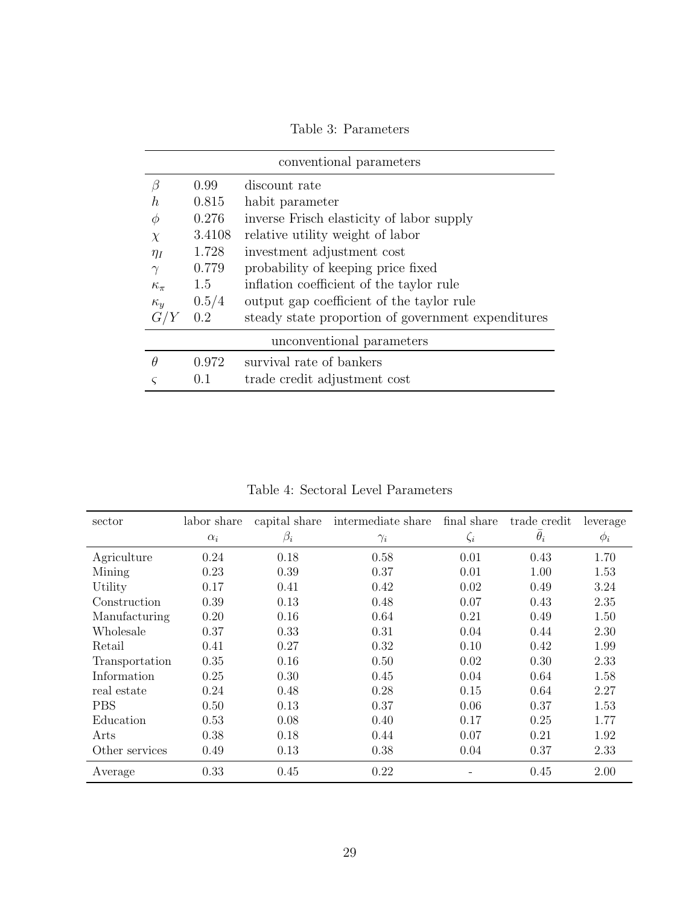<span id="page-28-0"></span>

|                |        | conventional parameters                            |
|----------------|--------|----------------------------------------------------|
| В              | 0.99   | discount rate                                      |
| h.             | 0.815  | habit parameter                                    |
| Ф              | 0.276  | inverse Frisch elasticity of labor supply          |
| $\chi$         | 3.4108 | relative utility weight of labor                   |
| $\eta_I$       | 1.728  | investment adjustment cost                         |
| $\gamma$       | 0.779  | probability of keeping price fixed                 |
| $\kappa_{\pi}$ | 1.5    | inflation coefficient of the taylor rule           |
| $\kappa_{y}$   | 0.5/4  | output gap coefficient of the taylor rule          |
| G/Y            | 0.2    | steady state proportion of government expenditures |
|                |        | unconventional parameters                          |
| Ĥ              | 0.972  | survival rate of bankers                           |
|                |        | trade credit adjustment cost                       |

Table 3: Parameters

Table 4: Sectoral Level Parameters

<span id="page-28-1"></span>

| sector         | labor share |           | capital share intermediate share | final share | trade credit | leverage |
|----------------|-------------|-----------|----------------------------------|-------------|--------------|----------|
|                | $\alpha_i$  | $\beta_i$ | $\gamma_i$                       | $\zeta_i$   | $\theta_i$   | $\phi_i$ |
| Agriculture    | 0.24        | 0.18      | 0.58                             | 0.01        | 0.43         | 1.70     |
| Mining         | 0.23        | 0.39      | 0.37                             | 0.01        | 1.00         | 1.53     |
| Utility        | 0.17        | 0.41      | 0.42                             | 0.02        | 0.49         | 3.24     |
| Construction   | 0.39        | 0.13      | 0.48                             | 0.07        | 0.43         | 2.35     |
| Manufacturing  | 0.20        | 0.16      | 0.64                             | 0.21        | 0.49         | 1.50     |
| Wholesale      | 0.37        | 0.33      | 0.31                             | 0.04        | 0.44         | 2.30     |
| Retail         | 0.41        | 0.27      | 0.32                             | 0.10        | 0.42         | 1.99     |
| Transportation | 0.35        | 0.16      | 0.50                             | 0.02        | 0.30         | 2.33     |
| Information    | 0.25        | 0.30      | 0.45                             | 0.04        | 0.64         | 1.58     |
| real estate    | 0.24        | 0.48      | 0.28                             | 0.15        | 0.64         | 2.27     |
| <b>PBS</b>     | 0.50        | 0.13      | 0.37                             | 0.06        | 0.37         | 1.53     |
| Education      | 0.53        | 0.08      | 0.40                             | 0.17        | 0.25         | 1.77     |
| Arts           | 0.38        | 0.18      | 0.44                             | 0.07        | 0.21         | 1.92     |
| Other services | 0.49        | 0.13      | 0.38                             | 0.04        | 0.37         | 2.33     |
| Average        | 0.33        | 0.45      | 0.22                             |             | 0.45         | 2.00     |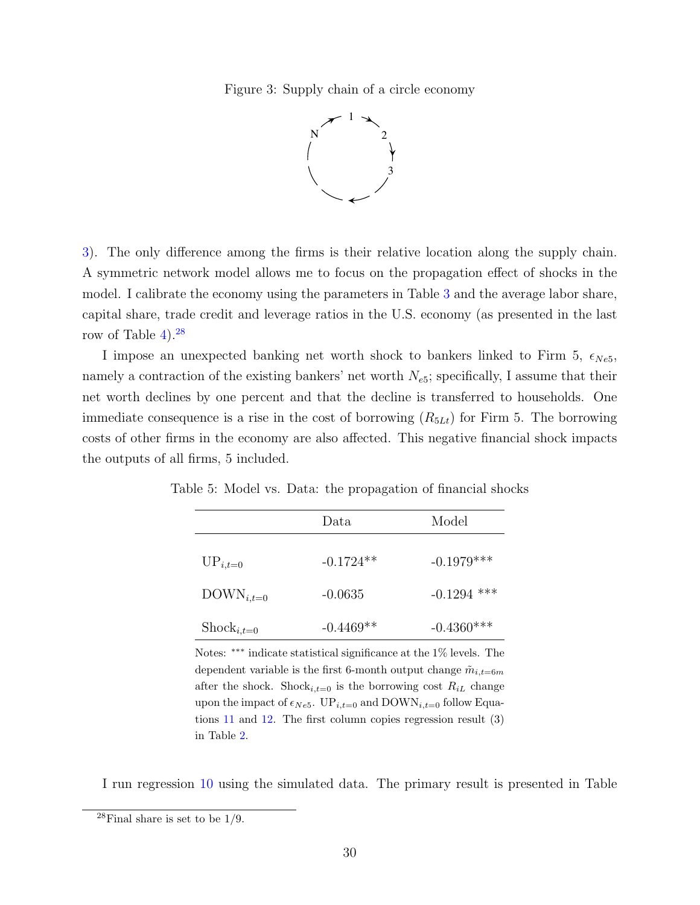<span id="page-29-0"></span>Figure 3: Supply chain of a circle economy



[3\)](#page-29-0). The only difference among the firms is their relative location along the supply chain. A symmetric network model allows me to focus on the propagation effect of shocks in the model. I calibrate the economy using the parameters in Table [3](#page-28-0) and the average labor share, capital share, trade credit and leverage ratios in the U.S. economy (as presented in the last row of Table  $4$ ).<sup>[28](#page-0-0)</sup>

I impose an unexpected banking net worth shock to bankers linked to Firm 5,  $\epsilon_{Ne5}$ , namely a contraction of the existing bankers' net worth  $N_{e5}$ ; specifically, I assume that their net worth declines by one percent and that the decline is transferred to households. One immediate consequence is a rise in the cost of borrowing  $(R_{5Lt})$  for Firm 5. The borrowing costs of other firms in the economy are also affected. This negative financial shock impacts the outputs of all firms, 5 included.

|                        | Data        | Model         |
|------------------------|-------------|---------------|
| $UP_{i,t=0}$           | $-0.1724**$ | $-0.1979***$  |
| $\text{DOWN}_{i,t=0}$  | $-0.0635$   | $-0.1294$ *** |
| $\text{Shock}_{i,t=0}$ | $-0.4469**$ | $-0.4360***$  |

<span id="page-29-1"></span>Table 5: Model vs. Data: the propagation of financial shocks

Notes: ∗∗∗ indicate statistical significance at the 1% levels. The dependent variable is the first 6-month output change  $\tilde{m}_{i,t=6m}$ after the shock. Shock<sub>i,t=0</sub> is the borrowing cost  $R_{iL}$  change upon the impact of  $\epsilon_{Ne5}$ . UP<sub>i,t=0</sub> and DOWN<sub>i,t=0</sub> follow Equations [11](#page-14-1) and [12.](#page-14-1) The first column copies regression result (3) in Table [2.](#page-16-0)

I run regression [10](#page-14-0) using the simulated data. The primary result is presented in Table

 $28$ Final share is set to be  $1/9$ .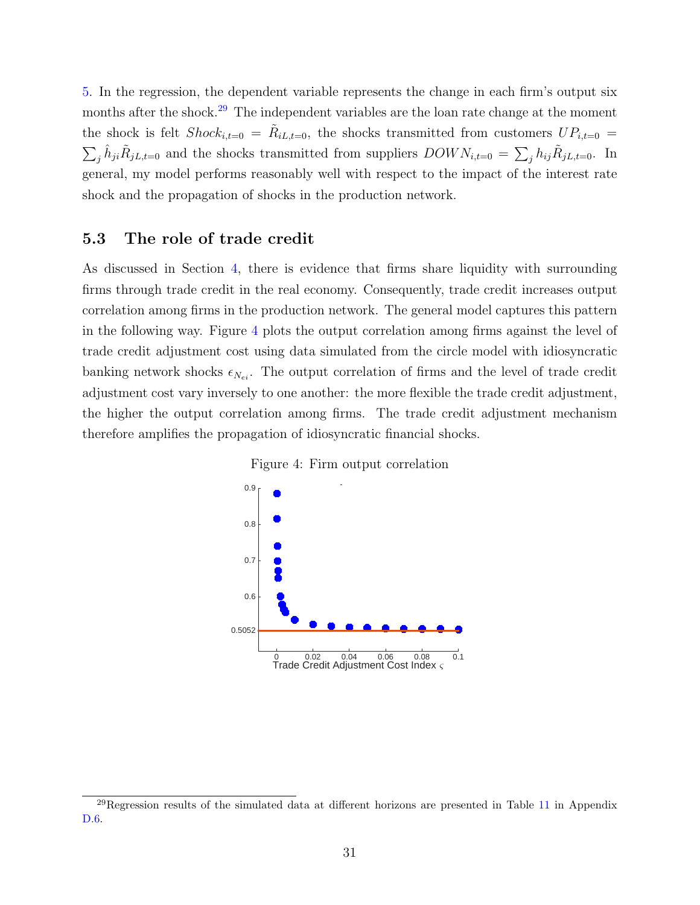[5.](#page-29-1) In the regression, the dependent variable represents the change in each firm's output six months after the shock.<sup>[29](#page-0-0)</sup> The independent variables are the loan rate change at the moment the shock is felt  $Shock_{i,t=0} = \tilde{R}_{iL,t=0}$ , the shocks transmitted from customers  $UP_{i,t=0}$  $\sum_j \hat{h}_{ji} \tilde{R}_{jL,t=0}$  and the shocks transmitted from suppliers  $DOWN_{i,t=0} = \sum_j h_{ij} \tilde{R}_{jL,t=0}$ . In general, my model performs reasonably well with respect to the impact of the interest rate shock and the propagation of shocks in the production network.

## 5.3 The role of trade credit

As discussed in Section [4,](#page-17-0) there is evidence that firms share liquidity with surrounding firms through trade credit in the real economy. Consequently, trade credit increases output correlation among firms in the production network. The general model captures this pattern in the following way. Figure [4](#page-30-0) plots the output correlation among firms against the level of trade credit adjustment cost using data simulated from the circle model with idiosyncratic banking network shocks  $\epsilon_{N_{ei}}$ . The output correlation of firms and the level of trade credit adjustment cost vary inversely to one another: the more flexible the trade credit adjustment, the higher the output correlation among firms. The trade credit adjustment mechanism therefore amplifies the propagation of idiosyncratic financial shocks.

<span id="page-30-0"></span>



 $^{29}$ Regression results of the simulated data at different horizons are presented in Table [11](#page-59-0) in Appendix [D.6.](#page-59-1)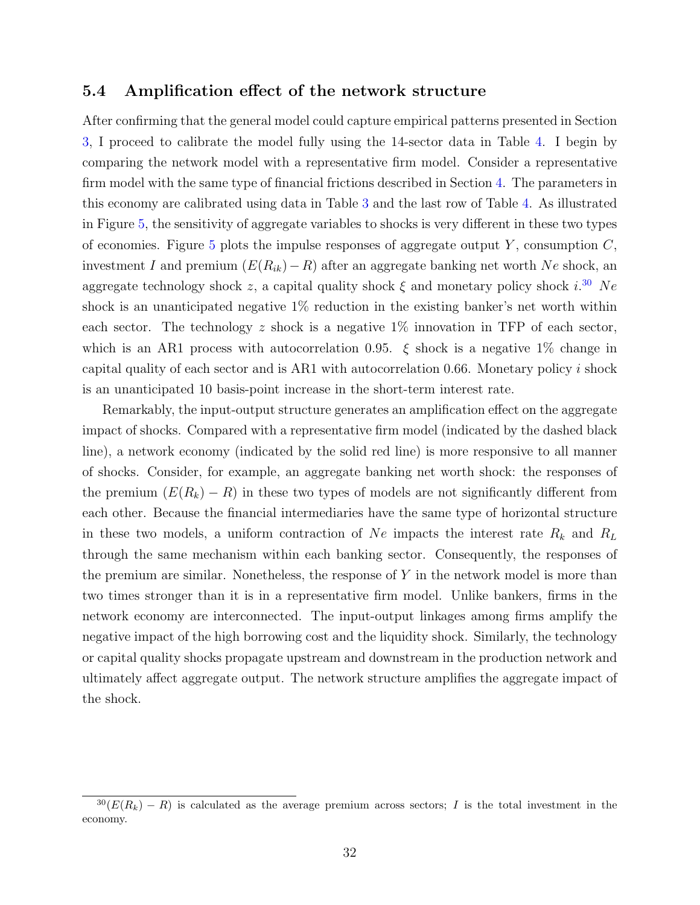### 5.4 Amplification effect of the network structure

After confirming that the general model could capture empirical patterns presented in Section [3,](#page-13-0) I proceed to calibrate the model fully using the 14-sector data in Table [4.](#page-28-1) I begin by comparing the network model with a representative firm model. Consider a representative firm model with the same type of financial frictions described in Section [4.](#page-17-0) The parameters in this economy are calibrated using data in Table [3](#page-28-0) and the last row of Table [4.](#page-28-1) As illustrated in Figure [5,](#page-32-0) the sensitivity of aggregate variables to shocks is very different in these two types of economies. Figure [5](#page-32-0) plots the impulse responses of aggregate output Y, consumption  $C$ , investment I and premium  $(E(R_{ik})-R)$  after an aggregate banking net worth Ne shock, an aggregate technology shock z, a capital quality shock  $\xi$  and monetary policy shock  $i^{30}$  $i^{30}$  $i^{30}$  Ne shock is an unanticipated negative 1% reduction in the existing banker's net worth within each sector. The technology z shock is a negative  $1\%$  innovation in TFP of each sector, which is an AR1 process with autocorrelation 0.95.  $\xi$  shock is a negative 1% change in capital quality of each sector and is AR1 with autocorrelation 0.66. Monetary policy i shock is an unanticipated 10 basis-point increase in the short-term interest rate.

Remarkably, the input-output structure generates an amplification effect on the aggregate impact of shocks. Compared with a representative firm model (indicated by the dashed black line), a network economy (indicated by the solid red line) is more responsive to all manner of shocks. Consider, for example, an aggregate banking net worth shock: the responses of the premium  $(E(R_k) - R)$  in these two types of models are not significantly different from each other. Because the financial intermediaries have the same type of horizontal structure in these two models, a uniform contraction of Ne impacts the interest rate  $R_k$  and  $R_L$ through the same mechanism within each banking sector. Consequently, the responses of the premium are similar. Nonetheless, the response of  $Y$  in the network model is more than two times stronger than it is in a representative firm model. Unlike bankers, firms in the network economy are interconnected. The input-output linkages among firms amplify the negative impact of the high borrowing cost and the liquidity shock. Similarly, the technology or capital quality shocks propagate upstream and downstream in the production network and ultimately affect aggregate output. The network structure amplifies the aggregate impact of the shock.

 $30(E(R_k) - R)$  is calculated as the average premium across sectors; I is the total investment in the economy.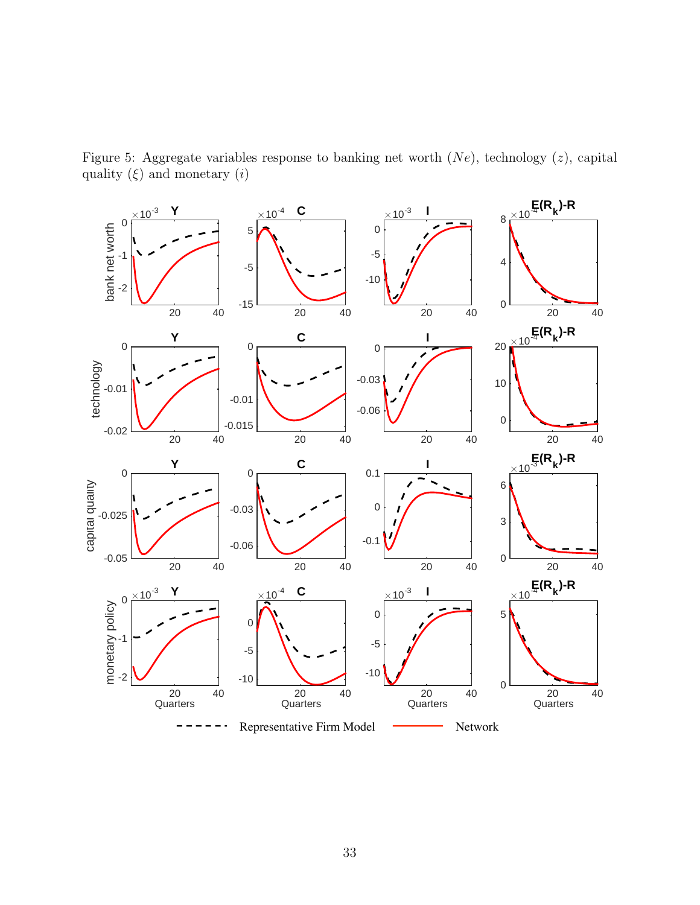<span id="page-32-0"></span>Figure 5: Aggregate variables response to banking net worth  $(Ne)$ , technology  $(z)$ , capital quality  $(\xi)$  and monetary  $(i)$ 

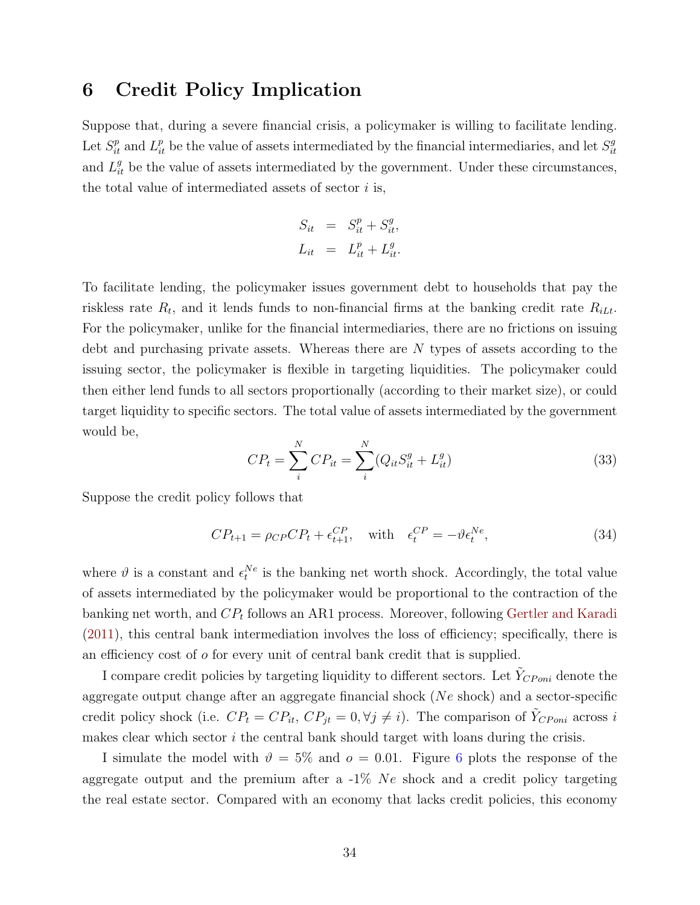# 6 Credit Policy Implication

Suppose that, during a severe financial crisis, a policymaker is willing to facilitate lending. Let  $S_{it}^p$  and  $L_{it}^p$  be the value of assets intermediated by the financial intermediaries, and let  $S_{it}^g$ it and  $L_{it}^{g}$  be the value of assets intermediated by the government. Under these circumstances, the total value of intermediated assets of sector  $i$  is,

$$
S_{it} = S_{it}^p + S_{it}^g,
$$
  

$$
L_{it} = L_{it}^p + L_{it}^g.
$$

To facilitate lending, the policymaker issues government debt to households that pay the riskless rate  $R_t$ , and it lends funds to non-financial firms at the banking credit rate  $R_{iL}$ . For the policymaker, unlike for the financial intermediaries, there are no frictions on issuing debt and purchasing private assets. Whereas there are N types of assets according to the issuing sector, the policymaker is flexible in targeting liquidities. The policymaker could then either lend funds to all sectors proportionally (according to their market size), or could target liquidity to specific sectors. The total value of assets intermediated by the government would be,

$$
CP_t = \sum_{i}^{N} CP_{it} = \sum_{i}^{N} (Q_{it}S_{it}^g + L_{it}^g)
$$
\n(33)

Suppose the credit policy follows that

$$
CP_{t+1} = \rho_{CP}CP_t + \epsilon_{t+1}^{CP}, \quad \text{with} \quad \epsilon_t^{CP} = -\vartheta \epsilon_t^{Ne}, \tag{34}
$$

where  $\vartheta$  is a constant and  $\epsilon_t^{Ne}$  is the banking net worth shock. Accordingly, the total value of assets intermediated by the policymaker would be proportional to the contraction of the banking net worth, and  $CP_t$  follows an AR1 process. Moreover, following [Gertler and Karadi](#page-38-0) [\(2011\)](#page-38-0), this central bank intermediation involves the loss of efficiency; specifically, there is an efficiency cost of  $\sigma$  for every unit of central bank credit that is supplied.

I compare credit policies by targeting liquidity to different sectors. Let  $\tilde{Y}_{CPoni}$  denote the aggregate output change after an aggregate financial shock (Ne shock) and a sector-specific credit policy shock (i.e.  $CP_t = CP_{it}$ ,  $CP_{jt} = 0$ ,  $\forall j \neq i$ ). The comparison of  $\tilde{Y}_{CPoni}$  across i makes clear which sector  $i$  the central bank should target with loans during the crisis.

I simulate the model with  $\vartheta = 5\%$  and  $o = 0.01$ . Figure [6](#page-34-0) plots the response of the aggregate output and the premium after a  $-1\%$  Ne shock and a credit policy targeting the real estate sector. Compared with an economy that lacks credit policies, this economy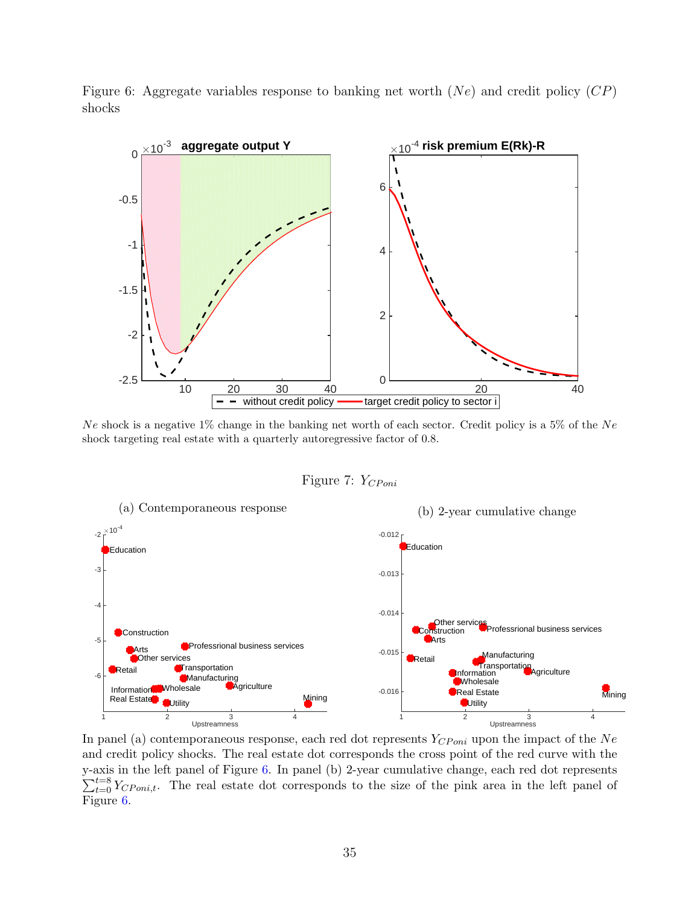<span id="page-34-0"></span>Figure 6: Aggregate variables response to banking net worth  $(Ne)$  and credit policy  $(CP)$ shocks



Ne shock is a negative 1% change in the banking net worth of each sector. Credit policy is a 5% of the Ne shock targeting real estate with a quarterly autoregressive factor of 0.8.

Figure 7:  $Y_{CPoni}$ 

<span id="page-34-1"></span>

In panel (a) contemporaneous response, each red dot represents  $Y_{CPoni}$  upon the impact of the Ne and credit policy shocks. The real estate dot corresponds the cross point of the red curve with the y-axis in the left panel of Figure [6.](#page-34-0) In panel (b) 2-year cumulative change, each red dot represents  $\sum_{t=0}^{t=8} Y_{CPoni,t}$ . The real estate dot corresponds to the size of the pink area in the left panel of Figure [6.](#page-34-0)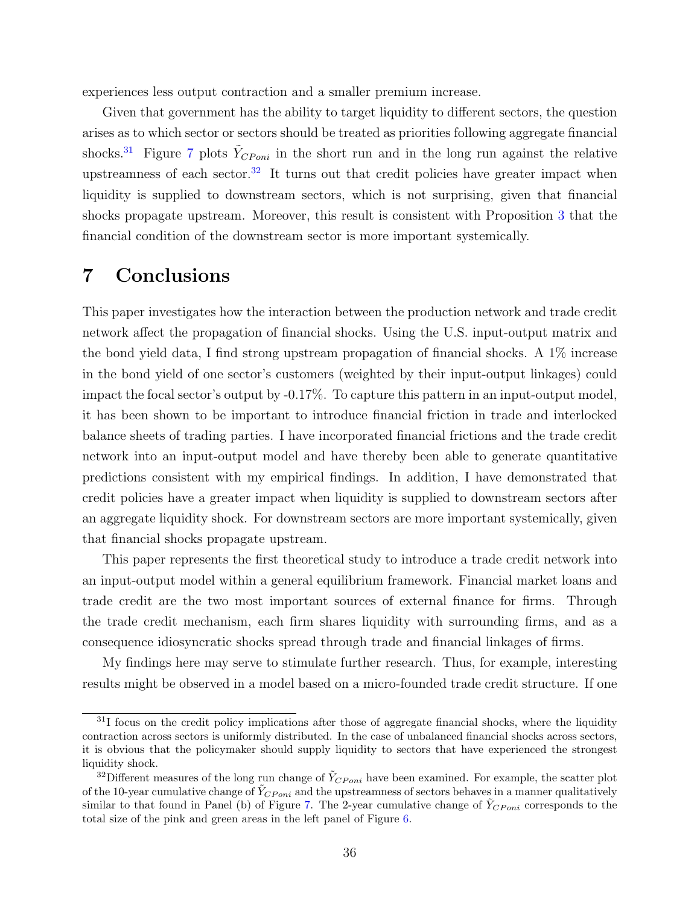experiences less output contraction and a smaller premium increase.

Given that government has the ability to target liquidity to different sectors, the question arises as to which sector or sectors should be treated as priorities following aggregate financial shocks.<sup>[31](#page-0-0)</sup> Figure [7](#page-34-1) plots  $\tilde{Y}_{CPoni}$  in the short run and in the long run against the relative upstreamness of each sector.<sup>[32](#page-0-0)</sup> It turns out that credit policies have greater impact when liquidity is supplied to downstream sectors, which is not surprising, given that financial shocks propagate upstream. Moreover, this result is consistent with Proposition [3](#page-11-2) that the financial condition of the downstream sector is more important systemically.

# 7 Conclusions

This paper investigates how the interaction between the production network and trade credit network affect the propagation of financial shocks. Using the U.S. input-output matrix and the bond yield data, I find strong upstream propagation of financial shocks. A 1% increase in the bond yield of one sector's customers (weighted by their input-output linkages) could impact the focal sector's output by -0.17%. To capture this pattern in an input-output model, it has been shown to be important to introduce financial friction in trade and interlocked balance sheets of trading parties. I have incorporated financial frictions and the trade credit network into an input-output model and have thereby been able to generate quantitative predictions consistent with my empirical findings. In addition, I have demonstrated that credit policies have a greater impact when liquidity is supplied to downstream sectors after an aggregate liquidity shock. For downstream sectors are more important systemically, given that financial shocks propagate upstream.

This paper represents the first theoretical study to introduce a trade credit network into an input-output model within a general equilibrium framework. Financial market loans and trade credit are the two most important sources of external finance for firms. Through the trade credit mechanism, each firm shares liquidity with surrounding firms, and as a consequence idiosyncratic shocks spread through trade and financial linkages of firms.

My findings here may serve to stimulate further research. Thus, for example, interesting results might be observed in a model based on a micro-founded trade credit structure. If one

<sup>&</sup>lt;sup>31</sup>I focus on the credit policy implications after those of aggregate financial shocks, where the liquidity contraction across sectors is uniformly distributed. In the case of unbalanced financial shocks across sectors, it is obvious that the policymaker should supply liquidity to sectors that have experienced the strongest liquidity shock.

<sup>&</sup>lt;sup>32</sup>Different measures of the long run change of  $\tilde{Y}_{CPoni}$  have been examined. For example, the scatter plot of the 10-year cumulative change of  $\tilde{Y}_{CPoni}$  and the upstreamness of sectors behaves in a manner qualitatively similar to that found in Panel (b) of Figure [7.](#page-34-1) The 2-year cumulative change of  $Y_{CPoni}$  corresponds to the total size of the pink and green areas in the left panel of Figure [6.](#page-34-0)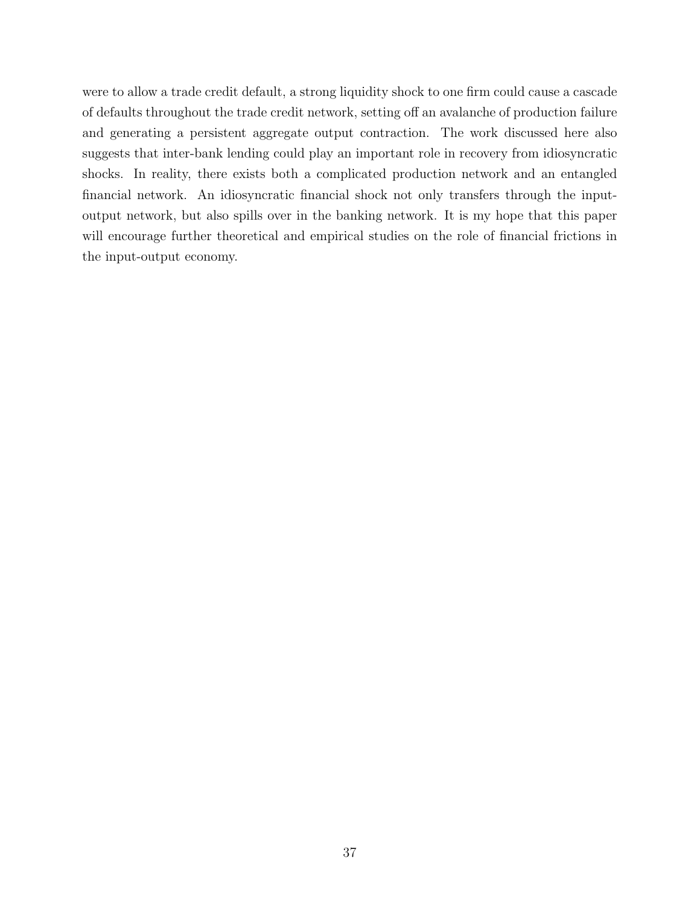were to allow a trade credit default, a strong liquidity shock to one firm could cause a cascade of defaults throughout the trade credit network, setting off an avalanche of production failure and generating a persistent aggregate output contraction. The work discussed here also suggests that inter-bank lending could play an important role in recovery from idiosyncratic shocks. In reality, there exists both a complicated production network and an entangled financial network. An idiosyncratic financial shock not only transfers through the inputoutput network, but also spills over in the banking network. It is my hope that this paper will encourage further theoretical and empirical studies on the role of financial frictions in the input-output economy.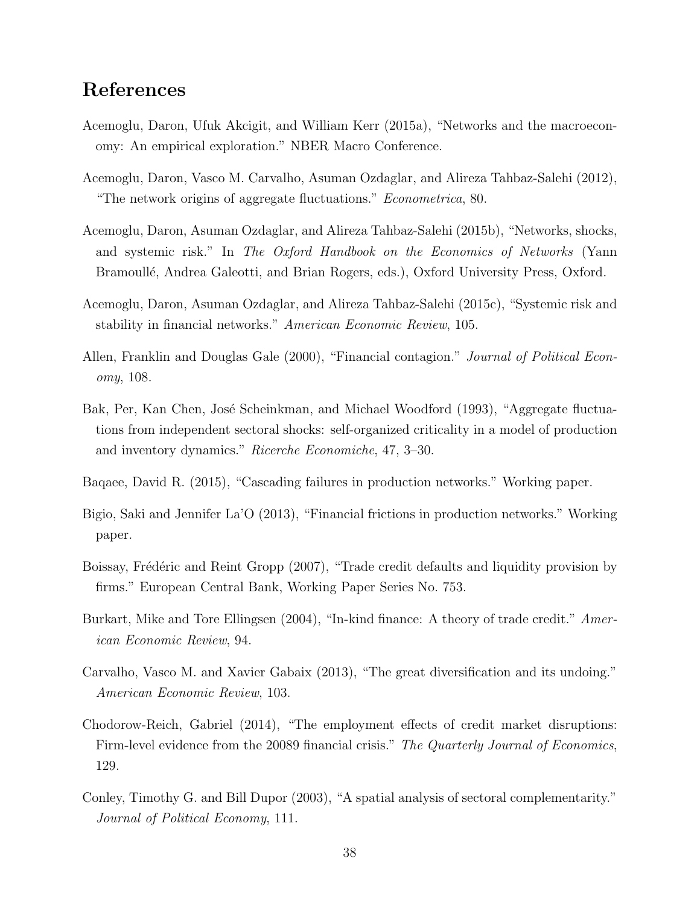# References

- <span id="page-37-6"></span>Acemoglu, Daron, Ufuk Akcigit, and William Kerr (2015a), "Networks and the macroeconomy: An empirical exploration." NBER Macro Conference.
- <span id="page-37-1"></span>Acemoglu, Daron, Vasco M. Carvalho, Asuman Ozdaglar, and Alireza Tahbaz-Salehi (2012), "The network origins of aggregate fluctuations." Econometrica, 80.
- <span id="page-37-4"></span>Acemoglu, Daron, Asuman Ozdaglar, and Alireza Tahbaz-Salehi (2015b), "Networks, shocks, and systemic risk." In The Oxford Handbook on the Economics of Networks (Yann Bramoullé, Andrea Galeotti, and Brian Rogers, eds.), Oxford University Press, Oxford.
- <span id="page-37-10"></span>Acemoglu, Daron, Asuman Ozdaglar, and Alireza Tahbaz-Salehi (2015c), "Systemic risk and stability in financial networks." American Economic Review, 105.
- <span id="page-37-9"></span>Allen, Franklin and Douglas Gale (2000), "Financial contagion." Journal of Political Economy, 108.
- <span id="page-37-2"></span>Bak, Per, Kan Chen, José Scheinkman, and Michael Woodford (1993), "Aggregate fluctuations from independent sectoral shocks: self-organized criticality in a model of production and inventory dynamics." Ricerche Economiche, 47, 3–30.
- <span id="page-37-11"></span>Baqaee, David R. (2015), "Cascading failures in production networks." Working paper.
- <span id="page-37-7"></span>Bigio, Saki and Jennifer La'O (2013), "Financial frictions in production networks." Working paper.
- <span id="page-37-0"></span>Boissay, Frédéric and Reint Gropp (2007), "Trade credit defaults and liquidity provision by firms." European Central Bank, Working Paper Series No. 753.
- <span id="page-37-8"></span>Burkart, Mike and Tore Ellingsen (2004), "In-kind finance: A theory of trade credit." American Economic Review, 94.
- <span id="page-37-5"></span>Carvalho, Vasco M. and Xavier Gabaix (2013), "The great diversification and its undoing." American Economic Review, 103.
- <span id="page-37-12"></span>Chodorow-Reich, Gabriel (2014), "The employment effects of credit market disruptions: Firm-level evidence from the 20089 financial crisis." The Quarterly Journal of Economics, 129.
- <span id="page-37-3"></span>Conley, Timothy G. and Bill Dupor (2003), "A spatial analysis of sectoral complementarity." Journal of Political Economy, 111.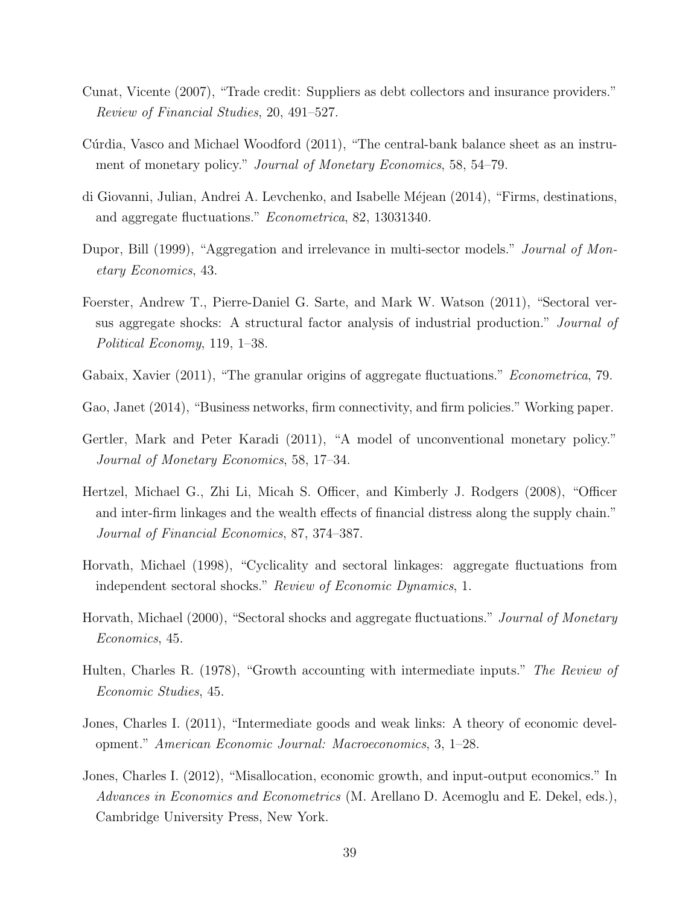- <span id="page-38-9"></span>Cunat, Vicente (2007), "Trade credit: Suppliers as debt collectors and insurance providers." Review of Financial Studies, 20, 491–527.
- <span id="page-38-10"></span>Cúrdia, Vasco and Michael Woodford (2011), "The central-bank balance sheet as an instrument of monetary policy." Journal of Monetary Economics, 58, 54-79.
- <span id="page-38-1"></span>di Giovanni, Julian, Andrei A. Levchenko, and Isabelle M´ejean (2014), "Firms, destinations, and aggregate fluctuations." Econometrica, 82, 13031340.
- <span id="page-38-4"></span>Dupor, Bill (1999), "Aggregation and irrelevance in multi-sector models." *Journal of Mon*etary Economics, 43.
- <span id="page-38-5"></span>Foerster, Andrew T., Pierre-Daniel G. Sarte, and Mark W. Watson (2011), "Sectoral versus aggregate shocks: A structural factor analysis of industrial production." Journal of Political Economy, 119, 1–38.
- <span id="page-38-8"></span>Gabaix, Xavier (2011), "The granular origins of aggregate fluctuations." *Econometrica*, 79.
- <span id="page-38-13"></span>Gao, Janet (2014), "Business networks, firm connectivity, and firm policies." Working paper.
- <span id="page-38-0"></span>Gertler, Mark and Peter Karadi (2011), "A model of unconventional monetary policy." Journal of Monetary Economics, 58, 17–34.
- <span id="page-38-12"></span>Hertzel, Michael G., Zhi Li, Micah S. Officer, and Kimberly J. Rodgers (2008), "Officer and inter-firm linkages and the wealth effects of financial distress along the supply chain." Journal of Financial Economics, 87, 374–387.
- <span id="page-38-2"></span>Horvath, Michael (1998), "Cyclicality and sectoral linkages: aggregate fluctuations from independent sectoral shocks." Review of Economic Dynamics, 1.
- <span id="page-38-3"></span>Horvath, Michael (2000), "Sectoral shocks and aggregate fluctuations." Journal of Monetary Economics, 45.
- <span id="page-38-11"></span>Hulten, Charles R. (1978), "Growth accounting with intermediate inputs." The Review of Economic Studies, 45.
- <span id="page-38-6"></span>Jones, Charles I. (2011), "Intermediate goods and weak links: A theory of economic development." American Economic Journal: Macroeconomics, 3, 1–28.
- <span id="page-38-7"></span>Jones, Charles I. (2012), "Misallocation, economic growth, and input-output economics." In Advances in Economics and Econometrics (M. Arellano D. Acemoglu and E. Dekel, eds.), Cambridge University Press, New York.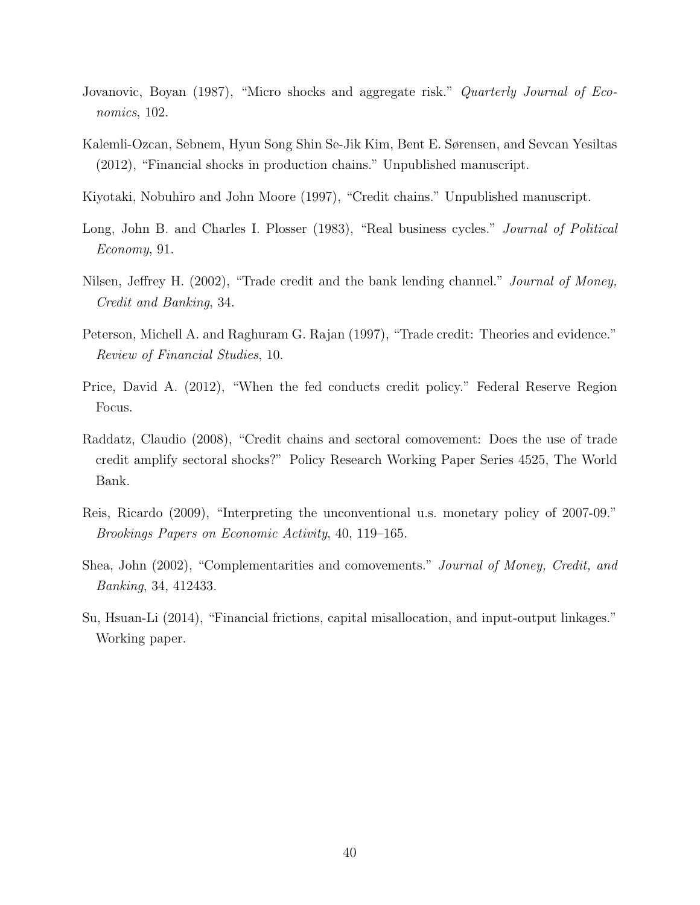- <span id="page-39-4"></span>Jovanovic, Boyan (1987), "Micro shocks and aggregate risk." Quarterly Journal of Economics, 102.
- <span id="page-39-8"></span>Kalemli-Ozcan, Sebnem, Hyun Song Shin Se-Jik Kim, Bent E. Sørensen, and Sevcan Yesiltas (2012), "Financial shocks in production chains." Unpublished manuscript.
- <span id="page-39-7"></span>Kiyotaki, Nobuhiro and John Moore (1997), "Credit chains." Unpublished manuscript.
- <span id="page-39-0"></span>Long, John B. and Charles I. Plosser (1983), "Real business cycles." *Journal of Political* Economy, 91.
- <span id="page-39-10"></span>Nilsen, Jeffrey H. (2002), "Trade credit and the bank lending channel." Journal of Money, Credit and Banking, 34.
- <span id="page-39-6"></span>Peterson, Michell A. and Raghuram G. Rajan (1997), "Trade credit: Theories and evidence." Review of Financial Studies, 10.
- <span id="page-39-1"></span>Price, David A. (2012), "When the fed conducts credit policy." Federal Reserve Region Focus.
- <span id="page-39-9"></span>Raddatz, Claudio (2008), "Credit chains and sectoral comovement: Does the use of trade credit amplify sectoral shocks?" Policy Research Working Paper Series 4525, The World Bank.
- <span id="page-39-2"></span>Reis, Ricardo (2009), "Interpreting the unconventional u.s. monetary policy of 2007-09." Brookings Papers on Economic Activity, 40, 119–165.
- <span id="page-39-3"></span>Shea, John (2002), "Complementarities and comovements." Journal of Money, Credit, and Banking, 34, 412433.
- <span id="page-39-5"></span>Su, Hsuan-Li (2014), "Financial frictions, capital misallocation, and input-output linkages." Working paper.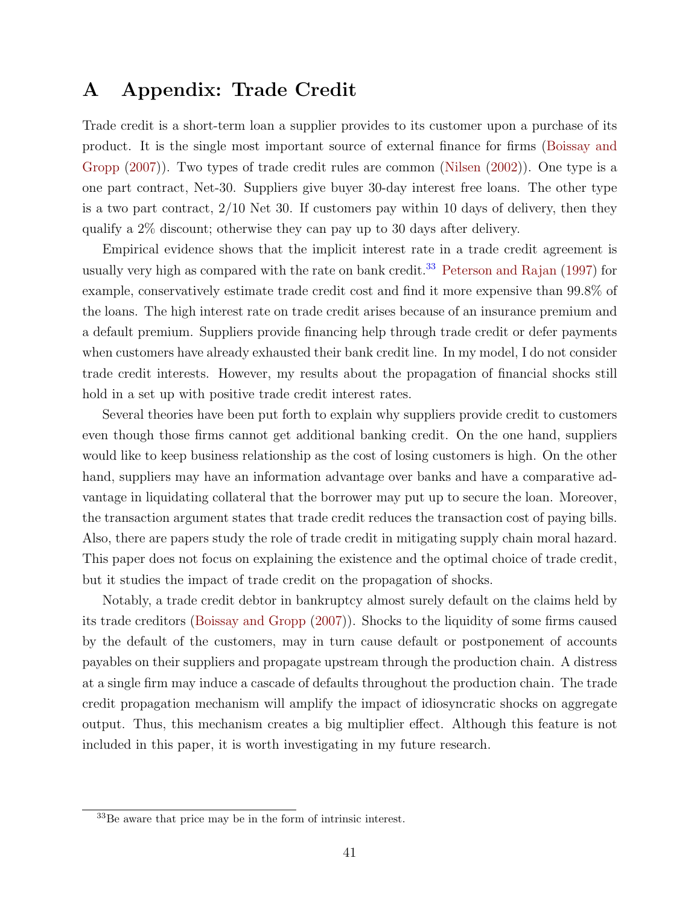# <span id="page-40-0"></span>A Appendix: Trade Credit

Trade credit is a short-term loan a supplier provides to its customer upon a purchase of its product. It is the single most important source of external finance for firms [\(Boissay and](#page-37-0) [Gropp](#page-37-0) [\(2007\)](#page-37-0)). Two types of trade credit rules are common [\(Nilsen](#page-39-10) [\(2002\)](#page-39-10)). One type is a one part contract, Net-30. Suppliers give buyer 30-day interest free loans. The other type is a two part contract, 2/10 Net 30. If customers pay within 10 days of delivery, then they qualify a 2% discount; otherwise they can pay up to 30 days after delivery.

Empirical evidence shows that the implicit interest rate in a trade credit agreement is usually very high as compared with the rate on bank credit.<sup>[33](#page-0-0)</sup> [Peterson and Rajan](#page-39-6) [\(1997\)](#page-39-6) for example, conservatively estimate trade credit cost and find it more expensive than 99.8% of the loans. The high interest rate on trade credit arises because of an insurance premium and a default premium. Suppliers provide financing help through trade credit or defer payments when customers have already exhausted their bank credit line. In my model, I do not consider trade credit interests. However, my results about the propagation of financial shocks still hold in a set up with positive trade credit interest rates.

Several theories have been put forth to explain why suppliers provide credit to customers even though those firms cannot get additional banking credit. On the one hand, suppliers would like to keep business relationship as the cost of losing customers is high. On the other hand, suppliers may have an information advantage over banks and have a comparative advantage in liquidating collateral that the borrower may put up to secure the loan. Moreover, the transaction argument states that trade credit reduces the transaction cost of paying bills. Also, there are papers study the role of trade credit in mitigating supply chain moral hazard. This paper does not focus on explaining the existence and the optimal choice of trade credit, but it studies the impact of trade credit on the propagation of shocks.

Notably, a trade credit debtor in bankruptcy almost surely default on the claims held by its trade creditors [\(Boissay and Gropp](#page-37-0) [\(2007\)](#page-37-0)). Shocks to the liquidity of some firms caused by the default of the customers, may in turn cause default or postponement of accounts payables on their suppliers and propagate upstream through the production chain. A distress at a single firm may induce a cascade of defaults throughout the production chain. The trade credit propagation mechanism will amplify the impact of idiosyncratic shocks on aggregate output. Thus, this mechanism creates a big multiplier effect. Although this feature is not included in this paper, it is worth investigating in my future research.

<sup>33</sup>Be aware that price may be in the form of intrinsic interest.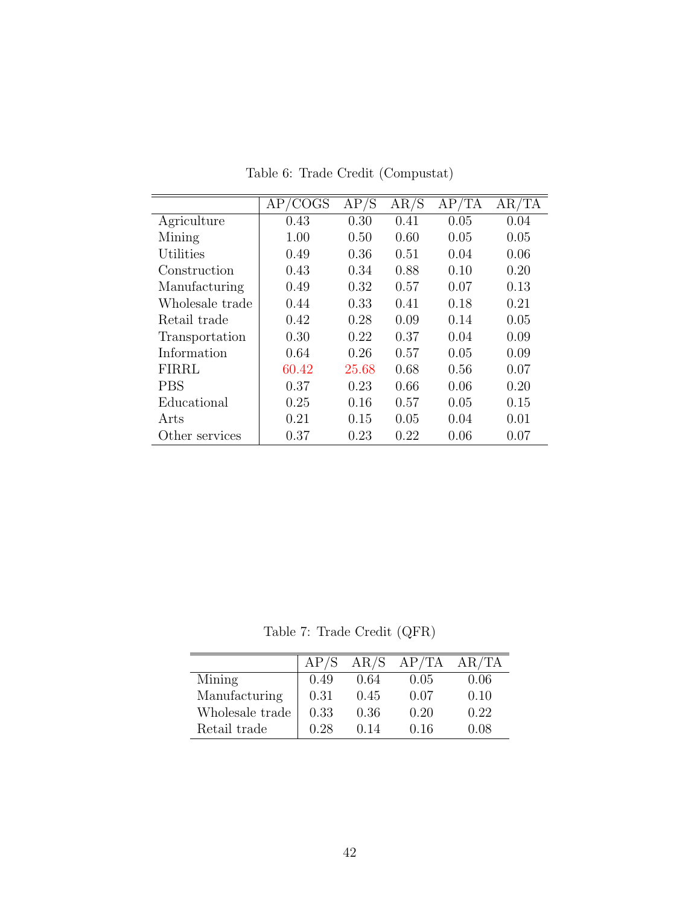<span id="page-41-0"></span>

|                 | COGS<br>AP | AP/S  | AR/S | AP/TA | AR/TA |
|-----------------|------------|-------|------|-------|-------|
| Agriculture     | 0.43       | 0.30  | 0.41 | 0.05  | 0.04  |
| Mining          | 1.00       | 0.50  | 0.60 | 0.05  | 0.05  |
| Utilities       | 0.49       | 0.36  | 0.51 | 0.04  | 0.06  |
| Construction    | 0.43       | 0.34  | 0.88 | 0.10  | 0.20  |
| Manufacturing   | 0.49       | 0.32  | 0.57 | 0.07  | 0.13  |
| Wholesale trade | 0.44       | 0.33  | 0.41 | 0.18  | 0.21  |
| Retail trade    | 0.42       | 0.28  | 0.09 | 0.14  | 0.05  |
| Transportation  | 0.30       | 0.22  | 0.37 | 0.04  | 0.09  |
| Information     | 0.64       | 0.26  | 0.57 | 0.05  | 0.09  |
| FIRRL           | 60.42      | 25.68 | 0.68 | 0.56  | 0.07  |
| <b>PBS</b>      | 0.37       | 0.23  | 0.66 | 0.06  | 0.20  |
| Educational     | 0.25       | 0.16  | 0.57 | 0.05  | 0.15  |
| Arts            | 0.21       | 0.15  | 0.05 | 0.04  | 0.01  |
| Other services  | 0.37       | 0.23  | 0.22 | 0.06  | 0.07  |

Table 6: Trade Credit (Compustat)

Table 7: Trade Credit (QFR)

<span id="page-41-1"></span>

|                 |      | AR/S | AP/TA | AR/TA |
|-----------------|------|------|-------|-------|
| Mining          | 0.49 | 0.64 | 0.05  | 0.06  |
| Manufacturing   | 0.31 | 0.45 | 0.07  | 0.10  |
| Wholesale trade | 0.33 | 0.36 | 0.20  | 0.22  |
| Retail trade    | 0.28 | 0.14 | 0.16  | 0.08  |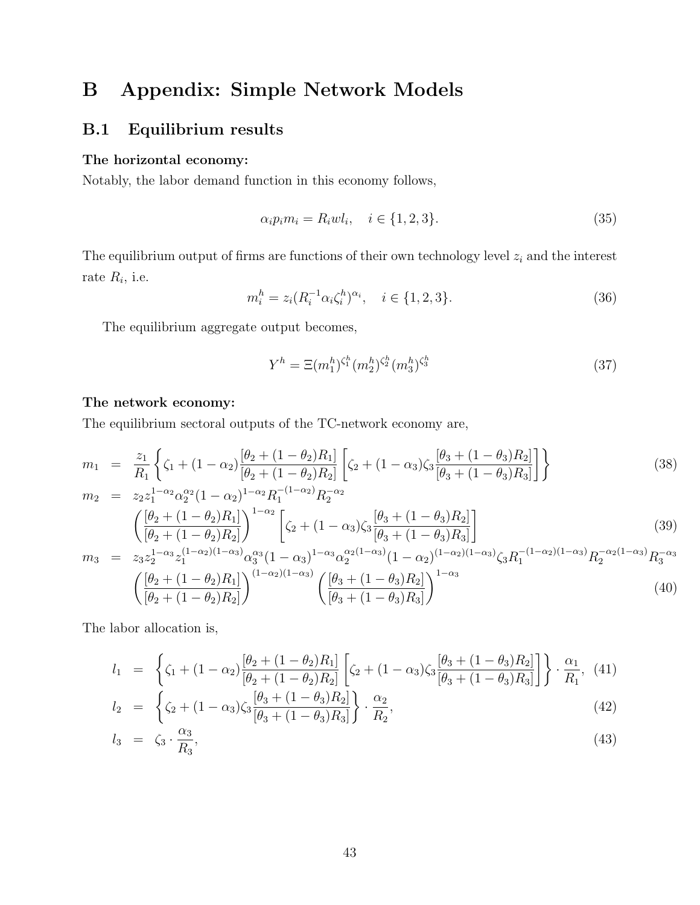# B Appendix: Simple Network Models

# <span id="page-42-0"></span>B.1 Equilibrium results

#### The horizontal economy:

Notably, the labor demand function in this economy follows,

$$
\alpha_i p_i m_i = R_i w l_i, \quad i \in \{1, 2, 3\}.
$$
\n(35)

The equilibrium output of firms are functions of their own technology level  $z_i$  and the interest rate  $R_i$ , i.e.

$$
m_i^h = z_i (R_i^{-1} \alpha_i \zeta_i^h)^{\alpha_i}, \quad i \in \{1, 2, 3\}.
$$
 (36)

The equilibrium aggregate output becomes,

$$
Y^{h} = \Xi(m_1^{h})^{\zeta_1^{h}} (m_2^{h})^{\zeta_2^{h}} (m_3^{h})^{\zeta_3^{h}}
$$
\n(37)

#### The network economy:

The equilibrium sectoral outputs of the TC-network economy are,

<span id="page-42-2"></span>
$$
m_1 = \frac{z_1}{R_1} \left\{ \zeta_1 + (1 - \alpha_2) \frac{[\theta_2 + (1 - \theta_2)R_1]}{[\theta_2 + (1 - \theta_2)R_2]} \left[ \zeta_2 + (1 - \alpha_3) \zeta_3 \frac{[\theta_3 + (1 - \theta_3)R_2]}{[\theta_3 + (1 - \theta_3)R_3]} \right] \right\}
$$
(38)

$$
m_2 = z_2 z_1^{1-\alpha_2} \alpha_2^{\alpha_2} (1-\alpha_2)^{1-\alpha_2} R_1^{-(1-\alpha_2)} R_2^{-\alpha_2}
$$

$$
\left( \frac{[\theta_2 + (1-\theta_2)R_1]}{[\theta_2 + (1-\theta_2)R_2]} \right)^{1-\alpha_2} \left[ \zeta_2 + (1-\alpha_3)\zeta_3 \frac{[\theta_3 + (1-\theta_3)R_2]}{[\theta_3 + (1-\theta_3)R_3]} \right]
$$
(39)

$$
m_3 = z_3 z_2^{1-\alpha_3} z_1^{(1-\alpha_2)(1-\alpha_3)} \alpha_3^{\alpha_3} (1-\alpha_3)^{1-\alpha_3} \alpha_2^{\alpha_2(1-\alpha_3)} (1-\alpha_2)^{(1-\alpha_2)(1-\alpha_3)} \zeta_3 R_1^{-(1-\alpha_2)(1-\alpha_3)} R_2^{-\alpha_2(1-\alpha_3)} R_3^{-\alpha_3}
$$

$$
\left(\frac{[\theta_2 + (1-\theta_2)R_1]}{[\theta_2 + (1-\theta_2)R_2]}\right)^{(1-\alpha_2)(1-\alpha_3)} \left(\frac{[\theta_3 + (1-\theta_3)R_2]}{[\theta_3 + (1-\theta_3)R_3]}\right)^{1-\alpha_3} \tag{40}
$$

The labor allocation is,

<span id="page-42-1"></span>
$$
l_1 = \left\{ \zeta_1 + (1 - \alpha_2) \frac{[\theta_2 + (1 - \theta_2)R_1]}{[\theta_2 + (1 - \theta_2)R_2]} \left[ \zeta_2 + (1 - \alpha_3) \zeta_3 \frac{[\theta_3 + (1 - \theta_3)R_2]}{[\theta_3 + (1 - \theta_3)R_3]} \right] \right\} \cdot \frac{\alpha_1}{R_1},
$$
(41)

$$
l_2 = \left\{ \zeta_2 + (1 - \alpha_3)\zeta_3 \frac{[\theta_3 + (1 - \theta_3)R_2]}{[\theta_3 + (1 - \theta_3)R_3]} \right\} \cdot \frac{\alpha_2}{R_2},
$$
\n
$$
l_1 = \zeta_3 \qquad (42)
$$

$$
l_3 = \zeta_3 \cdot \frac{\alpha_3}{R_3},\tag{43}
$$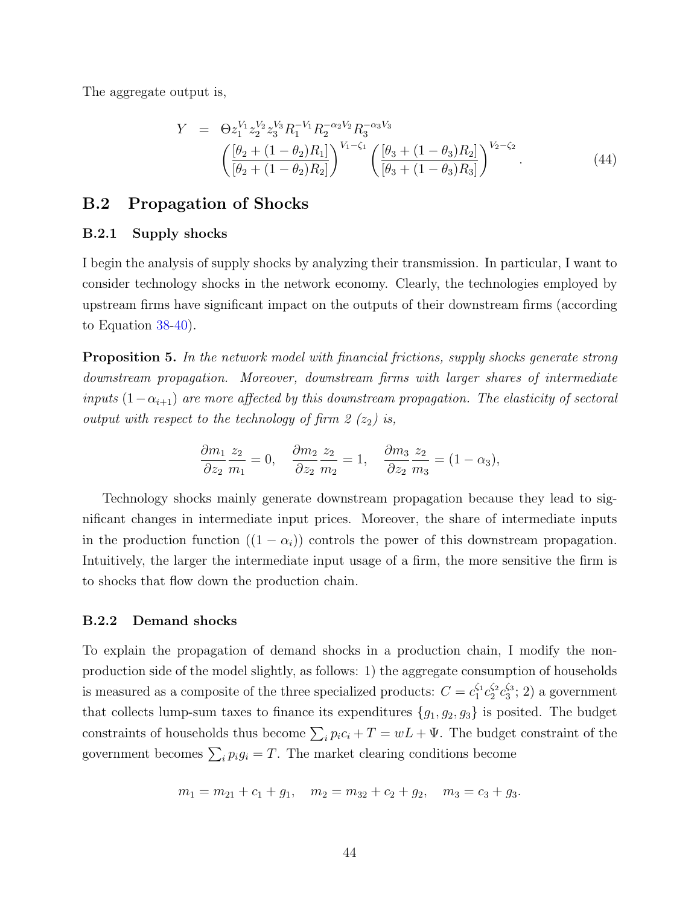The aggregate output is,

$$
Y = \Theta z_1^{V_1} z_2^{V_2} z_3^{V_3} R_1^{-V_1} R_2^{-\alpha_2 V_2} R_3^{-\alpha_3 V_3}
$$

$$
\left( \frac{[\theta_2 + (1 - \theta_2)R_1]}{[\theta_2 + (1 - \theta_2)R_2]} \right)^{V_1 - \zeta_1} \left( \frac{[\theta_3 + (1 - \theta_3)R_2]}{[\theta_3 + (1 - \theta_3)R_3]} \right)^{V_2 - \zeta_2}.
$$
(44)

## <span id="page-43-0"></span>B.2 Propagation of Shocks

#### B.2.1 Supply shocks

I begin the analysis of supply shocks by analyzing their transmission. In particular, I want to consider technology shocks in the network economy. Clearly, the technologies employed by upstream firms have significant impact on the outputs of their downstream firms (according to Equation [38-40\)](#page-42-2).

Proposition 5. In the network model with financial frictions, supply shocks generate strong downstream propagation. Moreover, downstream firms with larger shares of intermediate inputs  $(1-\alpha_{i+1})$  are more affected by this downstream propagation. The elasticity of sectoral output with respect to the technology of firm 2  $(z_2)$  is,

$$
\frac{\partial m_1}{\partial z_2} \frac{z_2}{m_1} = 0, \quad \frac{\partial m_2}{\partial z_2} \frac{z_2}{m_2} = 1, \quad \frac{\partial m_3}{\partial z_2} \frac{z_2}{m_3} = (1 - \alpha_3),
$$

Technology shocks mainly generate downstream propagation because they lead to significant changes in intermediate input prices. Moreover, the share of intermediate inputs in the production function  $((1 - \alpha_i))$  controls the power of this downstream propagation. Intuitively, the larger the intermediate input usage of a firm, the more sensitive the firm is to shocks that flow down the production chain.

#### B.2.2 Demand shocks

To explain the propagation of demand shocks in a production chain, I modify the nonproduction side of the model slightly, as follows: 1) the aggregate consumption of households is measured as a composite of the three specialized products:  $C = c_1^{\zeta_1} c_2^{\zeta_2} c_3^{\zeta_3}; 2$  a government that collects lump-sum taxes to finance its expenditures  ${g_1, g_2, g_3}$  is posited. The budget constraints of households thus become  $\sum_i p_i c_i + T = wL + \Psi$ . The budget constraint of the government becomes  $\sum_i p_i g_i = T$ . The market clearing conditions become

$$
m_1 = m_{21} + c_1 + g_1
$$
,  $m_2 = m_{32} + c_2 + g_2$ ,  $m_3 = c_3 + g_3$ .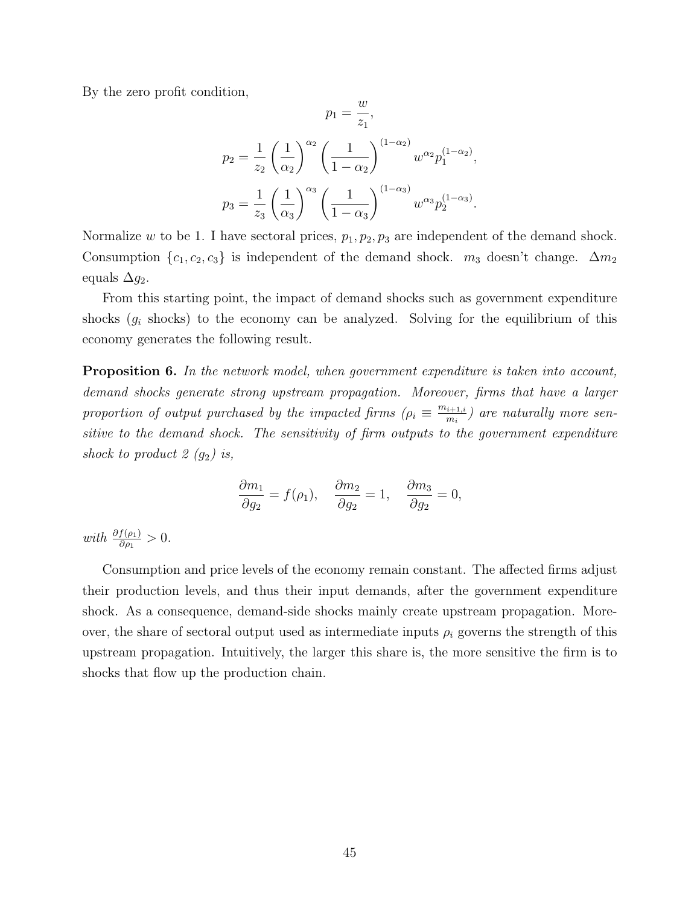By the zero profit condition,

$$
p_1 = \frac{w}{z_1},
$$
  
\n
$$
p_2 = \frac{1}{z_2} \left(\frac{1}{\alpha_2}\right)^{\alpha_2} \left(\frac{1}{1-\alpha_2}\right)^{(1-\alpha_2)} w^{\alpha_2} p_1^{(1-\alpha_2)},
$$
  
\n
$$
p_3 = \frac{1}{z_3} \left(\frac{1}{\alpha_3}\right)^{\alpha_3} \left(\frac{1}{1-\alpha_3}\right)^{(1-\alpha_3)} w^{\alpha_3} p_2^{(1-\alpha_3)}.
$$

Normalize w to be 1. I have sectoral prices,  $p_1, p_2, p_3$  are independent of the demand shock. Consumption  $\{c_1, c_2, c_3\}$  is independent of the demand shock.  $m_3$  doesn't change.  $\Delta m_2$ equals  $\Delta q_2$ .

From this starting point, the impact of demand shocks such as government expenditure shocks  $(g_i$  shocks) to the economy can be analyzed. Solving for the equilibrium of this economy generates the following result.

**Proposition 6.** In the network model, when government expenditure is taken into account, demand shocks generate strong upstream propagation. Moreover, firms that have a larger proportion of output purchased by the impacted firms  $(\rho_i \equiv \frac{m_{i+1,i}}{m_i})$  $\binom{i+1,i}{m_i}$  are naturally more sensitive to the demand shock. The sensitivity of firm outputs to the government expenditure shock to product 2  $(g_2)$  is,

$$
\frac{\partial m_1}{\partial g_2} = f(\rho_1), \quad \frac{\partial m_2}{\partial g_2} = 1, \quad \frac{\partial m_3}{\partial g_2} = 0,
$$

with  $\frac{\partial f(\rho_1)}{\partial \rho_1} > 0$ .

Consumption and price levels of the economy remain constant. The affected firms adjust their production levels, and thus their input demands, after the government expenditure shock. As a consequence, demand-side shocks mainly create upstream propagation. Moreover, the share of sectoral output used as intermediate inputs  $\rho_i$  governs the strength of this upstream propagation. Intuitively, the larger this share is, the more sensitive the firm is to shocks that flow up the production chain.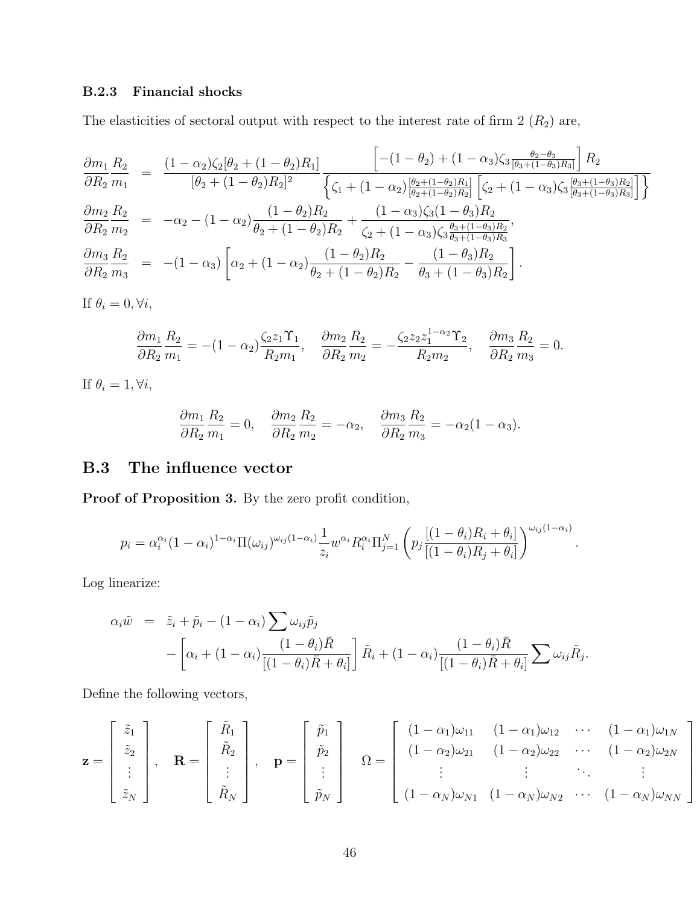# B.2.3 Financial shocks

The elasticities of sectoral output with respect to the interest rate of firm  $2(R_2)$  are,

$$
\frac{\partial m_1}{\partial R_2} \frac{R_2}{m_1} = \frac{(1 - \alpha_2)\zeta_2[\theta_2 + (1 - \theta_2)R_1]}{[\theta_2 + (1 - \theta_2)R_2]^2} \frac{\left[ -(1 - \theta_2) + (1 - \alpha_3)\zeta_3 \frac{\theta_2 - \theta_3}{[\theta_3 + (1 - \theta_3)R_3]} \right] R_2}{\left\{ \zeta_1 + (1 - \alpha_2) \frac{[\theta_2 + (1 - \theta_2)R_1]}{[\theta_2 + (1 - \theta_2)R_2]} \left[ \zeta_2 + (1 - \alpha_3)\zeta_3 \frac{[\theta_3 + (1 - \theta_3)R_2]}{[\theta_3 + (1 - \theta_3)R_3]} \right] \right\}}{\frac{\partial m_2}{\partial R_2} \frac{R_2}{m_2}} = -\alpha_2 - (1 - \alpha_2) \frac{(1 - \theta_2)R_2}{\theta_2 + (1 - \theta_2)R_2} + \frac{(1 - \alpha_3)\zeta_3(1 - \theta_3)R_2}{\zeta_2 + (1 - \alpha_3)\zeta_3 \frac{\theta_3 + (1 - \theta_3)R_2}{\theta_3 + (1 - \theta_3)R_3}},
$$
  

$$
\frac{\partial m_3}{\partial R_2} \frac{R_2}{m_3} = -(1 - \alpha_3) \left[ \alpha_2 + (1 - \alpha_2) \frac{(1 - \theta_2)R_2}{\theta_2 + (1 - \theta_2)R_2} - \frac{(1 - \theta_3)R_2}{\theta_3 + (1 - \theta_3)R_2} \right].
$$

If  $\theta_i = 0, \forall i$ ,

$$
\frac{\partial m_1}{\partial R_2} \frac{R_2}{m_1} = -(1 - \alpha_2) \frac{\zeta_2 z_1 \Upsilon_1}{R_2 m_1}, \quad \frac{\partial m_2}{\partial R_2} \frac{R_2}{m_2} = -\frac{\zeta_2 z_2 z_1^{1 - \alpha_2} \Upsilon_2}{R_2 m_2}, \quad \frac{\partial m_3}{\partial R_2} \frac{R_2}{m_3} = 0.
$$

If  $\theta_i = 1, \forall i$ ,

$$
\frac{\partial m_1}{\partial R_2} \frac{R_2}{m_1} = 0, \quad \frac{\partial m_2}{\partial R_2} \frac{R_2}{m_2} = -\alpha_2, \quad \frac{\partial m_3}{\partial R_2} \frac{R_2}{m_3} = -\alpha_2 (1 - \alpha_3).
$$

# <span id="page-45-0"></span>B.3 The influence vector

Proof of Proposition 3. By the zero profit condition,

$$
p_i = \alpha_i^{\alpha_i} (1 - \alpha_i)^{1 - \alpha_i} \Pi(\omega_{ij})^{\omega_{ij}(1 - \alpha_i)} \frac{1}{z_i} w^{\alpha_i} R_i^{\alpha_i} \Pi_{j=1}^N \left( p_j \frac{[(1 - \theta_i)R_i + \theta_i]}{[(1 - \theta_i)R_j + \theta_i]} \right)^{\omega_{ij}(1 - \alpha_i)}
$$

.

1

 $\overline{1}$  $\mathbf{I}$  $\overline{1}$  $\overline{1}$  $\overline{1}$ 

Log linearize:

$$
\alpha_i \tilde{w} = \tilde{z}_i + \tilde{p}_i - (1 - \alpha_i) \sum \omega_{ij} \tilde{p}_j
$$
  
 
$$
- \left[ \alpha_i + (1 - \alpha_i) \frac{(1 - \theta_i) \bar{R}}{[(1 - \theta_i) \bar{R} + \theta_i]} \right] \tilde{R}_i + (1 - \alpha_i) \frac{(1 - \theta_i) \bar{R}}{[(1 - \theta_i) \bar{R} + \theta_i]} \sum \omega_{ij} \tilde{R}_j.
$$

Define the following vectors,

$$
\mathbf{z} = \begin{bmatrix} \tilde{z}_1 \\ \tilde{z}_2 \\ \vdots \\ \tilde{z}_N \end{bmatrix}, \quad \mathbf{R} = \begin{bmatrix} \tilde{R}_1 \\ \tilde{R}_2 \\ \vdots \\ \tilde{R}_N \end{bmatrix}, \quad \mathbf{p} = \begin{bmatrix} \tilde{p}_1 \\ \tilde{p}_2 \\ \vdots \\ \tilde{p}_N \end{bmatrix} \quad \Omega = \begin{bmatrix} (1 - \alpha_1)\omega_{11} & (1 - \alpha_1)\omega_{12} & \cdots & (1 - \alpha_1)\omega_{1N} \\ (1 - \alpha_2)\omega_{21} & (1 - \alpha_2)\omega_{22} & \cdots & (1 - \alpha_2)\omega_{2N} \\ \vdots & \vdots & \ddots & \vdots \\ (1 - \alpha_N)\omega_{N1} & (1 - \alpha_N)\omega_{N2} & \cdots & (1 - \alpha_N)\omega_{NN} \end{bmatrix}
$$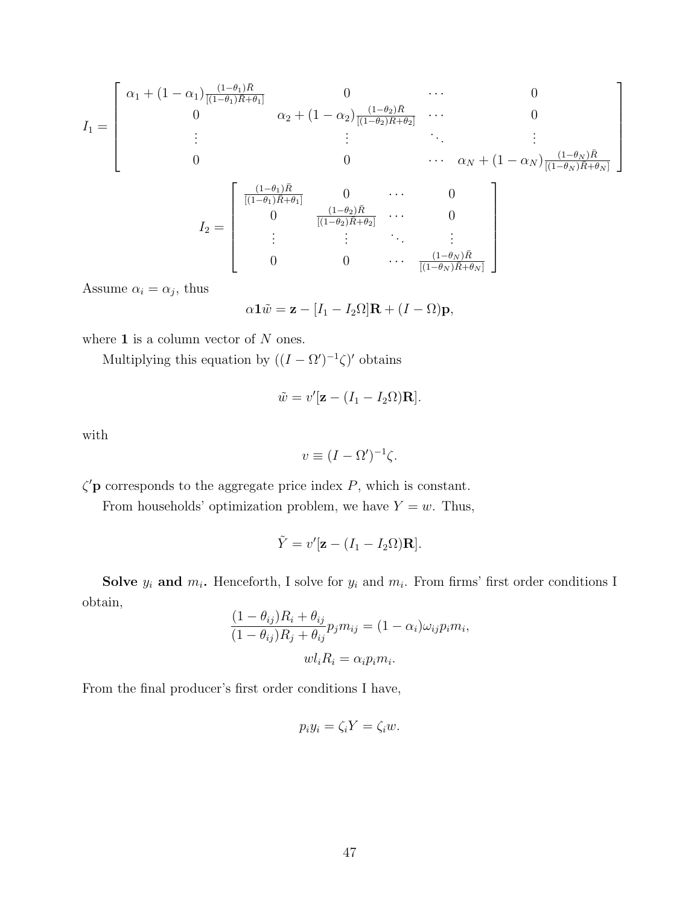$$
I_{1} = \begin{bmatrix} \alpha_{1} + (1 - \alpha_{1}) \frac{(1 - \theta_{1})\bar{R}}{[(1 - \theta_{1})\bar{R} + \theta_{1}]} & 0 & \cdots & 0 \\ 0 & \alpha_{2} + (1 - \alpha_{2}) \frac{(1 - \theta_{2})\bar{R}}{[(1 - \theta_{2})\bar{R} + \theta_{2}]} & \cdots & 0 \\ \vdots & \vdots & \ddots & \vdots \\ 0 & 0 & \cdots & \alpha_{N} + (1 - \alpha_{N}) \frac{(1 - \theta_{N})\bar{R}}{[(1 - \theta_{N})\bar{R} + \theta_{N}]} \\ 0 & \frac{(1 - \theta_{1})\bar{R}}{[(1 - \theta_{1})\bar{R} + \theta_{1}]} & 0 & \cdots & 0 \\ 0 & \frac{(1 - \theta_{2})\bar{R}}{[(1 - \theta_{2})\bar{R} + \theta_{2}]} & \cdots & 0 \\ \vdots & \vdots & \ddots & \vdots \\ 0 & 0 & \cdots & \frac{(1 - \theta_{N})\bar{R}}{[(1 - \theta_{N})\bar{R} + \theta_{N}]} \end{bmatrix}
$$

Assume  $\alpha_i = \alpha_j$ , thus

$$
\alpha \mathbf{1}\tilde{w} = \mathbf{z} - [I_1 - I_2\Omega]\mathbf{R} + (I - \Omega)\mathbf{p},
$$

where  $1$  is a column vector of  $N$  ones.

Multiplying this equation by  $((I - \Omega')^{-1}\zeta)'$  obtains

$$
\tilde{w} = v'[\mathbf{z} - (I_1 - I_2\Omega)\mathbf{R}].
$$

with

$$
v \equiv (I - \Omega')^{-1} \zeta.
$$

 $\zeta'$ **p** corresponds to the aggregate price index P, which is constant.

From households' optimization problem, we have  $Y = w$ . Thus,

$$
\tilde{Y} = v'[\mathbf{z} - (I_1 - I_2\Omega)\mathbf{R}].
$$

**Solve**  $y_i$  and  $m_i$ . Henceforth, I solve for  $y_i$  and  $m_i$ . From firms' first order conditions I obtain,

$$
\frac{(1 - \theta_{ij})R_i + \theta_{ij}}{(1 - \theta_{ij})R_j + \theta_{ij}} p_j m_{ij} = (1 - \alpha_i)\omega_{ij}p_i m_i,
$$

$$
w l_i R_i = \alpha_i p_i m_i.
$$

From the final producer's first order conditions I have,

$$
p_i y_i = \zeta_i Y = \zeta_i w.
$$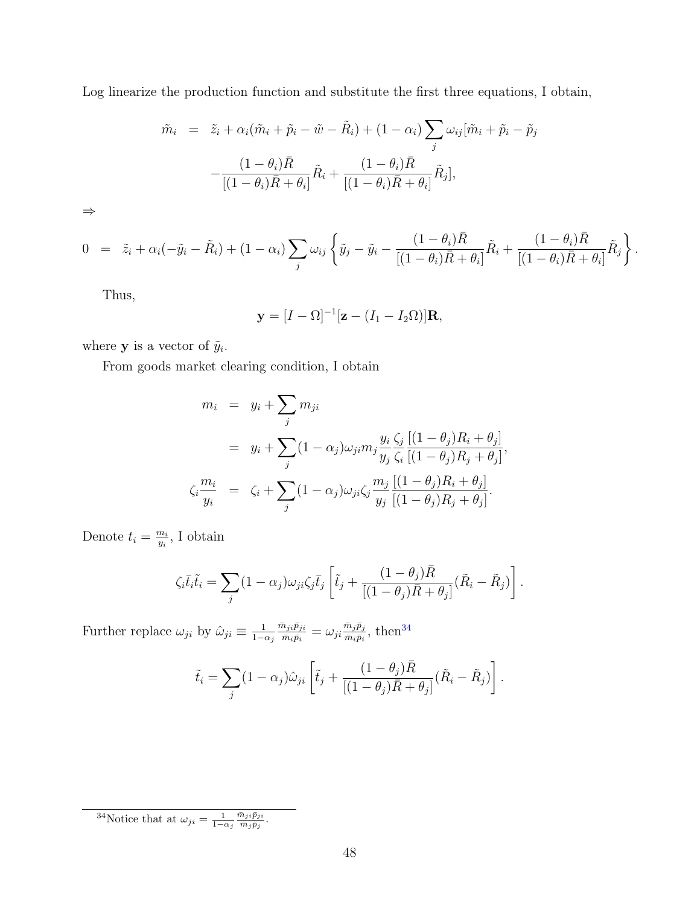Log linearize the production function and substitute the first three equations, I obtain,

$$
\tilde{m}_i = \tilde{z}_i + \alpha_i (\tilde{m}_i + \tilde{p}_i - \tilde{w} - \tilde{R}_i) + (1 - \alpha_i) \sum_j \omega_{ij} [\tilde{m}_i + \tilde{p}_i - \tilde{p}_j
$$

$$
- \frac{(1 - \theta_i)\bar{R}}{[(1 - \theta_i)\bar{R} + \theta_i]} \tilde{R}_i + \frac{(1 - \theta_i)\bar{R}}{[(1 - \theta_i)\bar{R} + \theta_i]} \tilde{R}_j],
$$

⇒

$$
0 = \tilde{z}_i + \alpha_i(-\tilde{y}_i - \tilde{R}_i) + (1 - \alpha_i) \sum_j \omega_{ij} \left\{ \tilde{y}_j - \tilde{y}_i - \frac{(1 - \theta_i)\bar{R}}{[(1 - \theta_i)\bar{R} + \theta_i]} \tilde{R}_i + \frac{(1 - \theta_i)\bar{R}}{[(1 - \theta_i)\bar{R} + \theta_i]} \tilde{R}_j \right\}.
$$

Thus,

$$
\mathbf{y} = [I - \Omega]^{-1} [\mathbf{z} - (I_1 - I_2 \Omega)] \mathbf{R},
$$

where **y** is a vector of  $\tilde{y}_i$ .

From goods market clearing condition, I obtain

$$
m_i = y_i + \sum_j m_{ji}
$$
  
=  $y_i + \sum_j (1 - \alpha_j) \omega_{ji} m_j \frac{y_i \zeta_j [(1 - \theta_j)R_i + \theta_j]}{y_j \zeta_i [(1 - \theta_j)R_j + \theta_j]},$   

$$
\zeta_i \frac{m_i}{y_i} = \zeta_i + \sum_j (1 - \alpha_j) \omega_{ji} \zeta_j \frac{m_j [(1 - \theta_j)R_i + \theta_j]}{y_j [(1 - \theta_j)R_j + \theta_j]}.
$$

Denote  $t_i = \frac{m_i}{n_i}$  $\frac{m_i}{y_i}$ , I obtain

$$
\zeta_i \overline{t}_i \tilde{t}_i = \sum_j (1 - \alpha_j) \omega_{ji} \zeta_j \overline{t}_j \left[ \tilde{t}_j + \frac{(1 - \theta_j) \overline{R}}{[(1 - \theta_j) \overline{R} + \theta_j]} (\tilde{R}_i - \tilde{R}_j) \right].
$$

Further replace  $\omega_{ji}$  by  $\hat{\omega}_{ji} \equiv \frac{1}{1-\epsilon}$  $1-\alpha_j$  $\bar{m}_{ji}\bar{p}_{ji}$  $\frac{\bar{m}_{ji}\bar{p}_{ji}}{\bar{m}_{i}\bar{p}_{i}}=\omega_{ji}\frac{\bar{m}_{j}\bar{p}_{j}}{\bar{m}_{i}\bar{p}_{i}}$  $\frac{\overline{m_j p_j}}{\overline{m}_i \overline{p}_i}$ , then<sup>[34](#page-0-0)</sup>

$$
\tilde{t}_i = \sum_j (1 - \alpha_j) \hat{\omega}_{ji} \left[ \tilde{t}_j + \frac{(1 - \theta_j) \bar{R}}{[(1 - \theta_j) \bar{R} + \theta_j]} (\tilde{R}_i - \tilde{R}_j) \right].
$$

<sup>34</sup>Notice that at  $\omega_{ji} = \frac{1}{1-\alpha_j}$  $\bar{m}_{ji}\bar{p}_{ji}$  $\frac{n_{ji}p_{ji}}{\bar{m}_j\bar{p}_j} .$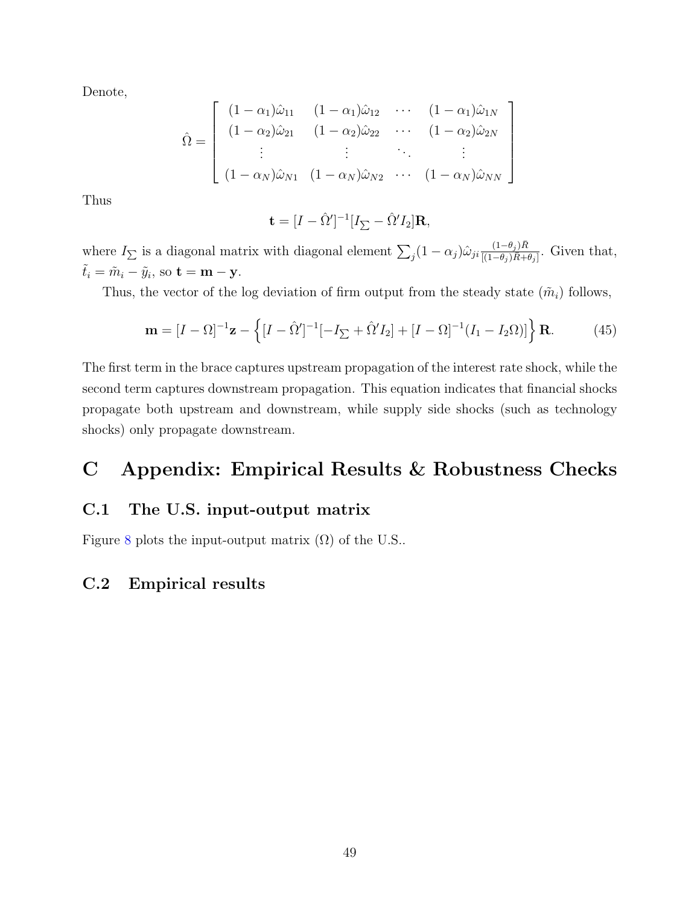Denote,

$$
\hat{\Omega} = \begin{bmatrix}\n(1 - \alpha_1)\hat{\omega}_{11} & (1 - \alpha_1)\hat{\omega}_{12} & \cdots & (1 - \alpha_1)\hat{\omega}_{1N} \\
(1 - \alpha_2)\hat{\omega}_{21} & (1 - \alpha_2)\hat{\omega}_{22} & \cdots & (1 - \alpha_2)\hat{\omega}_{2N} \\
\vdots & \vdots & \ddots & \vdots \\
(1 - \alpha_N)\hat{\omega}_{N1} & (1 - \alpha_N)\hat{\omega}_{N2} & \cdots & (1 - \alpha_N)\hat{\omega}_{NN}\n\end{bmatrix}
$$

Thus

$$
\mathbf{t} = [I - \hat{\Omega}']^{-1} [I_{\sum} - \hat{\Omega}' I_2] \mathbf{R},
$$

where  $I_{\sum}$  is a diagonal matrix with diagonal element  $\sum_j (1 - \alpha_j) \hat{\omega}_{ji} \frac{(1 - \theta_j) \bar{R}}{[(1 - \theta_j) \bar{R} + \cdots]}$  $\frac{(1-\theta_j)R}{[(1-\theta_j)\bar{R}+\theta_j]}$ . Given that,  $\tilde{t}_i = \tilde{m}_i - \tilde{y}_i$ , so  $\mathbf{t} = \mathbf{m} - \mathbf{y}$ .

Thus, the vector of the log deviation of firm output from the steady state  $(\tilde{m}_i)$  follows,

$$
\mathbf{m} = [I - \Omega]^{-1} \mathbf{z} - \left\{ [I - \hat{\Omega}']^{-1} [-I_{\sum} + \hat{\Omega}' I_2] + [I - \Omega]^{-1} (I_1 - I_2 \Omega)] \right\} \mathbf{R}.
$$
 (45)

The first term in the brace captures upstream propagation of the interest rate shock, while the second term captures downstream propagation. This equation indicates that financial shocks propagate both upstream and downstream, while supply side shocks (such as technology shocks) only propagate downstream.

# C Appendix: Empirical Results & Robustness Checks

# C.1 The U.S. input-output matrix

Figure [8](#page-49-1) plots the input-output matrix  $(\Omega)$  of the U.S..

## <span id="page-48-0"></span>C.2 Empirical results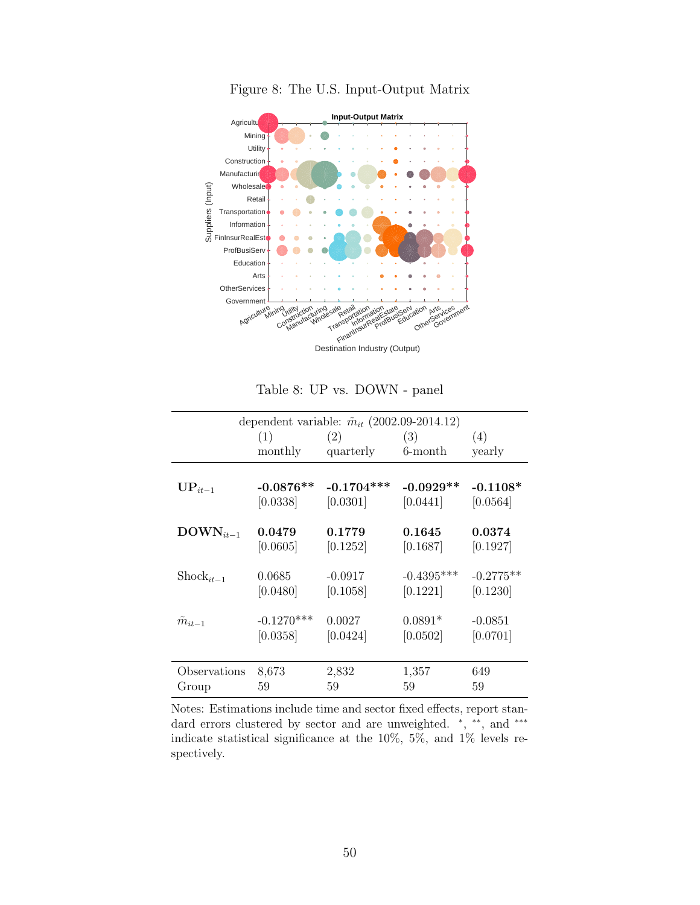<span id="page-49-1"></span>

Figure 8: The U.S. Input-Output Matrix

Table 8: UP vs. DOWN - panel

<span id="page-49-0"></span>

|                       |              | dependent variable: $\tilde{m}_{it}$ (2002.09-2014.12) |              |             |
|-----------------------|--------------|--------------------------------------------------------|--------------|-------------|
|                       | (1)          | (2)                                                    | (3)          | (4)         |
|                       | monthly      | quarterly                                              | 6-month      | yearly      |
|                       |              |                                                        |              |             |
| $\mathbf{UP}_{it-1}$  | $-0.0876**$  | $-0.1704***$                                           | $-0.0929**$  | $-0.1108*$  |
|                       | [0.0338]     | [0.0301]                                               | [0.0441]     | [0.0564]    |
|                       |              |                                                        |              |             |
| $\text{DOWN}_{it-1}$  | 0.0479       | 0.1779                                                 | 0.1645       | 0.0374      |
|                       | [0.0605]     | [0.1252]                                               | [0.1687]     | [0.1927]    |
|                       |              |                                                        |              |             |
| $\text{Shock}_{it-1}$ | 0.0685       | $-0.0917$                                              | $-0.4395***$ | $-0.2775**$ |
|                       | [0.0480]     | [0.1058]                                               | [0.1221]     | [0.1230]    |
|                       |              |                                                        |              |             |
| $\tilde{m}_{it-1}$    | $-0.1270***$ | 0.0027                                                 | $0.0891*$    | $-0.0851$   |
|                       | [0.0358]     | [0.0424]                                               | [0.0502]     | [0.0701]    |
|                       |              |                                                        |              |             |
| Observations          | 8,673        | 2,832                                                  | 1,357        | 649         |
| Group                 | 59           | 59                                                     | 59           | 59          |

Notes: Estimations include time and sector fixed effects, report standard errors clustered by sector and are unweighted. \*, \*\*, and \*\*\* indicate statistical significance at the 10%, 5%, and 1% levels respectively.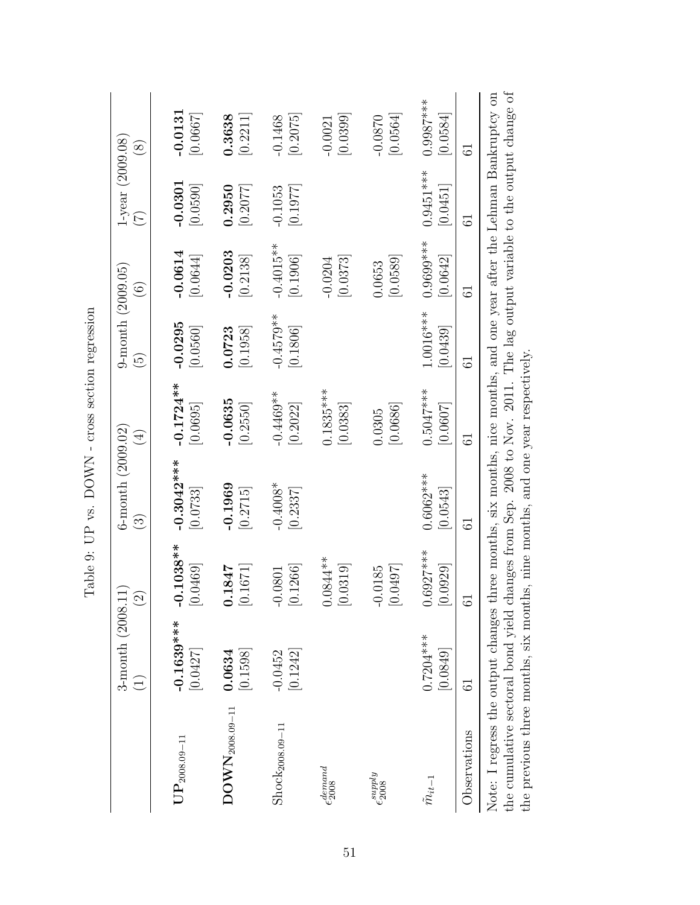|                                       | $3$ -month $(2008.11)$<br>$\widehat{\Xi}$ | $\widehat{\Omega}$      | 6-month $(2009.02)$<br>$\widehat{\mathbb{C}}$                                      | $(\pm)$                 | $9$ -month $(2009.05)$<br>$\widetilde{\mathbf{e}}$ | $\widehat{\odot}$                  | $1$ -year $(2009.08)$<br>$(\mathbb{Z})$ | $(\overline{8})$       |
|---------------------------------------|-------------------------------------------|-------------------------|------------------------------------------------------------------------------------|-------------------------|----------------------------------------------------|------------------------------------|-----------------------------------------|------------------------|
| $\mathrm{UP}_{2008.09-11}$            | $-0.1639***$<br>[0.0427]                  | $-0.1038**$<br> 0.0469  | $-0.3042***$<br>$\left[0.0733\right]$                                              | $-0.1724**$<br>[0.0695] | $-0.0295$<br>[0.0560]                              | $-0.0614$<br>$\left[0.0644\right]$ | $-0.0301$<br>[0.0590]                   | $-0.0131$<br>[0.0667]  |
| $\mathrm{DOWN}_{\mathrm{2008.09-11}}$ | [0.1598]<br>0.0634                        | [0.1671]<br>0.1847      | $-0.1969$<br>[0.2715]                                                              | $-0.0635$<br> 0.2550    | [0.1958]<br>0.0723                                 | $-0.0203$<br>[0.2138]              | 0.2950<br>[0.2077]                      | [0.2211]<br>0.3638     |
| Shock <sub>2008.09-11</sub>           | [0.1242]<br>$-0.0452$                     | [0.1266]<br>$-0.0801$   | $-0.4008*$<br>[0.2337]                                                             | $-0.4469**$<br>[0.2022] | $-0.4579**$<br> 0.1806                             | $-0.4015***$<br>[0.1906]           | [0.1977]<br>$-0.1053$                   | [0.2075]<br>$-0.1468$  |
| $\epsilon_{2008}^{demand}$            |                                           | $0.0844**$<br>[0.0319]  |                                                                                    | $0.1835***$<br> 0.0383  |                                                    | [0.0373]<br>$-0.0204$              |                                         | [0.0399]<br>$-0.0021$  |
| $\epsilon_{2008}^{supply}$            |                                           | [0.0497]<br>$-0.0185$   |                                                                                    | 0.0686 <br>0.0305       |                                                    | [0.0589]<br>0.0653                 |                                         | [0.0564]<br>$-0.0870$  |
| $\tilde{m}_{it-1}$                    | $0.7204***$<br>[0.0849]                   | $0.6927***$<br>[0.0929] | $0.6062***$<br>[0.0543]                                                            | $0.5047***$<br>[0.0607] | $1.0016***$<br> 0.0439                             | $0.9699***$<br>[0.0642]            | $0.9451***$<br> 0.0451                  | $0.9987***$<br> 0.0584 |
| Observations                          | $\overline{6}$                            | نہ                      | 5                                                                                  | 5                       | 5                                                  | 5                                  | 5                                       | 5                      |
| Note: I regress the output changes    |                                           |                         | three months, six months, nice months, and one year after the Lehman Bankruptcy on |                         |                                                    |                                    |                                         |                        |

<span id="page-50-0"></span>Table 9: UP vs.  $\operatorname{DOWN}$  - cross section regression Table 9: UP vs. DOWN - cross section regression

the cumulative sectoral bond yield changes from Sep. 2008 to Nov. 2011. The lag output variable to the output change of the previous three months, six months, nine months, and one year respectively. Note: I regress the output changes three months, six months, nice months, and one year after the Lehman Bankruptcy on the cumulative sectoral bond yield changes from Sep. 2008 to Nov. 2011. The lag output variable to the output change of the previous three months, six months, nine months, and one year respectively.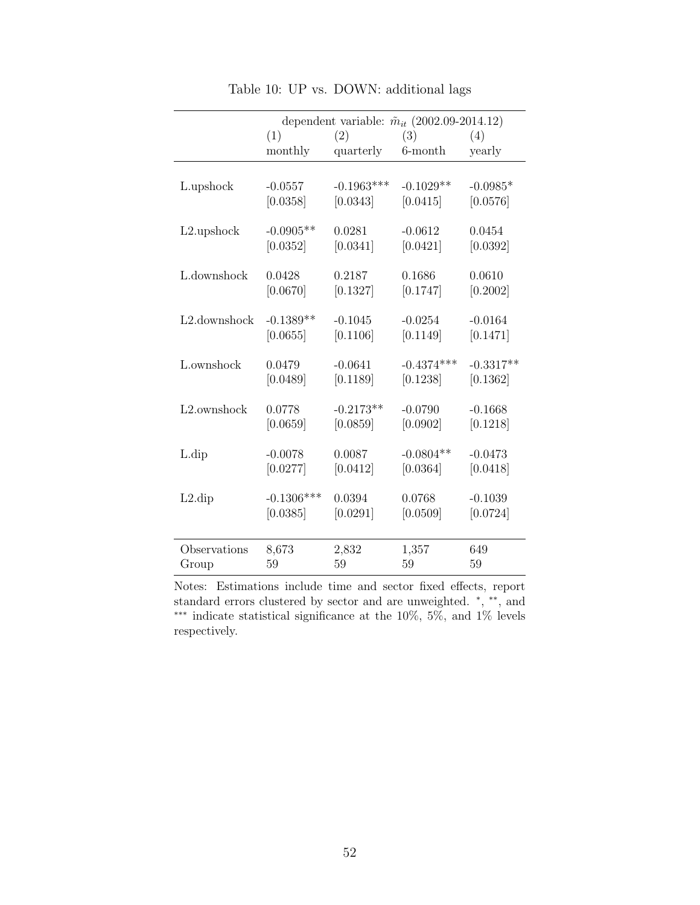<span id="page-51-0"></span>

|                          |              | dependent variable: $\tilde{m}_{it}$ (2002.09-2014.12) |              |             |
|--------------------------|--------------|--------------------------------------------------------|--------------|-------------|
|                          | (1)          | (2)                                                    | (3)          | (4)         |
|                          | monthly      | quarterly                                              | 6-month      | yearly      |
|                          |              |                                                        |              |             |
| L.upshock                | $-0.0557$    | $-0.1963***$                                           | $-0.1029**$  | $-0.0985*$  |
|                          | [0.0358]     | [0.0343]                                               | [0.0415]     | [0.0576]    |
|                          |              |                                                        |              |             |
| L2.upshock               | $-0.0905**$  | 0.0281                                                 | $-0.0612$    | 0.0454      |
|                          | [0.0352]     | [0.0341]                                               | [0.0421]     | [0.0392]    |
|                          |              |                                                        |              |             |
| L.downshock              | 0.0428       | 0.2187                                                 | 0.1686       | 0.0610      |
|                          | [0.0670]     | [0.1327]                                               | [0.1747]     | [0.2002]    |
| L2.downshock             | $-0.1389**$  | $-0.1045$                                              | $-0.0254$    | $-0.0164$   |
|                          | [0.0655]     | [0.1106]                                               | [0.1149]     | [0.1471]    |
|                          |              |                                                        |              |             |
| L.ownshock               | 0.0479       | $-0.0641$                                              | $-0.4374***$ | $-0.3317**$ |
|                          | [0.0489]     | [0.1189]                                               | [0.1238]     | [0.1362]    |
|                          |              |                                                        |              |             |
| L <sub>2</sub> .ownshock | 0.0778       | $-0.2173**$                                            | $-0.0790$    | $-0.1668$   |
|                          | [0.0659]     | [0.0859]                                               | [0.0902]     | [0.1218]    |
|                          |              |                                                        |              |             |
| $L \text{.}$             | $-0.0078$    | 0.0087                                                 | $-0.0804**$  | $-0.0473$   |
|                          | [0.0277]     | [0.0412]                                               | [0.0364]     | [0.0418]    |
|                          |              |                                                        |              |             |
| $L2$ .dip                | $-0.1306***$ | 0.0394                                                 | 0.0768       | $-0.1039$   |
|                          | [0.0385]     | [0.0291]                                               | [0.0509]     | [0.0724]    |
|                          |              |                                                        |              |             |
| Observations             | 8,673        | 2,832                                                  | 1,357        | 649         |
| Group                    | 59           | 59                                                     | 59           | 59          |

Table 10: UP vs. DOWN: additional lags

Notes: Estimations include time and sector fixed effects, report standard errors clustered by sector and are unweighted.  $*, **$ , and ∗∗∗ indicate statistical significance at the 10%, 5%, and 1% levels respectively.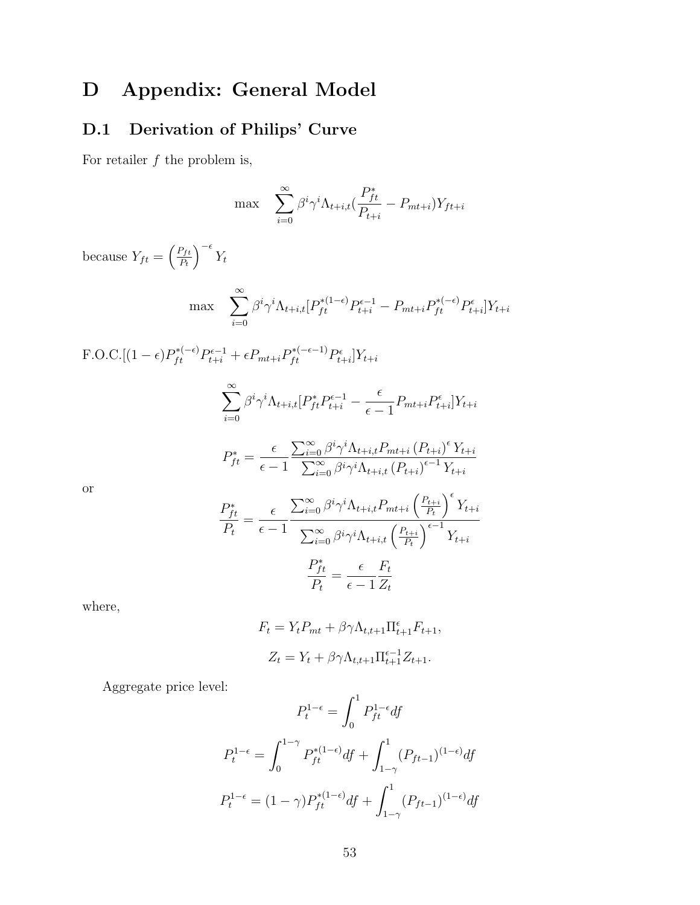# D Appendix: General Model

# <span id="page-52-0"></span>D.1 Derivation of Philips' Curve

For retailer  $f$  the problem is,

$$
\max \sum_{i=0}^{\infty} \beta^{i} \gamma^{i} \Lambda_{t+i,t} (\frac{P_{ft}^{*}}{P_{t+i}} - P_{mt+i}) Y_{ft+i}
$$
  
because  $Y_{ft} = \left(\frac{P_{ft}}{P_{t}}\right)^{-\epsilon} Y_{t}$   

$$
\max \sum_{i=0}^{\infty} \beta^{i} \gamma^{i} \Lambda_{t+i,t} [P_{ft}^{*(1-\epsilon)} P_{t+i}^{-1} - P_{mt+i} P_{ft}^{*(-\epsilon)} P_{t+i}^{\epsilon}] Y_{t+i}
$$
  
F.O.C.[(1 -  $\epsilon) P_{ft}^{*(-\epsilon)} P_{t+i}^{\epsilon-1} + \epsilon P_{mt+i} P_{ft}^{*(-\epsilon-1)} P_{t+i}^{c}] Y_{t+i}$   

$$
\sum_{i=0}^{\infty} \beta^{i} \gamma^{i} \Lambda_{t+i,t} [P_{ft}^{*} P_{t+i}^{\epsilon-1} - \frac{\epsilon}{\epsilon-1} P_{mt+i} P_{t+i}^{\epsilon}] Y_{t+i}
$$
  

$$
P_{ft}^{*} = \frac{\epsilon}{\epsilon-1} \frac{\sum_{i=0}^{\infty} \beta^{i} \gamma^{i} \Lambda_{t+i,t} P_{mt+i} (P_{t+i})^{\epsilon} Y_{t+i}}{\sum_{i=0}^{\infty} \beta^{i} \gamma^{i} \Lambda_{t+i,t} (P_{t+i})^{\epsilon-1} Y_{t+i}}
$$
or  

$$
\frac{P_{ft}^{*}}{P_{t}} = \frac{\epsilon}{\epsilon-1} \frac{\sum_{i=0}^{\infty} \beta^{i} \gamma^{i} \Lambda_{t+i,t} P_{mt+i} (\frac{P_{t+i}}{P_{t}})^{\epsilon}}{\sum_{i=0}^{\infty} \beta^{i} \gamma^{i} \Lambda_{t+i,t} (\frac{P_{t+i}}{P_{t}})^{\epsilon-1} Y_{t+i}}
$$
  

$$
\frac{P_{ft}^{*}}{P_{t}} = \frac{\epsilon}{\epsilon-1} \frac{F_{t}}{Z_{t}}
$$

where,

$$
F_t = Y_t P_{mt} + \beta \gamma \Lambda_{t,t+1} \Pi_{t+1}^{\epsilon} F_{t+1},
$$
  

$$
Z_t = Y_t + \beta \gamma \Lambda_{t,t+1} \Pi_{t+1}^{\epsilon-1} Z_{t+1}.
$$

Aggregate price level:

$$
P_t^{1-\epsilon} = \int_0^1 P_{ft}^{1-\epsilon} df
$$
  
\n
$$
P_t^{1-\epsilon} = \int_0^{1-\gamma} P_{ft}^{*(1-\epsilon)} df + \int_{1-\gamma}^1 (P_{ft-1})^{(1-\epsilon)} df
$$
  
\n
$$
P_t^{1-\epsilon} = (1-\gamma) P_{ft}^{*(1-\epsilon)} df + \int_{1-\gamma}^1 (P_{ft-1})^{(1-\epsilon)} df
$$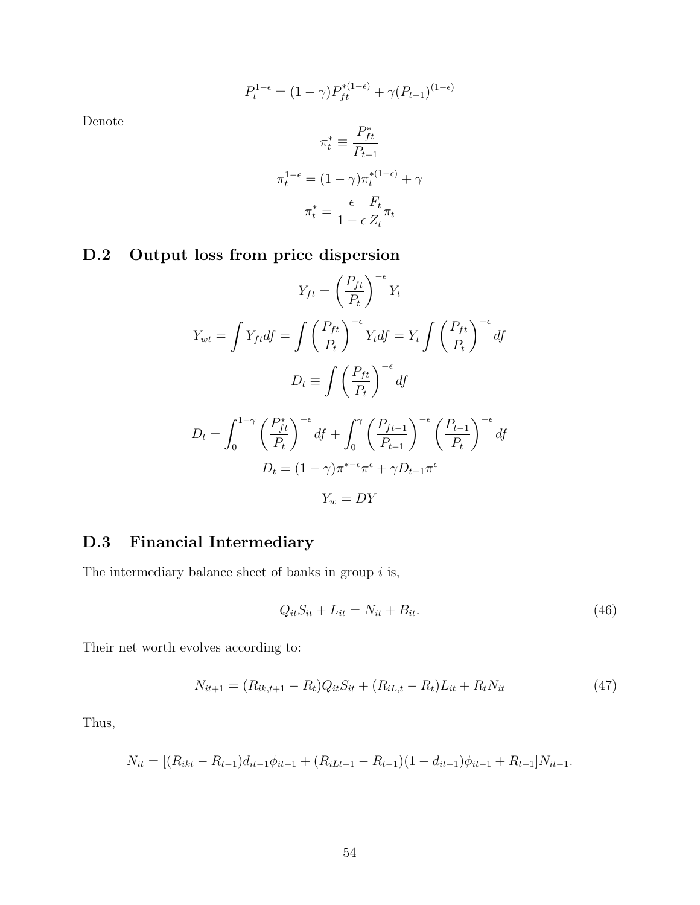$$
P_t^{1-\epsilon} = (1-\gamma)P_{ft}^{*(1-\epsilon)} + \gamma (P_{t-1})^{(1-\epsilon)}
$$

Denote

$$
\pi_t^* \equiv \frac{P_{ft}^*}{P_{t-1}}
$$

$$
\pi_t^{1-\epsilon} = (1-\gamma)\pi_t^{*(1-\epsilon)} + \gamma
$$

$$
\pi_t^* = \frac{\epsilon}{1-\epsilon} \frac{F_t}{Z_t} \pi_t
$$

# D.2 Output loss from price dispersion

$$
Y_{ft} = \left(\frac{P_{ft}}{P_t}\right)^{-\epsilon} Y_t
$$
  
\n
$$
Y_{wt} = \int Y_{ft} df = \int \left(\frac{P_{ft}}{P_t}\right)^{-\epsilon} Y_t df = Y_t \int \left(\frac{P_{ft}}{P_t}\right)^{-\epsilon} df
$$
  
\n
$$
D_t \equiv \int \left(\frac{P_{ft}}{P_t}\right)^{-\epsilon} df
$$
  
\n
$$
D_t = \int_0^{1-\gamma} \left(\frac{P_{ft}^*}{P_t}\right)^{-\epsilon} df + \int_0^{\gamma} \left(\frac{P_{ft-1}}{P_{t-1}}\right)^{-\epsilon} \left(\frac{P_{t-1}}{P_t}\right)^{-\epsilon} df
$$
  
\n
$$
D_t = (1 - \gamma)\pi^{*-\epsilon}\pi^{\epsilon} + \gamma D_{t-1}\pi^{\epsilon}
$$
  
\n
$$
Y_w = DY
$$

# <span id="page-53-0"></span>D.3 Financial Intermediary

The intermediary balance sheet of banks in group  $i$  is,

$$
Q_{it}S_{it} + L_{it} = N_{it} + B_{it}.
$$
\n
$$
(46)
$$

Their net worth evolves according to:

$$
N_{it+1} = (R_{ik,t+1} - R_t)Q_{it}S_{it} + (R_{iL,t} - R_t)L_{it} + R_tN_{it}
$$
\n(47)

Thus,

$$
N_{it} = [(R_{ikt} - R_{t-1})d_{it-1}\phi_{it-1} + (R_{iLt-1} - R_{t-1})(1 - d_{it-1})\phi_{it-1} + R_{t-1}]N_{it-1}.
$$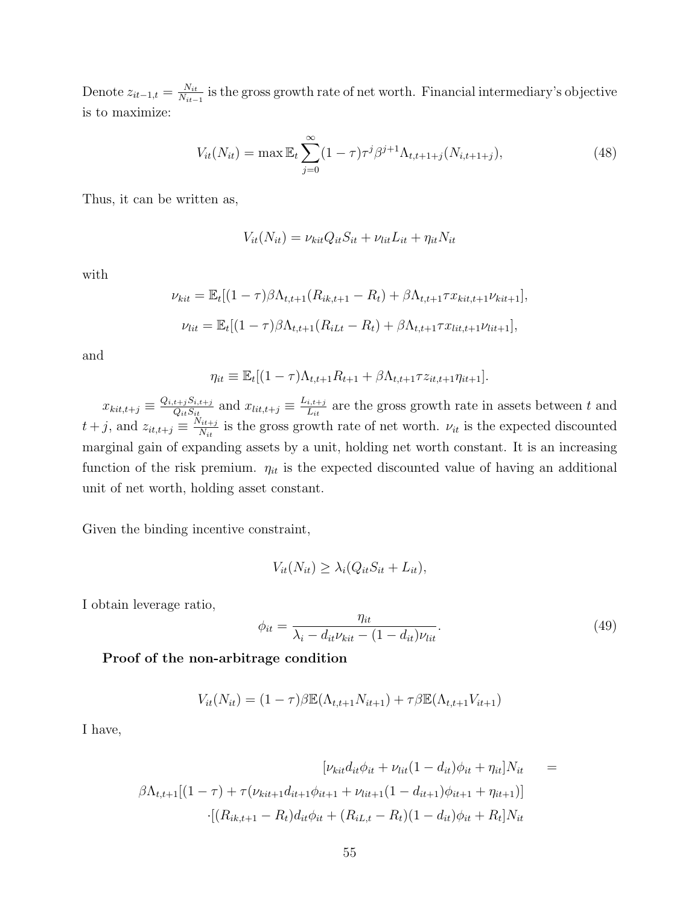Denote  $z_{it-1,t} = \frac{N_{it}}{N_{it}}$  $\frac{N_{it}}{N_{it-1}}$  is the gross growth rate of net worth. Financial intermediary's objective is to maximize:

$$
V_{it}(N_{it}) = \max \mathbb{E}_t \sum_{j=0}^{\infty} (1-\tau) \tau^j \beta^{j+1} \Lambda_{t,t+1+j}(N_{i,t+1+j}), \tag{48}
$$

Thus, it can be written as,

$$
V_{it}(N_{it}) = \nu_{kit} Q_{it} S_{it} + \nu_{lit} L_{it} + \eta_{it} N_{it}
$$

with

$$
\nu_{kit} = \mathbb{E}_{t}[(1-\tau)\beta\Lambda_{t,t+1}(R_{ik,t+1} - R_{t}) + \beta\Lambda_{t,t+1}\tau x_{kit,t+1}\nu_{kit+1}],
$$
  

$$
\nu_{lit} = \mathbb{E}_{t}[(1-\tau)\beta\Lambda_{t,t+1}(R_{iLt} - R_{t}) + \beta\Lambda_{t,t+1}\tau x_{lit,t+1}\nu_{lit+1}],
$$

and

$$
\eta_{it} \equiv \mathbb{E}_t[(1-\tau)\Lambda_{t,t+1}R_{t+1} + \beta\Lambda_{t,t+1}\tau z_{it,t+1}\eta_{it+1}].
$$

 $x_{kit,t+j} \equiv \frac{Q_{i,t+j}S_{i,t+j}}{Q_{it}S_{it}}$  $\frac{u_{t+j}S_{i,t+j}}{Q_{it}S_{it}}$  and  $x_{lit,t+j} \equiv \frac{L_{i,t+j}}{L_{it}}$  $\frac{i,t+j}{L_{it}}$  are the gross growth rate in assets between t and  $t+j$ , and  $z_{it,t+j} \equiv \frac{N_{it+j}}{N_{it}}$  $\frac{N_{it+j}}{N_{it}}$  is the gross growth rate of net worth.  $\nu_{it}$  is the expected discounted marginal gain of expanding assets by a unit, holding net worth constant. It is an increasing function of the risk premium.  $\eta_{it}$  is the expected discounted value of having an additional unit of net worth, holding asset constant.

Given the binding incentive constraint,

$$
V_{it}(N_{it}) \ge \lambda_i(Q_{it}S_{it} + L_{it}),
$$

I obtain leverage ratio,

$$
\phi_{it} = \frac{\eta_{it}}{\lambda_i - d_{it}\nu_{kit} - (1 - d_{it})\nu_{lit}}.\tag{49}
$$

#### Proof of the non-arbitrage condition

<span id="page-54-0"></span>
$$
V_{it}(N_{it}) = (1 - \tau)\beta \mathbb{E}(\Lambda_{t,t+1}N_{it+1}) + \tau \beta \mathbb{E}(\Lambda_{t,t+1}V_{it+1})
$$

I have,

$$
[\nu_{kit}d_{it}\phi_{it} + \nu_{lit}(1 - d_{it})\phi_{it} + \eta_{it}]N_{it} =
$$
  

$$
\beta\Lambda_{t,t+1}[(1 - \tau) + \tau(\nu_{kit+1}d_{it+1}\phi_{it+1} + \nu_{lit+1}(1 - d_{it+1})\phi_{it+1} + \eta_{it+1})]
$$

$$
\cdot [(R_{ik,t+1} - R_t)d_{it}\phi_{it} + (R_{iL,t} - R_t)(1 - d_{it})\phi_{it} + R_t]N_{it}
$$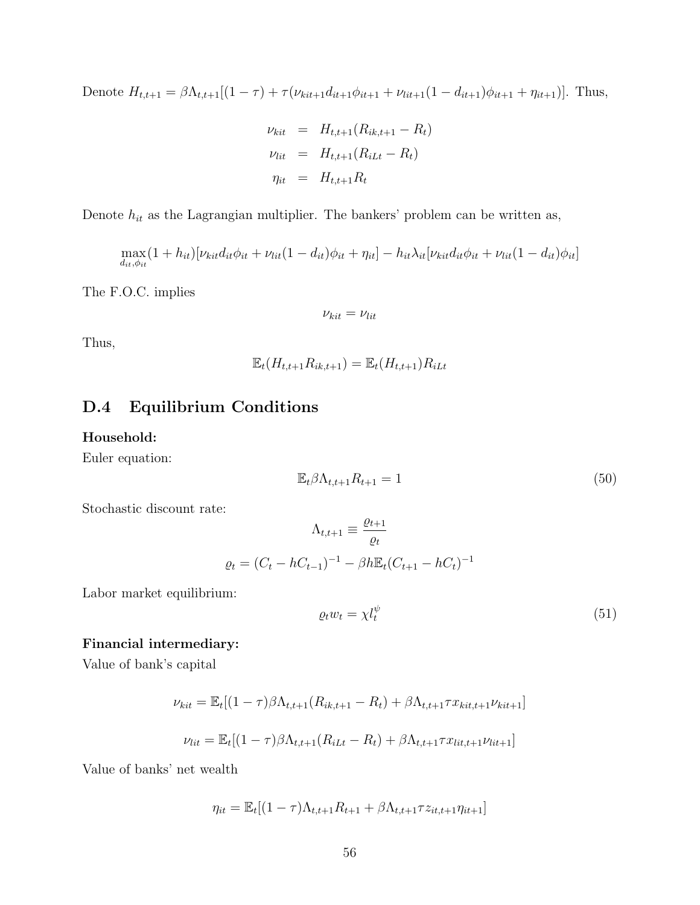Denote  $H_{t,t+1} = \beta \Lambda_{t,t+1}[(1 - \tau) + \tau(\nu_{kit+1}d_{it+1}\phi_{it+1} + \nu_{lit+1}(1 - d_{it+1})\phi_{it+1} + \eta_{it+1})].$  Thus,

$$
\nu_{kit} = H_{t,t+1}(R_{ik,t+1} - R_t)
$$
  

$$
\nu_{lit} = H_{t,t+1}(R_{iLt} - R_t)
$$
  

$$
\eta_{it} = H_{t,t+1}R_t
$$

Denote  $h_{it}$  as the Lagrangian multiplier. The bankers' problem can be written as,

$$
\max_{d_{it}, \phi_{it}} (1 + h_{it})[\nu_{kit}d_{it}\phi_{it} + \nu_{lit}(1 - d_{it})\phi_{it} + \eta_{it}] - h_{it}\lambda_{it}[\nu_{kit}d_{it}\phi_{it} + \nu_{lit}(1 - d_{it})\phi_{it}]
$$

The F.O.C. implies

$$
\nu_{kit}=\nu_{lit}
$$

Thus,

$$
\mathbb{E}_t(H_{t,t+1}R_{ik,t+1}) = \mathbb{E}_t(H_{t,t+1})R_{iLt}
$$

# <span id="page-55-0"></span>D.4 Equilibrium Conditions

#### Household:

Euler equation:

$$
\mathbb{E}_t \beta \Lambda_{t,t+1} R_{t+1} = 1 \tag{50}
$$

Stochastic discount rate:

$$
\Lambda_{t,t+1} \equiv \frac{\varrho_{t+1}}{\varrho_t}
$$

$$
\varrho_t = (C_t - hC_{t-1})^{-1} - \beta h \mathbb{E}_t (C_{t+1} - hC_t)^{-1}
$$

Labor market equilibrium:

$$
\varrho_t w_t = \chi l_t^{\psi} \tag{51}
$$

### Financial intermediary:

Value of bank's capital

$$
\nu_{kit} = \mathbb{E}_{t}[(1-\tau)\beta\Lambda_{t,t+1}(R_{ik,t+1} - R_{t}) + \beta\Lambda_{t,t+1}\tau x_{kit,t+1}\nu_{kit+1}]
$$
  

$$
\nu_{lit} = \mathbb{E}_{t}[(1-\tau)\beta\Lambda_{t,t+1}(R_{iLt} - R_{t}) + \beta\Lambda_{t,t+1}\tau x_{lit,t+1}\nu_{lit+1}]
$$

Value of banks' net wealth

$$
\eta_{it} = \mathbb{E}_{t}[(1-\tau)\Lambda_{t,t+1}R_{t+1} + \beta\Lambda_{t,t+1}\tau z_{it,t+1}\eta_{it+1}]
$$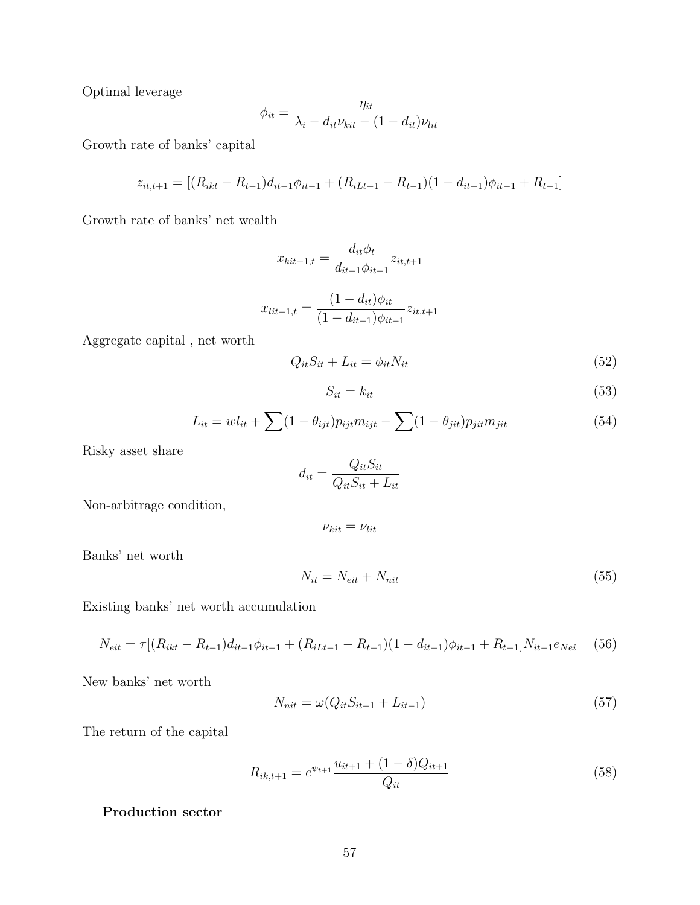Optimal leverage

$$
\phi_{it} = \frac{\eta_{it}}{\lambda_i - d_{it} \nu_{kit} - (1 - d_{it}) \nu_{lit}}
$$

Growth rate of banks' capital

$$
z_{it,t+1} = [(R_{ikt} - R_{t-1})d_{it-1}\phi_{it-1} + (R_{iLt-1} - R_{t-1})(1 - d_{it-1})\phi_{it-1} + R_{t-1}]
$$

Growth rate of banks' net wealth

$$
x_{kit-1,t} = \frac{d_{it}\phi_t}{d_{it-1}\phi_{it-1}} z_{it,t+1}
$$

$$
x_{lit-1,t} = \frac{(1 - d_{it})\phi_{it}}{(1 - d_{it-1})\phi_{it-1}} z_{it,t+1}
$$

Aggregate capital , net worth

$$
Q_{it}S_{it} + L_{it} = \phi_{it}N_{it} \tag{52}
$$

$$
S_{it} = k_{it} \tag{53}
$$

$$
L_{it} = w l_{it} + \sum (1 - \theta_{ijt}) p_{ijt} m_{ijt} - \sum (1 - \theta_{jit}) p_{jit} m_{jit}
$$
\n
$$
(54)
$$

Risky asset share

$$
d_{it} = \frac{Q_{it}S_{it}}{Q_{it}S_{it} + L_{it}}
$$

Non-arbitrage condition,

$$
\nu_{kit}=\nu_{lit}
$$

Banks' net worth

$$
N_{it} = N_{eit} + N_{nit} \tag{55}
$$

Existing banks' net worth accumulation

$$
N_{eit} = \tau [(R_{ikt} - R_{t-1})d_{it-1}\phi_{it-1} + (R_{iLt-1} - R_{t-1})(1 - d_{it-1})\phi_{it-1} + R_{t-1}]N_{it-1}e_{Nei} \quad (56)
$$

New banks' net worth

$$
N_{nit} = \omega(Q_{it}S_{it-1} + L_{it-1})
$$
\n(57)

The return of the capital

$$
R_{ik,t+1} = e^{\psi_{t+1}} \frac{u_{it+1} + (1 - \delta)Q_{it+1}}{Q_{it}} \tag{58}
$$

Production sector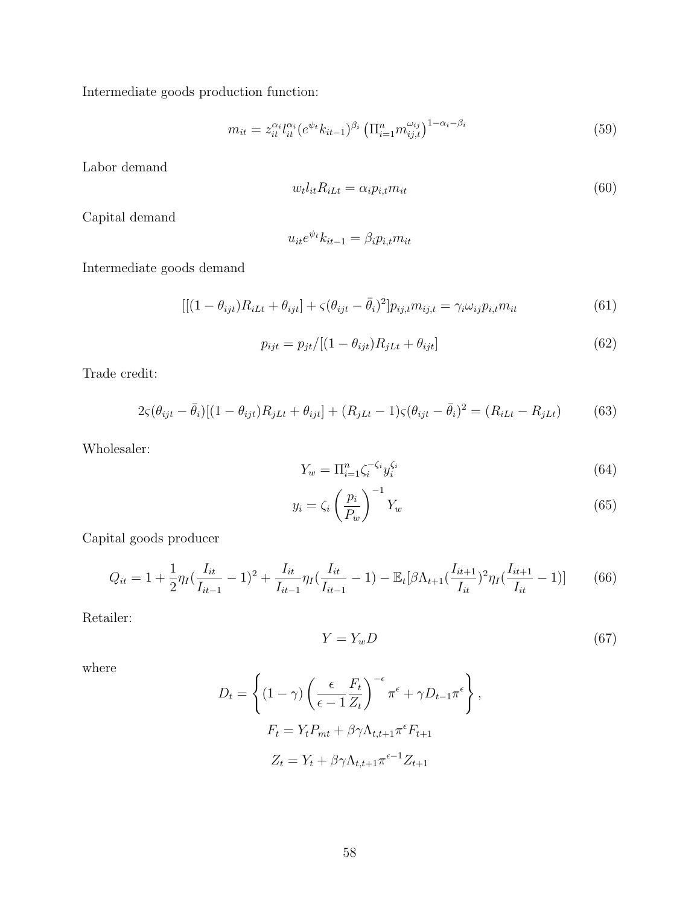Intermediate goods production function:

$$
m_{it} = z_{it}^{\alpha_i} l_{it}^{\alpha_i} (e^{\psi_t} k_{it-1})^{\beta_i} \left( \prod_{i=1}^n m_{ij,t}^{\omega_{ij}} \right)^{1-\alpha_i-\beta_i}
$$
(59)

Labor demand

$$
w_t l_{it} R_{i} = \alpha_i p_{i,t} m_{it} \tag{60}
$$

Capital demand

$$
u_{it}e^{\psi_t}k_{it-1} = \beta_i p_{i,t} m_{it}
$$

Intermediate goods demand

$$
[[(1 - \theta_{ijt})R_{iLt} + \theta_{ijt}] + \varsigma(\theta_{ijt} - \bar{\theta}_i)^2]p_{ij,t}m_{ij,t} = \gamma_i \omega_{ij} p_{i,t} m_{it}
$$
(61)

$$
p_{ijt} = p_{jt}/[(1 - \theta_{ijt})R_{jLt} + \theta_{ijt}]
$$
\n(62)

Trade credit:

$$
2\zeta(\theta_{ijt} - \bar{\theta}_i)[(1 - \theta_{ijt})R_{jLt} + \theta_{ijt}] + (R_{jLt} - 1)\zeta(\theta_{ijt} - \bar{\theta}_i)^2 = (R_{iLt} - R_{jLt})
$$
(63)

Wholesaler:

$$
Y_w = \Pi_{i=1}^n \zeta_i^{-\zeta_i} y_i^{\zeta_i} \tag{64}
$$

$$
y_i = \zeta_i \left(\frac{p_i}{P_w}\right)^{-1} Y_w \tag{65}
$$

Capital goods producer

$$
Q_{it} = 1 + \frac{1}{2} \eta_I \left( \frac{I_{it}}{I_{it-1}} - 1 \right)^2 + \frac{I_{it}}{I_{it-1}} \eta_I \left( \frac{I_{it}}{I_{it-1}} - 1 \right) - \mathbb{E}_t \left[ \beta \Lambda_{t+1} \left( \frac{I_{it+1}}{I_{it}} \right)^2 \eta_I \left( \frac{I_{it+1}}{I_{it}} - 1 \right) \right] \tag{66}
$$

Retailer:

$$
Y = Y_w D \tag{67}
$$

where

$$
D_t = \left\{ (1 - \gamma) \left( \frac{\epsilon}{\epsilon - 1} \frac{F_t}{Z_t} \right)^{-\epsilon} \pi^{\epsilon} + \gamma D_{t-1} \pi^{\epsilon} \right\},
$$
  

$$
F_t = Y_t P_{mt} + \beta \gamma \Lambda_{t, t+1} \pi^{\epsilon} F_{t+1}
$$
  

$$
Z_t = Y_t + \beta \gamma \Lambda_{t, t+1} \pi^{\epsilon - 1} Z_{t+1}
$$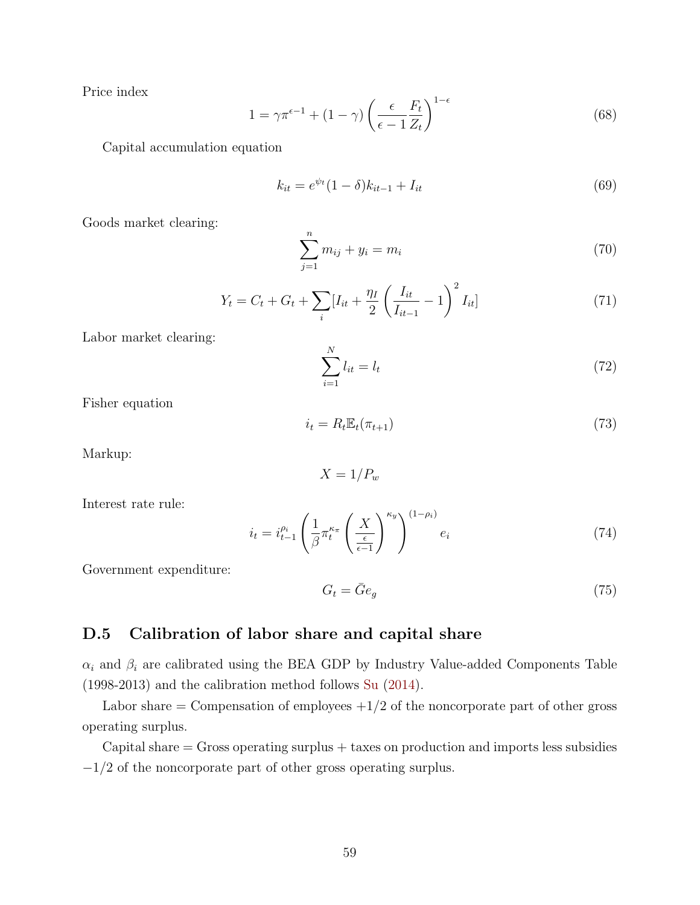Price index

$$
1 = \gamma \pi^{\epsilon - 1} + (1 - \gamma) \left( \frac{\epsilon}{\epsilon - 1} \frac{F_t}{Z_t} \right)^{1 - \epsilon} \tag{68}
$$

Capital accumulation equation

$$
k_{it} = e^{\psi_t} (1 - \delta) k_{it-1} + I_{it}
$$
\n(69)

Goods market clearing:

$$
\sum_{j=1}^{n} m_{ij} + y_i = m_i \tag{70}
$$

$$
Y_t = C_t + G_t + \sum_{i} [I_{it} + \frac{\eta_I}{2} \left( \frac{I_{it}}{I_{it-1}} - 1 \right)^2 I_{it}] \tag{71}
$$

Labor market clearing:

$$
\sum_{i=1}^{N} l_{it} = l_t \tag{72}
$$

Fisher equation

$$
i_t = R_t \mathbb{E}_t(\pi_{t+1}) \tag{73}
$$

Markup:

$$
X=1/P_w
$$

Interest rate rule:

$$
i_t = i_{t-1}^{\rho_i} \left( \frac{1}{\beta} \pi_t^{\kappa_\pi} \left( \frac{X}{\frac{\epsilon}{\epsilon - 1}} \right)^{\kappa_y} \right)^{(1 - \rho_i)} e_i \tag{74}
$$

Government expenditure:

<span id="page-58-0"></span>
$$
G_t = \bar{G}e_g \tag{75}
$$

# <span id="page-58-1"></span>D.5 Calibration of labor share and capital share

 $\alpha_i$  and  $\beta_i$  are calibrated using the BEA GDP by Industry Value-added Components Table (1998-2013) and the calibration method follows [Su](#page-39-5) [\(2014\)](#page-39-5).

Labor share  $=$  Compensation of employees  $+1/2$  of the noncorporate part of other gross operating surplus.

 $Capital share = Gross operating surplus + taxes on production and imports less subsidies$ −1/2 of the noncorporate part of other gross operating surplus.